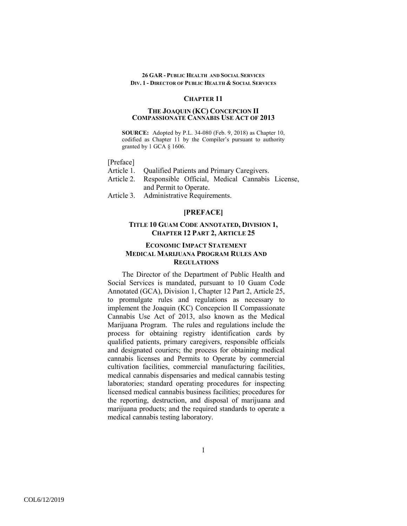## **CHAPTER 11**

#### **THE JOAQUIN (KC) CONCEPCION II COMPASSIONATE CANNABIS USE ACT OF 2013**

**SOURCE:** Adopted by P.L. 34-080 (Feb. 9, 2018) as Chapter 10, codified as Chapter 11 by the Compiler's pursuant to authority granted by 1 GCA § 1606.

[Preface]

- Article 1. Qualified Patients and Primary Caregivers.
- Article 2. Responsible Official, Medical Cannabis License, and Permit to Operate.
- Article 3. Administrative Requirements.

# **[PREFACE]**

# **TITLE 10 GUAM CODE ANNOTATED, DIVISION 1, CHAPTER 12 PART 2, ARTICLE 25**

## **ECONOMIC IMPACT STATEMENT MEDICAL MARIJUANA PROGRAM RULES AND REGULATIONS**

The Director of the Department of Public Health and Social Services is mandated, pursuant to 10 Guam Code Annotated (GCA), Division 1, Chapter 12 Part 2, Article 25, to promulgate rules and regulations as necessary to implement the Joaquin (KC) Concepcion II Compassionate Cannabis Use Act of 2013, also known as the Medical Marijuana Program. The rules and regulations include the process for obtaining registry identification cards by qualified patients, primary caregivers, responsible officials and designated couriers; the process for obtaining medical cannabis licenses and Permits to Operate by commercial cultivation facilities, commercial manufacturing facilities, medical cannabis dispensaries and medical cannabis testing laboratories; standard operating procedures for inspecting licensed medical cannabis business facilities; procedures for the reporting, destruction, and disposal of marijuana and marijuana products; and the required standards to operate a medical cannabis testing laboratory.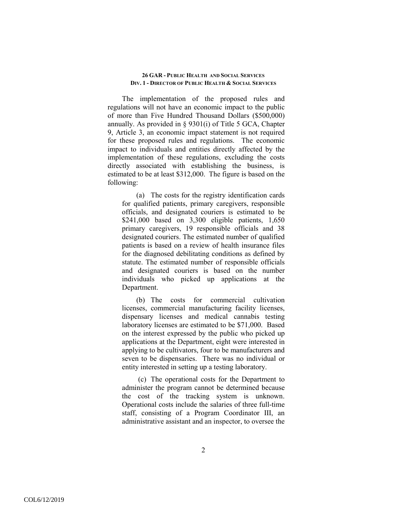The implementation of the proposed rules and regulations will not have an economic impact to the public of more than Five Hundred Thousand Dollars (\$500,000) annually. As provided in § 9301(i) of Title 5 GCA, Chapter 9, Article 3, an economic impact statement is not required for these proposed rules and regulations. The economic impact to individuals and entities directly affected by the implementation of these regulations, excluding the costs directly associated with establishing the business, is estimated to be at least \$312,000. The figure is based on the following:

(a) The costs for the registry identification cards for qualified patients, primary caregivers, responsible officials, and designated couriers is estimated to be \$241,000 based on 3,300 eligible patients, 1,650 primary caregivers, 19 responsible officials and 38 designated couriers. The estimated number of qualified patients is based on a review of health insurance files for the diagnosed debilitating conditions as defined by statute. The estimated number of responsible officials and designated couriers is based on the number individuals who picked up applications at the Department.

(b) The costs for commercial cultivation licenses, commercial manufacturing facility licenses, dispensary licenses and medical cannabis testing laboratory licenses are estimated to be \$71,000. Based on the interest expressed by the public who picked up applications at the Department, eight were interested in applying to be cultivators, four to be manufacturers and seven to be dispensaries. There was no individual or entity interested in setting up a testing laboratory.

 (c) The operational costs for the Department to administer the program cannot be determined because the cost of the tracking system is unknown. Operational costs include the salaries of three full-time staff, consisting of a Program Coordinator III, an administrative assistant and an inspector, to oversee the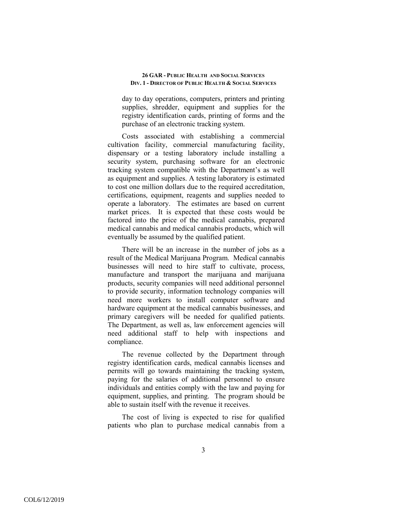day to day operations, computers, printers and printing supplies, shredder, equipment and supplies for the registry identification cards, printing of forms and the purchase of an electronic tracking system.

Costs associated with establishing a commercial cultivation facility, commercial manufacturing facility, dispensary or a testing laboratory include installing a security system, purchasing software for an electronic tracking system compatible with the Department's as well as equipment and supplies. A testing laboratory is estimated to cost one million dollars due to the required accreditation, certifications, equipment, reagents and supplies needed to operate a laboratory. The estimates are based on current market prices. It is expected that these costs would be factored into the price of the medical cannabis, prepared medical cannabis and medical cannabis products, which will eventually be assumed by the qualified patient.

There will be an increase in the number of jobs as a result of the Medical Marijuana Program. Medical cannabis businesses will need to hire staff to cultivate, process, manufacture and transport the marijuana and marijuana products, security companies will need additional personnel to provide security, information technology companies will need more workers to install computer software and hardware equipment at the medical cannabis businesses, and primary caregivers will be needed for qualified patients. The Department, as well as, law enforcement agencies will need additional staff to help with inspections and compliance.

The revenue collected by the Department through registry identification cards, medical cannabis licenses and permits will go towards maintaining the tracking system, paying for the salaries of additional personnel to ensure individuals and entities comply with the law and paying for equipment, supplies, and printing. The program should be able to sustain itself with the revenue it receives.

The cost of living is expected to rise for qualified patients who plan to purchase medical cannabis from a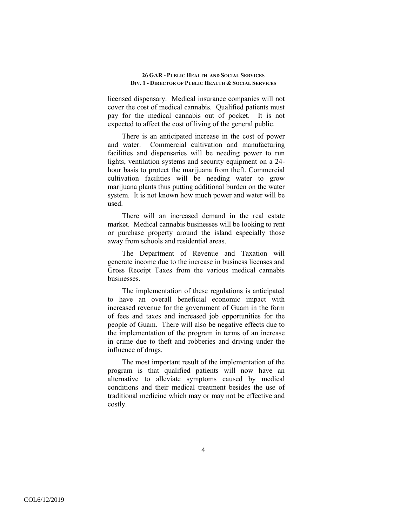licensed dispensary. Medical insurance companies will not cover the cost of medical cannabis. Qualified patients must pay for the medical cannabis out of pocket. It is not expected to affect the cost of living of the general public.

There is an anticipated increase in the cost of power and water. Commercial cultivation and manufacturing facilities and dispensaries will be needing power to run lights, ventilation systems and security equipment on a 24 hour basis to protect the marijuana from theft. Commercial cultivation facilities will be needing water to grow marijuana plants thus putting additional burden on the water system. It is not known how much power and water will be used.

There will an increased demand in the real estate market. Medical cannabis businesses will be looking to rent or purchase property around the island especially those away from schools and residential areas.

The Department of Revenue and Taxation will generate income due to the increase in business licenses and Gross Receipt Taxes from the various medical cannabis businesses.

The implementation of these regulations is anticipated to have an overall beneficial economic impact with increased revenue for the government of Guam in the form of fees and taxes and increased job opportunities for the people of Guam. There will also be negative effects due to the implementation of the program in terms of an increase in crime due to theft and robberies and driving under the influence of drugs.

The most important result of the implementation of the program is that qualified patients will now have an alternative to alleviate symptoms caused by medical conditions and their medical treatment besides the use of traditional medicine which may or may not be effective and costly.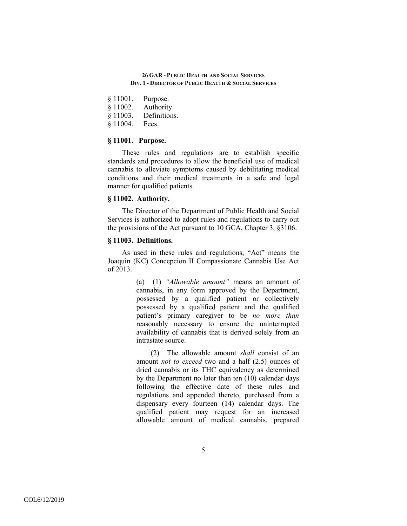- § 11001. Purpose.
- § 11002. Authority.
- § 11003. Definitions.
- § 11004. Fees.

# **§ 11001. Purpose.**

These rules and regulations are to establish specific standards and procedures to allow the beneficial use of medical cannabis to alleviate symptoms caused by debilitating medical conditions and their medical treatments in a safe and legal manner for qualified patients.

# **§ 11002. Authority.**

The Director of the Department of Public Health and Social Services is authorized to adopt rules and regulations to carry out the provisions of the Act pursuant to 10 GCA, Chapter 3, §3106.

## **§ 11003. Definitions.**

As used in these rules and regulations, "Act" means the Joaquin (KC) Concepcion II Compassionate Cannabis Use Act of 2013.

> (a) (1) *"Allowable amount"* means an amount of cannabis, in any form approved by the Department, possessed by a qualified patient or collectively possessed by a qualified patient and the qualified patient's primary caregiver to be *no more than* reasonably necessary to ensure the uninterrupted availability of cannabis that is derived solely from an intrastate source.

> (2) The allowable amount *shall* consist of an amount *not to exceed* two and a half (2.5) ounces of dried cannabis or its THC equivalency as determined by the Department no later than ten (10) calendar days following the effective date of these rules and regulations and appended thereto, purchased from a dispensary every fourteen (14) calendar days. The qualified patient may request for an increased allowable amount of medical cannabis, prepared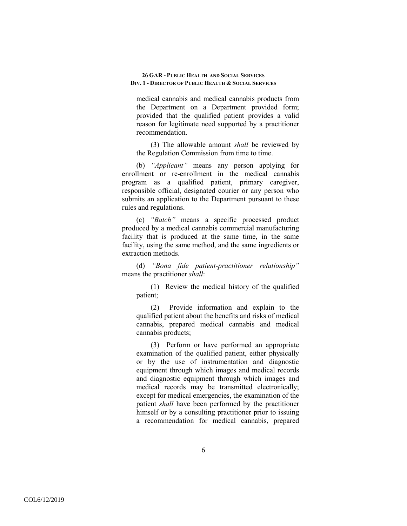medical cannabis and medical cannabis products from the Department on a Department provided form; provided that the qualified patient provides a valid reason for legitimate need supported by a practitioner recommendation.

(3) The allowable amount *shall* be reviewed by the Regulation Commission from time to time.

(b) *"Applicant"* means any person applying for enrollment or re-enrollment in the medical cannabis program as a qualified patient, primary caregiver, responsible official, designated courier or any person who submits an application to the Department pursuant to these rules and regulations.

(c) *"Batch"* means a specific processed product produced by a medical cannabis commercial manufacturing facility that is produced at the same time, in the same facility, using the same method, and the same ingredients or extraction methods.

(d) *"Bona fide patient-practitioner relationship"* means the practitioner *shall*:

(1) Review the medical history of the qualified patient;

(2) Provide information and explain to the qualified patient about the benefits and risks of medical cannabis, prepared medical cannabis and medical cannabis products;

(3) Perform or have performed an appropriate examination of the qualified patient, either physically or by the use of instrumentation and diagnostic equipment through which images and medical records and diagnostic equipment through which images and medical records may be transmitted electronically; except for medical emergencies, the examination of the patient *shall* have been performed by the practitioner himself or by a consulting practitioner prior to issuing a recommendation for medical cannabis, prepared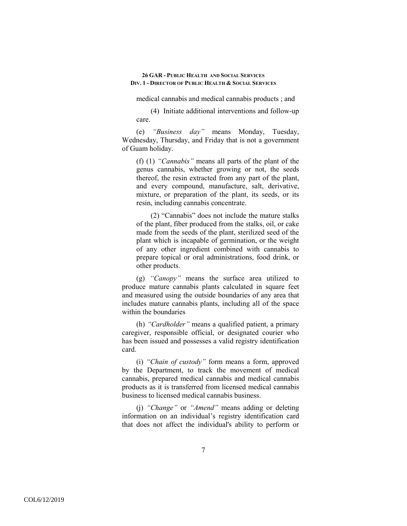medical cannabis and medical cannabis products ; and

(4) Initiate additional interventions and follow-up care.

(e) *"Business day"* means Monday, Tuesday, Wednesday, Thursday, and Friday that is not a government of Guam holiday.

(f) (1) *"Cannabis"* means all parts of the plant of the genus cannabis, whether growing or not, the seeds thereof, the resin extracted from any part of the plant, and every compound, manufacture, salt, derivative, mixture, or preparation of the plant, its seeds, or its resin, including cannabis concentrate.

(2) "Cannabis" does not include the mature stalks of the plant, fiber produced from the stalks, oil, or cake made from the seeds of the plant, sterilized seed of the plant which is incapable of germination, or the weight of any other ingredient combined with cannabis to prepare topical or oral administrations, food drink, or other products.

(g) *"Canopy"* means the surface area utilized to produce mature cannabis plants calculated in square feet and measured using the outside boundaries of any area that includes mature cannabis plants, including all of the space within the boundaries

(h) *"Cardholder"* means a qualified patient, a primary caregiver, responsible official, or designated courier who has been issued and possesses a valid registry identification card.

(i) *"Chain of custody"* form means a form, approved by the Department, to track the movement of medical cannabis, prepared medical cannabis and medical cannabis products as it is transferred from licensed medical cannabis business to licensed medical cannabis business.

(j) *"Change"* or *"Amend"* means adding or deleting information on an individual's registry identification card that does not affect the individual's ability to perform or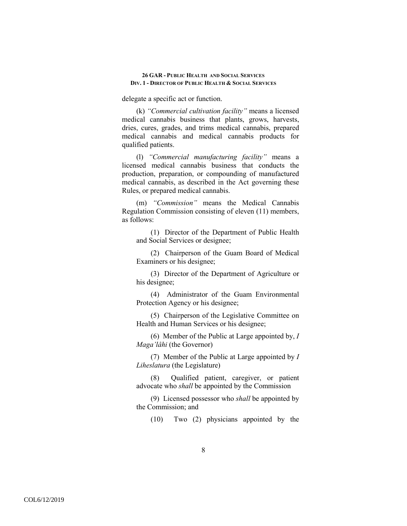delegate a specific act or function.

(k) *"Commercial cultivation facility"* means a licensed medical cannabis business that plants, grows, harvests, dries, cures, grades, and trims medical cannabis, prepared medical cannabis and medical cannabis products for qualified patients.

(l) *"Commercial manufacturing facility"* means a licensed medical cannabis business that conducts the production, preparation, or compounding of manufactured medical cannabis, as described in the Act governing these Rules, or prepared medical cannabis.

(m) *"Commission"* means the Medical Cannabis Regulation Commission consisting of eleven (11) members, as follows:

(1) Director of the Department of Public Health and Social Services or designee;

(2) Chairperson of the Guam Board of Medical Examiners or his designee;

(3) Director of the Department of Agriculture or his designee;

(4) Administrator of the Guam Environmental Protection Agency or his designee;

(5) Chairperson of the Legislative Committee on Health and Human Services or his designee;

(6) Member of the Public at Large appointed by, *I Maga'låhi* (the Governor)

(7) Member of the Public at Large appointed by *I Liheslatura* (the Legislature)

(8) Qualified patient, caregiver, or patient advocate who *shall* be appointed by the Commission

(9) Licensed possessor who *shall* be appointed by the Commission; and

(10) Two (2) physicians appointed by the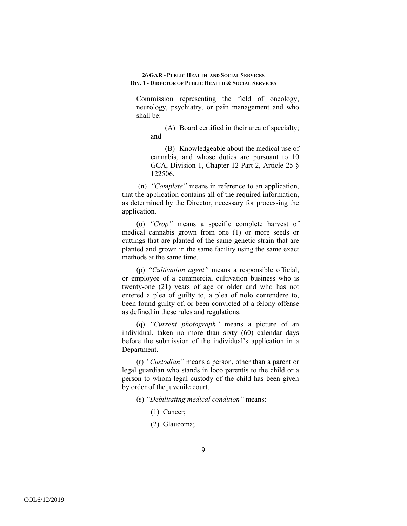Commission representing the field of oncology, neurology, psychiatry, or pain management and who shall be:

(A) Board certified in their area of specialty; and

(B) Knowledgeable about the medical use of cannabis, and whose duties are pursuant to 10 GCA, Division 1, Chapter 12 Part 2, Article 25 § 122506.

 (n) *"Complete"* means in reference to an application, that the application contains all of the required information, as determined by the Director, necessary for processing the application.

(o) *"Crop"* means a specific complete harvest of medical cannabis grown from one (1) or more seeds or cuttings that are planted of the same genetic strain that are planted and grown in the same facility using the same exact methods at the same time.

(p) *"Cultivation agent"* means a responsible official, or employee of a commercial cultivation business who is twenty-one (21) years of age or older and who has not entered a plea of guilty to, a plea of nolo contendere to, been found guilty of, or been convicted of a felony offense as defined in these rules and regulations.

(q) *"Current photograph"* means a picture of an individual, taken no more than sixty (60) calendar days before the submission of the individual's application in a Department.

(r) *"Custodian"* means a person, other than a parent or legal guardian who stands in loco parentis to the child or a person to whom legal custody of the child has been given by order of the juvenile court.

- (s) *"Debilitating medical condition"* means:
	- (1) Cancer;
	- (2) Glaucoma;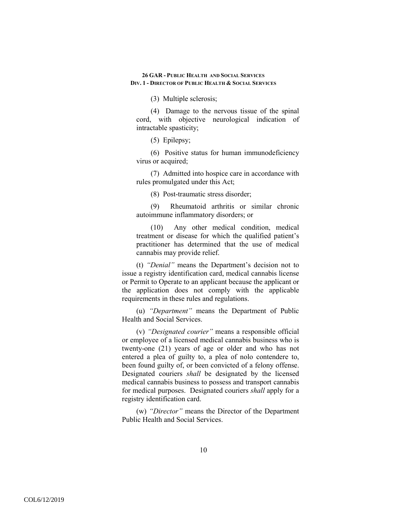(3) Multiple sclerosis;

(4) Damage to the nervous tissue of the spinal cord, with objective neurological indication of intractable spasticity;

(5) Epilepsy;

(6) Positive status for human immunodeficiency virus or acquired;

(7) Admitted into hospice care in accordance with rules promulgated under this Act;

(8) Post-traumatic stress disorder;

(9) Rheumatoid arthritis or similar chronic autoimmune inflammatory disorders; or

(10) Any other medical condition, medical treatment or disease for which the qualified patient's practitioner has determined that the use of medical cannabis may provide relief.

(t) *"Denial"* means the Department's decision not to issue a registry identification card, medical cannabis license or Permit to Operate to an applicant because the applicant or the application does not comply with the applicable requirements in these rules and regulations.

(u) *"Department"* means the Department of Public Health and Social Services.

(v) *"Designated courier"* means a responsible official or employee of a licensed medical cannabis business who is twenty-one (21) years of age or older and who has not entered a plea of guilty to, a plea of nolo contendere to, been found guilty of, or been convicted of a felony offense. Designated couriers *shall* be designated by the licensed medical cannabis business to possess and transport cannabis for medical purposes. Designated couriers *shall* apply for a registry identification card.

(w) *"Director"* means the Director of the Department Public Health and Social Services.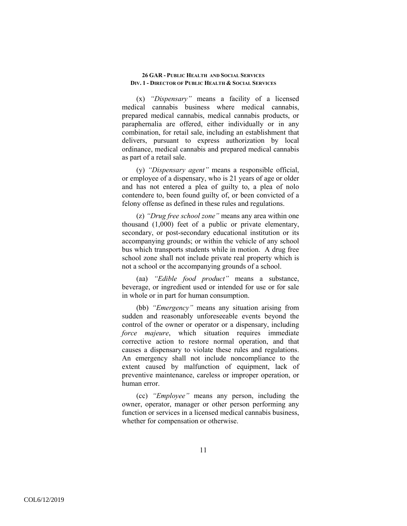(x) *"Dispensary"* means a facility of a licensed medical cannabis business where medical cannabis, prepared medical cannabis, medical cannabis products, or paraphernalia are offered, either individually or in any combination, for retail sale, including an establishment that delivers, pursuant to express authorization by local ordinance, medical cannabis and prepared medical cannabis as part of a retail sale.

(y) *"Dispensary agent"* means a responsible official, or employee of a dispensary, who is 21 years of age or older and has not entered a plea of guilty to, a plea of nolo contendere to, been found guilty of, or been convicted of a felony offense as defined in these rules and regulations.

(z) *"Drug free school zone"* means any area within one thousand (1,000) feet of a public or private elementary, secondary, or post-secondary educational institution or its accompanying grounds; or within the vehicle of any school bus which transports students while in motion. A drug free school zone shall not include private real property which is not a school or the accompanying grounds of a school.

(aa) *"Edible food product"* means a substance, beverage, or ingredient used or intended for use or for sale in whole or in part for human consumption.

(bb) *"Emergency"* means any situation arising from sudden and reasonably unforeseeable events beyond the control of the owner or operator or a dispensary, including *force majeure*, which situation requires immediate corrective action to restore normal operation, and that causes a dispensary to violate these rules and regulations. An emergency shall not include noncompliance to the extent caused by malfunction of equipment, lack of preventive maintenance, careless or improper operation, or human error.

(cc) *"Employee"* means any person, including the owner, operator, manager or other person performing any function or services in a licensed medical cannabis business, whether for compensation or otherwise.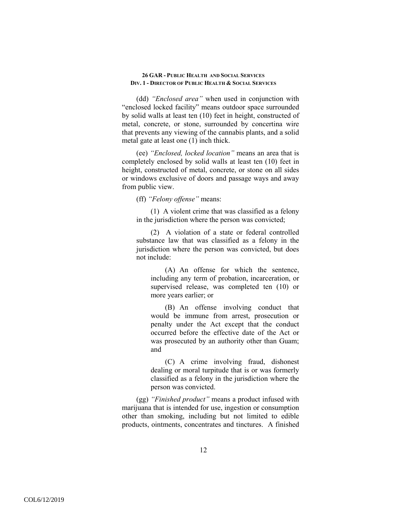(dd) *"Enclosed area"* when used in conjunction with "enclosed locked facility" means outdoor space surrounded by solid walls at least ten (10) feet in height, constructed of metal, concrete, or stone, surrounded by concertina wire that prevents any viewing of the cannabis plants, and a solid metal gate at least one (1) inch thick.

(ee) *"Enclosed, locked location"* means an area that is completely enclosed by solid walls at least ten (10) feet in height, constructed of metal, concrete, or stone on all sides or windows exclusive of doors and passage ways and away from public view.

(ff) *"Felony offense"* means:

(1) A violent crime that was classified as a felony in the jurisdiction where the person was convicted;

(2) A violation of a state or federal controlled substance law that was classified as a felony in the jurisdiction where the person was convicted, but does not include:

(A) An offense for which the sentence, including any term of probation, incarceration, or supervised release, was completed ten (10) or more years earlier; or

(B) An offense involving conduct that would be immune from arrest, prosecution or penalty under the Act except that the conduct occurred before the effective date of the Act or was prosecuted by an authority other than Guam; and

(C) A crime involving fraud, dishonest dealing or moral turpitude that is or was formerly classified as a felony in the jurisdiction where the person was convicted.

(gg) *"Finished product"* means a product infused with marijuana that is intended for use, ingestion or consumption other than smoking, including but not limited to edible products, ointments, concentrates and tinctures. A finished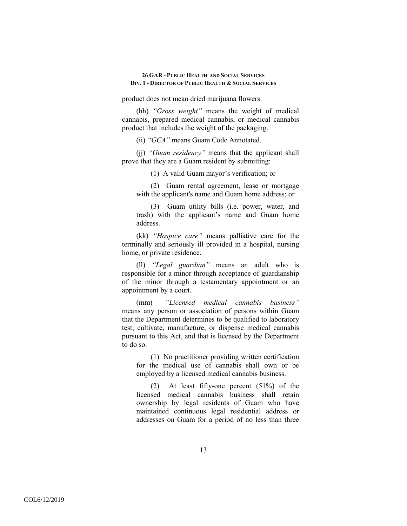product does not mean dried marijuana flowers.

(hh) *"Gross weight"* means the weight of medical cannabis, prepared medical cannabis, or medical cannabis product that includes the weight of the packaging.

(ii) *"GCA"* means Guam Code Annotated.

(jj) *"Guam residency"* means that the applicant shall prove that they are a Guam resident by submitting:

(1) A valid Guam mayor's verification; or

(2) Guam rental agreement, lease or mortgage with the applicant's name and Guam home address; or

(3) Guam utility bills (i.e. power, water, and trash) with the applicant's name and Guam home address.

(kk) *"Hospice care"* means palliative care for the terminally and seriously ill provided in a hospital, nursing home, or private residence.

(ll) *"Legal guardian"* means an adult who is responsible for a minor through acceptance of guardianship of the minor through a testamentary appointment or an appointment by a court.

(mm) *"Licensed medical cannabis business"* means any person or association of persons within Guam that the Department determines to be qualified to laboratory test, cultivate, manufacture, or dispense medical cannabis pursuant to this Act, and that is licensed by the Department to do so.

(1) No practitioner providing written certification for the medical use of cannabis shall own or be employed by a licensed medical cannabis business.

(2) At least fifty-one percent (51%) of the licensed medical cannabis business shall retain ownership by legal residents of Guam who have maintained continuous legal residential address or addresses on Guam for a period of no less than three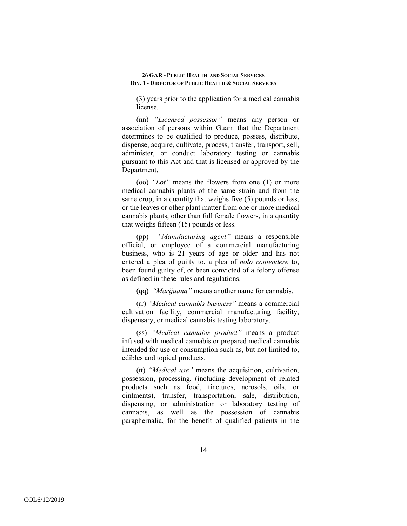(3) years prior to the application for a medical cannabis license.

(nn) *"Licensed possessor"* means any person or association of persons within Guam that the Department determines to be qualified to produce, possess, distribute, dispense, acquire, cultivate, process, transfer, transport, sell, administer, or conduct laboratory testing or cannabis pursuant to this Act and that is licensed or approved by the Department.

(oo) *"Lot"* means the flowers from one (1) or more medical cannabis plants of the same strain and from the same crop, in a quantity that weighs five (5) pounds or less, or the leaves or other plant matter from one or more medical cannabis plants, other than full female flowers, in a quantity that weighs fifteen (15) pounds or less.

(pp) *"Manufacturing agent"* means a responsible official, or employee of a commercial manufacturing business, who is 21 years of age or older and has not entered a plea of guilty to, a plea of *nolo contendere* to, been found guilty of, or been convicted of a felony offense as defined in these rules and regulations.

(qq) *"Marijuana"* means another name for cannabis.

(rr) *"Medical cannabis business"* means a commercial cultivation facility, commercial manufacturing facility, dispensary, or medical cannabis testing laboratory.

(ss) *"Medical cannabis product"* means a product infused with medical cannabis or prepared medical cannabis intended for use or consumption such as, but not limited to, edibles and topical products.

(tt) *"Medical use"* means the acquisition, cultivation, possession, processing, (including development of related products such as food, tinctures, aerosols, oils, or ointments), transfer, transportation, sale, distribution, dispensing, or administration or laboratory testing of cannabis, as well as the possession of cannabis paraphernalia, for the benefit of qualified patients in the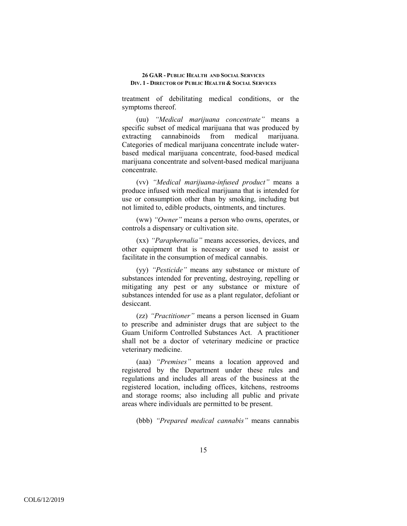treatment of debilitating medical conditions, or the symptoms thereof.

(uu) *"Medical marijuana concentrate"* means a specific subset of medical marijuana that was produced by extracting cannabinoids from medical marijuana. Categories of medical marijuana concentrate include waterbased medical marijuana concentrate, food-based medical marijuana concentrate and solvent-based medical marijuana concentrate.

(vv) *"Medical marijuana-infused product"* means a produce infused with medical marijuana that is intended for use or consumption other than by smoking, including but not limited to, edible products, ointments, and tinctures.

(ww) *"Owner"* means a person who owns, operates, or controls a dispensary or cultivation site.

(xx) *"Paraphernalia"* means accessories, devices, and other equipment that is necessary or used to assist or facilitate in the consumption of medical cannabis.

(yy) *"Pesticide"* means any substance or mixture of substances intended for preventing, destroying, repelling or mitigating any pest or any substance or mixture of substances intended for use as a plant regulator, defoliant or desiccant.

(zz) *"Practitioner"* means a person licensed in Guam to prescribe and administer drugs that are subject to the Guam Uniform Controlled Substances Act. A practitioner shall not be a doctor of veterinary medicine or practice veterinary medicine.

(aaa) *"Premises"* means a location approved and registered by the Department under these rules and regulations and includes all areas of the business at the registered location, including offices, kitchens, restrooms and storage rooms; also including all public and private areas where individuals are permitted to be present.

(bbb) *"Prepared medical cannabis"* means cannabis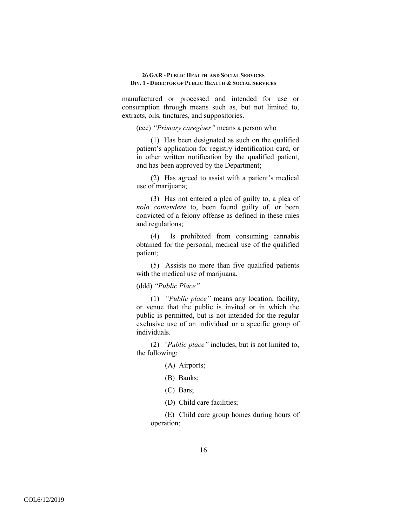manufactured or processed and intended for use or consumption through means such as, but not limited to, extracts, oils, tinctures, and suppositories.

(ccc) *"Primary caregiver"* means a person who

(1) Has been designated as such on the qualified patient's application for registry identification card, or in other written notification by the qualified patient, and has been approved by the Department;

(2) Has agreed to assist with a patient's medical use of marijuana;

(3) Has not entered a plea of guilty to, a plea of *nolo contendere* to, been found guilty of, or been convicted of a felony offense as defined in these rules and regulations;

(4) Is prohibited from consuming cannabis obtained for the personal, medical use of the qualified patient;

(5) Assists no more than five qualified patients with the medical use of marijuana.

(ddd) *"Public Place"*

(1) *"Public place"* means any location, facility, or venue that the public is invited or in which the public is permitted, but is not intended for the regular exclusive use of an individual or a specific group of individuals.

(2) *"Public place"* includes, but is not limited to, the following:

- (A) Airports;
- (B) Banks;
- (C) Bars;
- (D) Child care facilities;

(E) Child care group homes during hours of operation;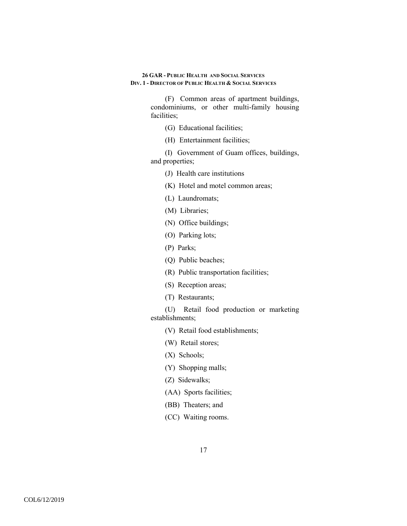> (F) Common areas of apartment buildings, condominiums, or other multi-family housing facilities;

- (G) Educational facilities;
- (H) Entertainment facilities;

(I) Government of Guam offices, buildings, and properties;

- (J) Health care institutions
- (K) Hotel and motel common areas;
- (L) Laundromats;
- (M) Libraries;
- (N) Office buildings;
- (O) Parking lots;
- (P) Parks;
- (Q) Public beaches;
- (R) Public transportation facilities;
- (S) Reception areas;
- (T) Restaurants;

(U) Retail food production or marketing establishments;

- (V) Retail food establishments;
- (W) Retail stores;
- (X) Schools;
- (Y) Shopping malls;
- (Z) Sidewalks;
- (AA) Sports facilities;
- (BB) Theaters; and
- (CC) Waiting rooms.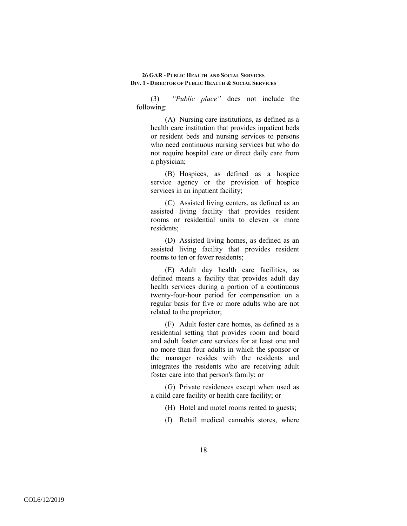(3) *"Public place"* does not include the following:

(A) Nursing care institutions, as defined as a health care institution that provides inpatient beds or resident beds and nursing services to persons who need continuous nursing services but who do not require hospital care or direct daily care from a physician;

(B) Hospices, as defined as a hospice service agency or the provision of hospice services in an inpatient facility;

(C) Assisted living centers, as defined as an assisted living facility that provides resident rooms or residential units to eleven or more residents;

(D) Assisted living homes, as defined as an assisted living facility that provides resident rooms to ten or fewer residents;

(E) Adult day health care facilities, as defined means a facility that provides adult day health services during a portion of a continuous twenty-four-hour period for compensation on a regular basis for five or more adults who are not related to the proprietor;

(F) Adult foster care homes, as defined as a residential setting that provides room and board and adult foster care services for at least one and no more than four adults in which the sponsor or the manager resides with the residents and integrates the residents who are receiving adult foster care into that person's family; or

(G) Private residences except when used as a child care facility or health care facility; or

(H) Hotel and motel rooms rented to guests;

(I) Retail medical cannabis stores, where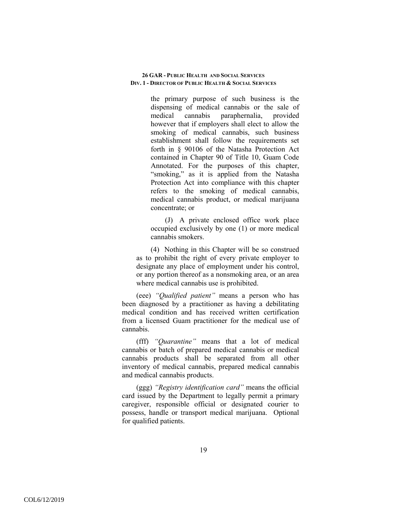the primary purpose of such business is the dispensing of medical cannabis or the sale of medical cannabis paraphernalia, provided however that if employers shall elect to allow the smoking of medical cannabis, such business establishment shall follow the requirements set forth in § 90106 of the Natasha Protection Act contained in Chapter 90 of Title 10, Guam Code Annotated. For the purposes of this chapter, "smoking," as it is applied from the Natasha Protection Act into compliance with this chapter refers to the smoking of medical cannabis, medical cannabis product, or medical marijuana concentrate; or

(J) A private enclosed office work place occupied exclusively by one (1) or more medical cannabis smokers.

(4) Nothing in this Chapter will be so construed as to prohibit the right of every private employer to designate any place of employment under his control, or any portion thereof as a nonsmoking area, or an area where medical cannabis use is prohibited.

(eee) *"Qualified patient"* means a person who has been diagnosed by a practitioner as having a debilitating medical condition and has received written certification from a licensed Guam practitioner for the medical use of cannabis.

(fff) *"Quarantine"* means that a lot of medical cannabis or batch of prepared medical cannabis or medical cannabis products shall be separated from all other inventory of medical cannabis, prepared medical cannabis and medical cannabis products.

(ggg) *"Registry identification card"* means the official card issued by the Department to legally permit a primary caregiver, responsible official or designated courier to possess, handle or transport medical marijuana. Optional for qualified patients.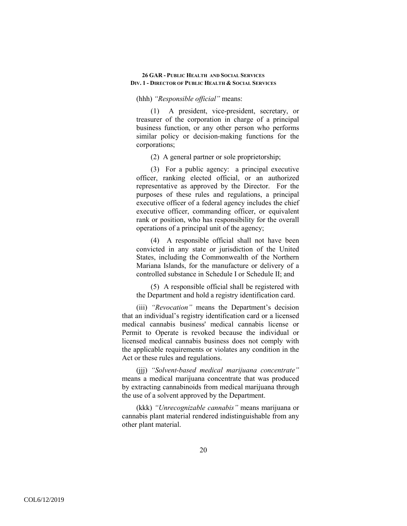## (hhh) *"Responsible official"* means:

(1) A president, vice-president, secretary, or treasurer of the corporation in charge of a principal business function, or any other person who performs similar policy or decision-making functions for the corporations;

(2) A general partner or sole proprietorship;

(3) For a public agency: a principal executive officer, ranking elected official, or an authorized representative as approved by the Director. For the purposes of these rules and regulations, a principal executive officer of a federal agency includes the chief executive officer, commanding officer, or equivalent rank or position, who has responsibility for the overall operations of a principal unit of the agency;

(4) A responsible official shall not have been convicted in any state or jurisdiction of the United States, including the Commonwealth of the Northern Mariana Islands, for the manufacture or delivery of a controlled substance in Schedule I or Schedule II; and

(5) A responsible official shall be registered with the Department and hold a registry identification card.

(iii) *"Revocation"* means the Department's decision that an individual's registry identification card or a licensed medical cannabis business' medical cannabis license or Permit to Operate is revoked because the individual or licensed medical cannabis business does not comply with the applicable requirements or violates any condition in the Act or these rules and regulations.

(jjj) *"Solvent-based medical marijuana concentrate"* means a medical marijuana concentrate that was produced by extracting cannabinoids from medical marijuana through the use of a solvent approved by the Department.

(kkk) *"Unrecognizable cannabis"* means marijuana or cannabis plant material rendered indistinguishable from any other plant material.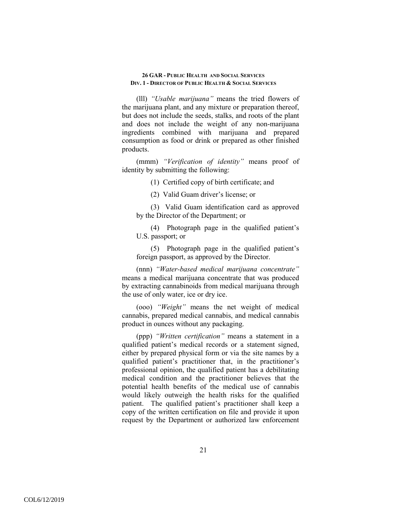(lll) *"Usable marijuana"* means the tried flowers of the marijuana plant, and any mixture or preparation thereof, but does not include the seeds, stalks, and roots of the plant and does not include the weight of any non-marijuana ingredients combined with marijuana and prepared consumption as food or drink or prepared as other finished products.

(mmm) *"Verification of identity"* means proof of identity by submitting the following:

(1) Certified copy of birth certificate; and

(2) Valid Guam driver's license; or

(3) Valid Guam identification card as approved by the Director of the Department; or

(4) Photograph page in the qualified patient's U.S. passport; or

(5) Photograph page in the qualified patient's foreign passport, as approved by the Director.

(nnn) *"Water-based medical marijuana concentrate"* means a medical marijuana concentrate that was produced by extracting cannabinoids from medical marijuana through the use of only water, ice or dry ice.

(ooo) *"Weight"* means the net weight of medical cannabis, prepared medical cannabis, and medical cannabis product in ounces without any packaging.

(ppp) *"Written certification"* means a statement in a qualified patient's medical records or a statement signed, either by prepared physical form or via the site names by a qualified patient's practitioner that, in the practitioner's professional opinion, the qualified patient has a debilitating medical condition and the practitioner believes that the potential health benefits of the medical use of cannabis would likely outweigh the health risks for the qualified patient. The qualified patient's practitioner shall keep a copy of the written certification on file and provide it upon request by the Department or authorized law enforcement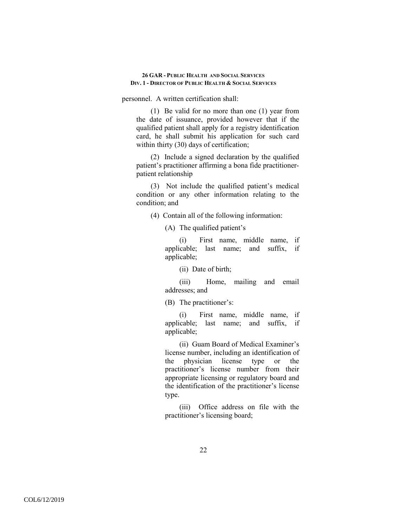personnel. A written certification shall:

(1) Be valid for no more than one (1) year from the date of issuance, provided however that if the qualified patient shall apply for a registry identification card, he shall submit his application for such card within thirty (30) days of certification;

(2) Include a signed declaration by the qualified patient's practitioner affirming a bona fide practitionerpatient relationship

(3) Not include the qualified patient's medical condition or any other information relating to the condition; and

(4) Contain all of the following information:

(A) The qualified patient's

(i) First name, middle name, if applicable; last name; and suffix, if applicable;

(ii) Date of birth;

(iii) Home, mailing and email addresses; and

(B) The practitioner's:

(i) First name, middle name, if applicable; last name; and suffix, if applicable;

(ii) Guam Board of Medical Examiner's license number, including an identification of the physician license type or the practitioner's license number from their appropriate licensing or regulatory board and the identification of the practitioner's license type.

(iii) Office address on file with the practitioner's licensing board;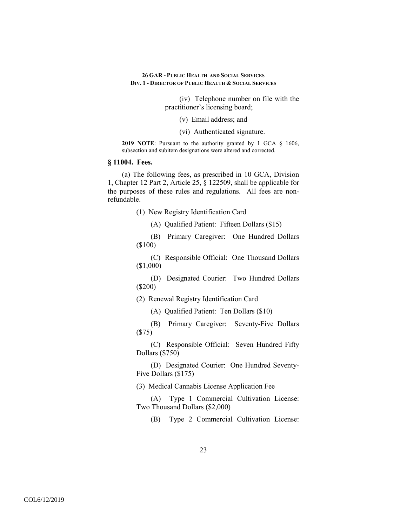> (iv) Telephone number on file with the practitioner's licensing board;

> > (v) Email address; and

(vi) Authenticated signature.

**2019 NOTE**: Pursuant to the authority granted by 1 GCA § 1606, subsection and subitem designations were altered and corrected.

# **§ 11004. Fees.**

(a) The following fees, as prescribed in 10 GCA, Division 1, Chapter 12 Part 2, Article 25, § 122509, shall be applicable for the purposes of these rules and regulations. All fees are nonrefundable.

(1) New Registry Identification Card

(A) Qualified Patient: Fifteen Dollars (\$15)

(B) Primary Caregiver: One Hundred Dollars (\$100)

(C) Responsible Official: One Thousand Dollars (\$1,000)

(D) Designated Courier: Two Hundred Dollars (\$200)

(2) Renewal Registry Identification Card

(A) Qualified Patient: Ten Dollars (\$10)

(B) Primary Caregiver: Seventy-Five Dollars (\$75)

(C) Responsible Official: Seven Hundred Fifty Dollars (\$750)

(D) Designated Courier: One Hundred Seventy-Five Dollars (\$175)

(3) Medical Cannabis License Application Fee

(A) Type 1 Commercial Cultivation License: Two Thousand Dollars (\$2,000)

(B) Type 2 Commercial Cultivation License: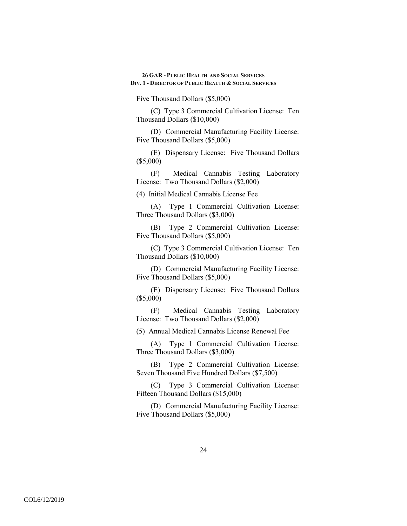Five Thousand Dollars (\$5,000)

(C) Type 3 Commercial Cultivation License: Ten Thousand Dollars (\$10,000)

(D) Commercial Manufacturing Facility License: Five Thousand Dollars (\$5,000)

(E) Dispensary License: Five Thousand Dollars (\$5,000)

(F) Medical Cannabis Testing Laboratory License: Two Thousand Dollars (\$2,000)

(4) Initial Medical Cannabis License Fee

(A) Type 1 Commercial Cultivation License: Three Thousand Dollars (\$3,000)

(B) Type 2 Commercial Cultivation License: Five Thousand Dollars (\$5,000)

(C) Type 3 Commercial Cultivation License: Ten Thousand Dollars (\$10,000)

(D) Commercial Manufacturing Facility License: Five Thousand Dollars (\$5,000)

(E) Dispensary License: Five Thousand Dollars (\$5,000)

(F) Medical Cannabis Testing Laboratory License: Two Thousand Dollars (\$2,000)

(5) Annual Medical Cannabis License Renewal Fee

(A) Type 1 Commercial Cultivation License: Three Thousand Dollars (\$3,000)

(B) Type 2 Commercial Cultivation License: Seven Thousand Five Hundred Dollars (\$7,500)

(C) Type 3 Commercial Cultivation License: Fifteen Thousand Dollars (\$15,000)

(D) Commercial Manufacturing Facility License: Five Thousand Dollars (\$5,000)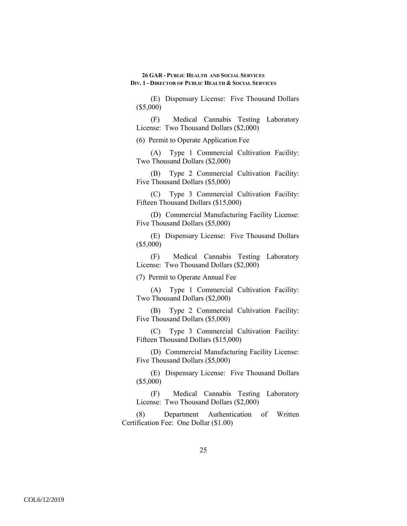(E) Dispensary License: Five Thousand Dollars (\$5,000)

(F) Medical Cannabis Testing Laboratory License: Two Thousand Dollars (\$2,000)

(6) Permit to Operate Application Fee

(A) Type 1 Commercial Cultivation Facility: Two Thousand Dollars (\$2,000)

(B) Type 2 Commercial Cultivation Facility: Five Thousand Dollars (\$5,000)

(C) Type 3 Commercial Cultivation Facility: Fifteen Thousand Dollars (\$15,000)

(D) Commercial Manufacturing Facility License: Five Thousand Dollars (\$5,000)

(E) Dispensary License: Five Thousand Dollars (\$5,000)

(F) Medical Cannabis Testing Laboratory License: Two Thousand Dollars (\$2,000)

(7) Permit to Operate Annual Fee

(A) Type 1 Commercial Cultivation Facility: Two Thousand Dollars (\$2,000)

(B) Type 2 Commercial Cultivation Facility: Five Thousand Dollars (\$5,000)

(C) Type 3 Commercial Cultivation Facility: Fifteen Thousand Dollars (\$15,000)

(D) Commercial Manufacturing Facility License: Five Thousand Dollars (\$5,000)

(E) Dispensary License: Five Thousand Dollars (\$5,000)

(F) Medical Cannabis Testing Laboratory License: Two Thousand Dollars (\$2,000)

(8) Department Authentication of Written Certification Fee: One Dollar (\$1.00)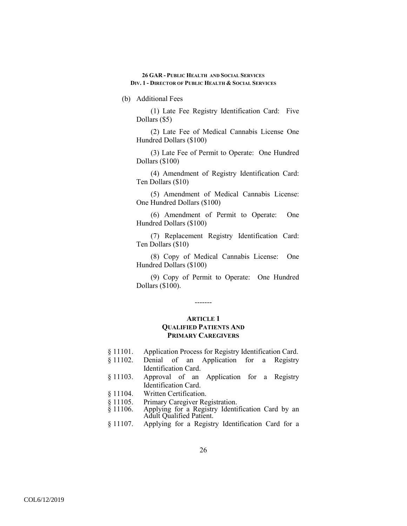(b) Additional Fees

(1) Late Fee Registry Identification Card: Five Dollars (\$5)

(2) Late Fee of Medical Cannabis License One Hundred Dollars (\$100)

(3) Late Fee of Permit to Operate: One Hundred Dollars (\$100)

(4) Amendment of Registry Identification Card: Ten Dollars (\$10)

(5) Amendment of Medical Cannabis License: One Hundred Dollars (\$100)

(6) Amendment of Permit to Operate: One Hundred Dollars (\$100)

(7) Replacement Registry Identification Card: Ten Dollars (\$10)

(8) Copy of Medical Cannabis License: One Hundred Dollars (\$100)

(9) Copy of Permit to Operate: One Hundred Dollars (\$100).

-------

## **ARTICLE 1 QUALIFIED PATIENTS AND PRIMARY CAREGIVERS**

- § 11101. Application Process for Registry Identification Card.
- § 11102. Denial of an Application for a Registry Identification Card.
- § 11103. Approval of an Application for a Registry Identification Card.
- § 11104. Written Certification.
- 
- § 11105. Primary Caregiver Registration.<br>§ 11106. Applying for a Registry Identi Applying for a Registry Identification Card by an Adult Qualified Patient.
- § 11107. Applying for a Registry Identification Card for a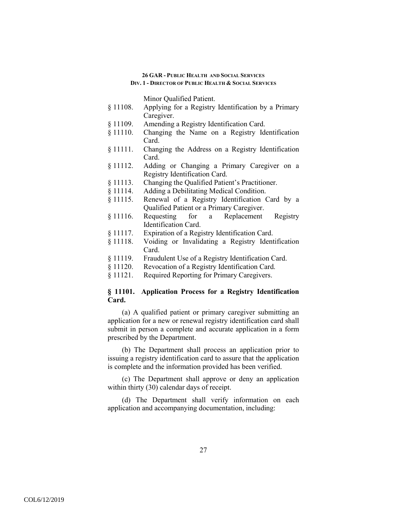Minor Qualified Patient.

- § 11108. Applying for a Registry Identification by a Primary Caregiver.
- § 11109. Amending a Registry Identification Card.
- § 11110. Changing the Name on a Registry Identification Card.
- § 11111. Changing the Address on a Registry Identification Card.
- § 11112. Adding or Changing a Primary Caregiver on a Registry Identification Card.
- § 11113. Changing the Qualified Patient's Practitioner.
- § 11114. Adding a Debilitating Medical Condition.
- § 11115. Renewal of a Registry Identification Card by a Qualified Patient or a Primary Caregiver.
- § 11116. Requesting for a Replacement Registry Identification Card.
- § 11117. Expiration of a Registry Identification Card.
- § 11118. Voiding or Invalidating a Registry Identification Card.
- § 11119. Fraudulent Use of a Registry Identification Card.
- § 11120. Revocation of a Registry Identification Card.
- § 11121. Required Reporting for Primary Caregivers.

# **§ 11101. Application Process for a Registry Identification Card.**

(a) A qualified patient or primary caregiver submitting an application for a new or renewal registry identification card shall submit in person a complete and accurate application in a form prescribed by the Department.

(b) The Department shall process an application prior to issuing a registry identification card to assure that the application is complete and the information provided has been verified.

(c) The Department shall approve or deny an application within thirty (30) calendar days of receipt.

(d) The Department shall verify information on each application and accompanying documentation, including: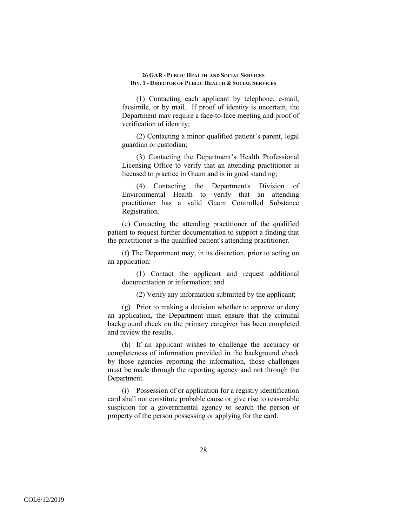(1) Contacting each applicant by telephone, e-mail, facsimile, or by mail. If proof of identity is uncertain, the Department may require a face-to-face meeting and proof of verification of identity;

(2) Contacting a minor qualified patient's parent, legal guardian or custodian;

(3) Contacting the Department's Health Professional Licensing Office to verify that an attending practitioner is licensed to practice in Guam and is in good standing;

(4) Contacting the Department's Division of Environmental Health to verify that an attending practitioner has a valid Guam Controlled Substance Registration.

(e) Contacting the attending practitioner of the qualified patient to request further documentation to support a finding that the practitioner is the qualified patient's attending practitioner.

(f) The Department may, in its discretion, prior to acting on an application:

(1) Contact the applicant and request additional documentation or information; and

(2) Verify any information submitted by the applicant;

(g) Prior to making a decision whether to approve or deny an application, the Department must ensure that the criminal background check on the primary caregiver has been completed and review the results.

(h) If an applicant wishes to challenge the accuracy or completeness of information provided in the background check by those agencies reporting the information, those challenges must be made through the reporting agency and not through the Department.

(i) Possession of or application for a registry identification card shall not constitute probable cause or give rise to reasonable suspicion for a governmental agency to search the person or property of the person possessing or applying for the card.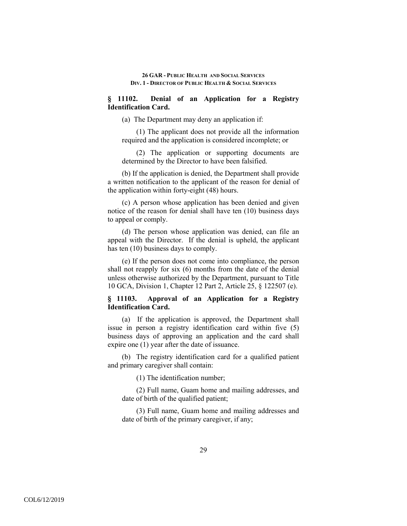# **§ 11102. Denial of an Application for a Registry Identification Card.**

(a) The Department may deny an application if:

(1) The applicant does not provide all the information required and the application is considered incomplete; or

(2) The application or supporting documents are determined by the Director to have been falsified.

(b) If the application is denied, the Department shall provide a written notification to the applicant of the reason for denial of the application within forty-eight (48) hours.

(c) A person whose application has been denied and given notice of the reason for denial shall have ten (10) business days to appeal or comply.

(d) The person whose application was denied, can file an appeal with the Director. If the denial is upheld, the applicant has ten (10) business days to comply.

(e) If the person does not come into compliance, the person shall not reapply for six (6) months from the date of the denial unless otherwise authorized by the Department, pursuant to Title 10 GCA, Division 1, Chapter 12 Part 2, Article 25, § 122507 (e).

# **§ 11103. Approval of an Application for a Registry Identification Card.**

(a) If the application is approved, the Department shall issue in person a registry identification card within five (5) business days of approving an application and the card shall expire one (1) year after the date of issuance.

(b) The registry identification card for a qualified patient and primary caregiver shall contain:

(1) The identification number;

(2) Full name, Guam home and mailing addresses, and date of birth of the qualified patient;

(3) Full name, Guam home and mailing addresses and date of birth of the primary caregiver, if any;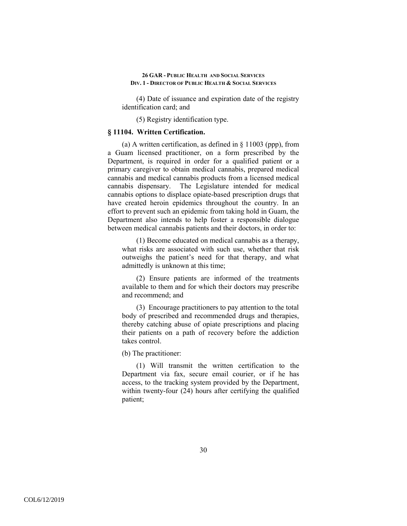(4) Date of issuance and expiration date of the registry identification card; and

(5) Registry identification type.

## **§ 11104. Written Certification.**

(a) A written certification, as defined in § 11003 (ppp), from a Guam licensed practitioner, on a form prescribed by the Department, is required in order for a qualified patient or a primary caregiver to obtain medical cannabis, prepared medical cannabis and medical cannabis products from a licensed medical cannabis dispensary. The Legislature intended for medical cannabis options to displace opiate-based prescription drugs that have created heroin epidemics throughout the country. In an effort to prevent such an epidemic from taking hold in Guam, the Department also intends to help foster a responsible dialogue between medical cannabis patients and their doctors, in order to:

(1) Become educated on medical cannabis as a therapy, what risks are associated with such use, whether that risk outweighs the patient's need for that therapy, and what admittedly is unknown at this time;

(2) Ensure patients are informed of the treatments available to them and for which their doctors may prescribe and recommend; and

(3) Encourage practitioners to pay attention to the total body of prescribed and recommended drugs and therapies, thereby catching abuse of opiate prescriptions and placing their patients on a path of recovery before the addiction takes control.

(b) The practitioner:

(1) Will transmit the written certification to the Department via fax, secure email courier, or if he has access, to the tracking system provided by the Department, within twenty-four (24) hours after certifying the qualified patient;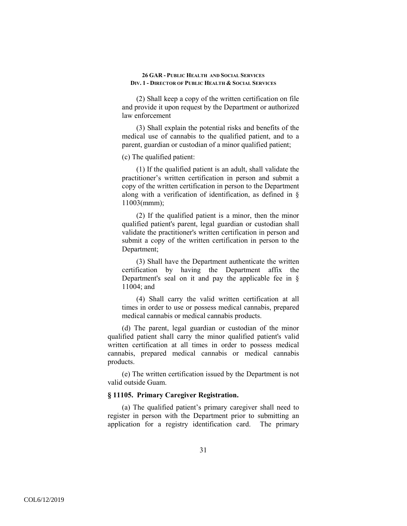(2) Shall keep a copy of the written certification on file and provide it upon request by the Department or authorized law enforcement

(3) Shall explain the potential risks and benefits of the medical use of cannabis to the qualified patient, and to a parent, guardian or custodian of a minor qualified patient;

(c) The qualified patient:

(1) If the qualified patient is an adult, shall validate the practitioner's written certification in person and submit a copy of the written certification in person to the Department along with a verification of identification, as defined in § 11003(mmm);

(2) If the qualified patient is a minor, then the minor qualified patient's parent, legal guardian or custodian shall validate the practitioner's written certification in person and submit a copy of the written certification in person to the Department;

(3) Shall have the Department authenticate the written certification by having the Department affix the Department's seal on it and pay the applicable fee in  $\delta$ 11004; and

(4) Shall carry the valid written certification at all times in order to use or possess medical cannabis, prepared medical cannabis or medical cannabis products.

(d) The parent, legal guardian or custodian of the minor qualified patient shall carry the minor qualified patient's valid written certification at all times in order to possess medical cannabis, prepared medical cannabis or medical cannabis products.

(e) The written certification issued by the Department is not valid outside Guam.

## **§ 11105. Primary Caregiver Registration.**

(a) The qualified patient's primary caregiver shall need to register in person with the Department prior to submitting an application for a registry identification card. The primary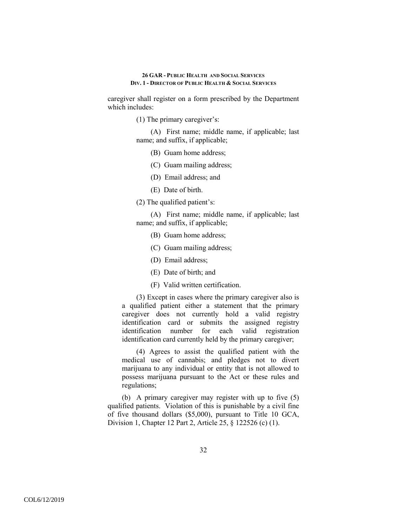caregiver shall register on a form prescribed by the Department which includes:

(1) The primary caregiver's:

(A) First name; middle name, if applicable; last name; and suffix, if applicable;

- (B) Guam home address;
- (C) Guam mailing address;
- (D) Email address; and
- (E) Date of birth.

(2) The qualified patient's:

(A) First name; middle name, if applicable; last name; and suffix, if applicable;

- (B) Guam home address;
- (C) Guam mailing address;
- (D) Email address;
- (E) Date of birth; and
- (F) Valid written certification.

(3) Except in cases where the primary caregiver also is a qualified patient either a statement that the primary caregiver does not currently hold a valid registry identification card or submits the assigned registry identification number for each valid registration identification card currently held by the primary caregiver;

(4) Agrees to assist the qualified patient with the medical use of cannabis; and pledges not to divert marijuana to any individual or entity that is not allowed to possess marijuana pursuant to the Act or these rules and regulations;

(b) A primary caregiver may register with up to five (5) qualified patients. Violation of this is punishable by a civil fine of five thousand dollars (\$5,000), pursuant to Title 10 GCA, Division 1, Chapter 12 Part 2, Article 25, § 122526 (c) (1).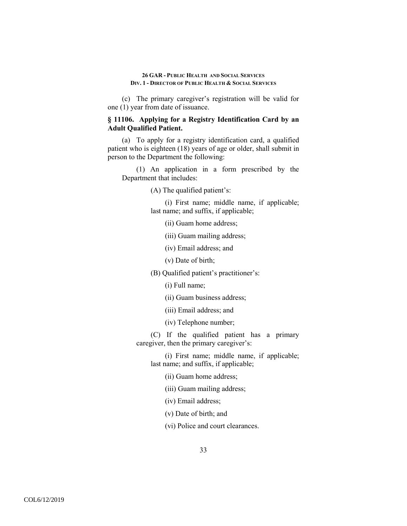(c) The primary caregiver's registration will be valid for one (1) year from date of issuance.

# **§ 11106. Applying for a Registry Identification Card by an Adult Qualified Patient.**

(a) To apply for a registry identification card, a qualified patient who is eighteen (18) years of age or older, shall submit in person to the Department the following:

(1) An application in a form prescribed by the Department that includes:

(A) The qualified patient's:

(i) First name; middle name, if applicable; last name; and suffix, if applicable;

(ii) Guam home address;

(iii) Guam mailing address;

(iv) Email address; and

(v) Date of birth;

(B) Qualified patient's practitioner's:

(i) Full name;

(ii) Guam business address;

(iii) Email address; and

(iv) Telephone number;

(C) If the qualified patient has a primary caregiver, then the primary caregiver's:

(i) First name; middle name, if applicable; last name; and suffix, if applicable;

(ii) Guam home address;

(iii) Guam mailing address;

(iv) Email address;

(v) Date of birth; and

(vi) Police and court clearances.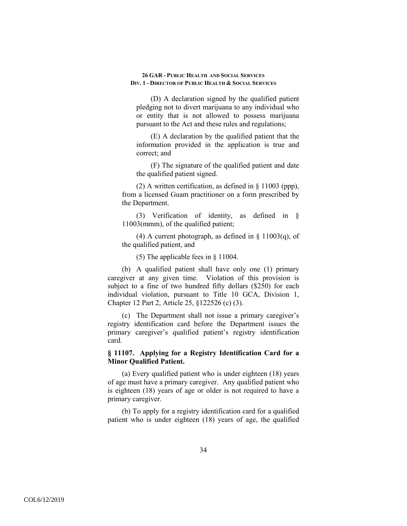(D) A declaration signed by the qualified patient pledging not to divert marijuana to any individual who or entity that is not allowed to possess marijuana pursuant to the Act and these rules and regulations;

(E) A declaration by the qualified patient that the information provided in the application is true and correct; and

(F) The signature of the qualified patient and date the qualified patient signed.

(2) A written certification, as defined in § 11003 (ppp), from a licensed Guam practitioner on a form prescribed by the Department.

(3) Verification of identity, as defined in § 11003(mmm), of the qualified patient;

(4) A current photograph, as defined in  $\S$  11003(q), of the qualified patient, and

(5) The applicable fees in § 11004.

(b) A qualified patient shall have only one (1) primary caregiver at any given time. Violation of this provision is subject to a fine of two hundred fifty dollars (\$250) for each individual violation, pursuant to Title 10 GCA, Division 1, Chapter 12 Part 2, Article 25, §122526 (c) (3).

(c) The Department shall not issue a primary caregiver's registry identification card before the Department issues the primary caregiver's qualified patient's registry identification card.

# **§ 11107. Applying for a Registry Identification Card for a Minor Qualified Patient.**

(a) Every qualified patient who is under eighteen (18) years of age must have a primary caregiver. Any qualified patient who is eighteen (18) years of age or older is not required to have a primary caregiver.

(b) To apply for a registry identification card for a qualified patient who is under eighteen (18) years of age, the qualified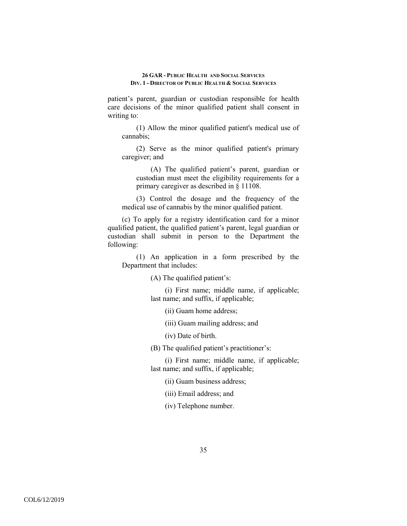patient's parent, guardian or custodian responsible for health care decisions of the minor qualified patient shall consent in writing to:

(1) Allow the minor qualified patient's medical use of cannabis;

(2) Serve as the minor qualified patient's primary caregiver; and

(A) The qualified patient's parent, guardian or custodian must meet the eligibility requirements for a primary caregiver as described in § 11108.

(3) Control the dosage and the frequency of the medical use of cannabis by the minor qualified patient.

(c) To apply for a registry identification card for a minor qualified patient, the qualified patient's parent, legal guardian or custodian shall submit in person to the Department the following:

(1) An application in a form prescribed by the Department that includes:

(A) The qualified patient's:

(i) First name; middle name, if applicable; last name; and suffix, if applicable;

(ii) Guam home address;

(iii) Guam mailing address; and

(iv) Date of birth.

(B) The qualified patient's practitioner's:

(i) First name; middle name, if applicable; last name; and suffix, if applicable;

(ii) Guam business address;

(iii) Email address; and

(iv) Telephone number.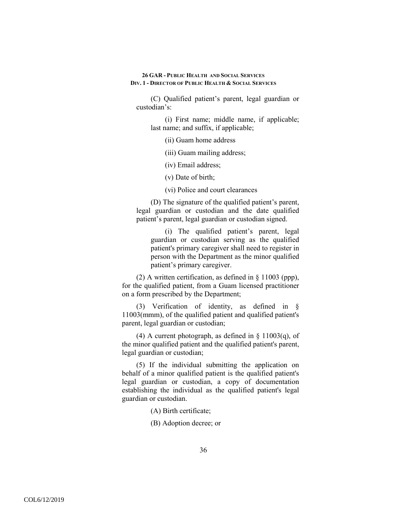(C) Qualified patient's parent, legal guardian or custodian's:

(i) First name; middle name, if applicable; last name; and suffix, if applicable;

(ii) Guam home address

(iii) Guam mailing address;

(iv) Email address;

(v) Date of birth;

(vi) Police and court clearances

(D) The signature of the qualified patient's parent, legal guardian or custodian and the date qualified patient's parent, legal guardian or custodian signed.

(i) The qualified patient's parent, legal guardian or custodian serving as the qualified patient's primary caregiver shall need to register in person with the Department as the minor qualified patient's primary caregiver.

(2) A written certification, as defined in § 11003 (ppp), for the qualified patient, from a Guam licensed practitioner on a form prescribed by the Department;

(3) Verification of identity, as defined in § 11003(mmm), of the qualified patient and qualified patient's parent, legal guardian or custodian;

(4) A current photograph, as defined in  $\S$  11003(q), of the minor qualified patient and the qualified patient's parent, legal guardian or custodian;

(5) If the individual submitting the application on behalf of a minor qualified patient is the qualified patient's legal guardian or custodian, a copy of documentation establishing the individual as the qualified patient's legal guardian or custodian.

(A) Birth certificate;

(B) Adoption decree; or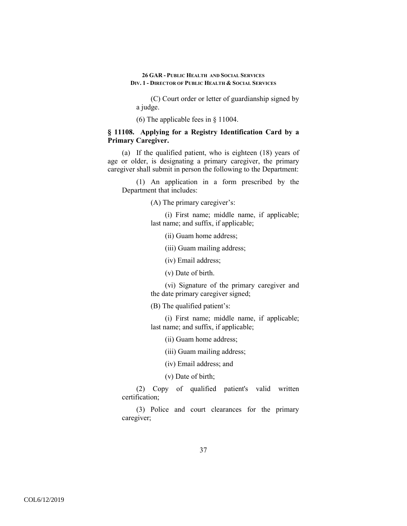(C) Court order or letter of guardianship signed by a judge.

(6) The applicable fees in § 11004.

# **§ 11108. Applying for a Registry Identification Card by a Primary Caregiver.**

(a) If the qualified patient, who is eighteen (18) years of age or older, is designating a primary caregiver, the primary caregiver shall submit in person the following to the Department:

(1) An application in a form prescribed by the Department that includes:

(A) The primary caregiver's:

(i) First name; middle name, if applicable; last name; and suffix, if applicable;

(ii) Guam home address;

(iii) Guam mailing address;

(iv) Email address;

(v) Date of birth.

(vi) Signature of the primary caregiver and the date primary caregiver signed;

(B) The qualified patient's:

(i) First name; middle name, if applicable; last name; and suffix, if applicable;

(ii) Guam home address;

(iii) Guam mailing address;

(iv) Email address; and

(v) Date of birth;

(2) Copy of qualified patient's valid written certification;

(3) Police and court clearances for the primary caregiver;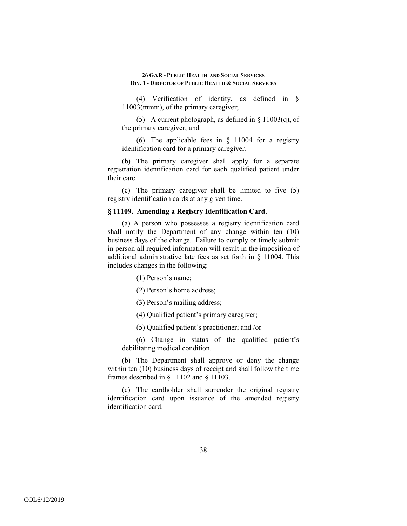(4) Verification of identity, as defined in § 11003(mmm), of the primary caregiver;

(5) A current photograph, as defined in § 11003(q), of the primary caregiver; and

(6) The applicable fees in § 11004 for a registry identification card for a primary caregiver.

(b) The primary caregiver shall apply for a separate registration identification card for each qualified patient under their care.

(c) The primary caregiver shall be limited to five (5) registry identification cards at any given time.

## **§ 11109. Amending a Registry Identification Card.**

(a) A person who possesses a registry identification card shall notify the Department of any change within ten (10) business days of the change. Failure to comply or timely submit in person all required information will result in the imposition of additional administrative late fees as set forth in § 11004. This includes changes in the following:

(1) Person's name;

(2) Person's home address;

(3) Person's mailing address;

(4) Qualified patient's primary caregiver;

(5) Qualified patient's practitioner; and /or

(6) Change in status of the qualified patient's debilitating medical condition.

(b) The Department shall approve or deny the change within ten (10) business days of receipt and shall follow the time frames described in § 11102 and § 11103.

(c) The cardholder shall surrender the original registry identification card upon issuance of the amended registry identification card.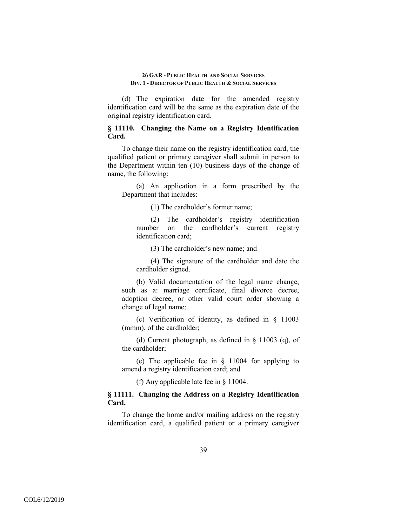(d) The expiration date for the amended registry identification card will be the same as the expiration date of the original registry identification card.

# **§ 11110. Changing the Name on a Registry Identification Card.**

To change their name on the registry identification card, the qualified patient or primary caregiver shall submit in person to the Department within ten (10) business days of the change of name, the following:

(a) An application in a form prescribed by the Department that includes:

(1) The cardholder's former name;

(2) The cardholder's registry identification number on the cardholder's current registry identification card;

(3) The cardholder's new name; and

(4) The signature of the cardholder and date the cardholder signed.

(b) Valid documentation of the legal name change, such as a: marriage certificate, final divorce decree, adoption decree, or other valid court order showing a change of legal name;

(c) Verification of identity, as defined in § 11003 (mmm), of the cardholder;

(d) Current photograph, as defined in § 11003 (q), of the cardholder;

(e) The applicable fee in § 11004 for applying to amend a registry identification card; and

(f) Any applicable late fee in § 11004.

# **§ 11111. Changing the Address on a Registry Identification Card.**

To change the home and/or mailing address on the registry identification card, a qualified patient or a primary caregiver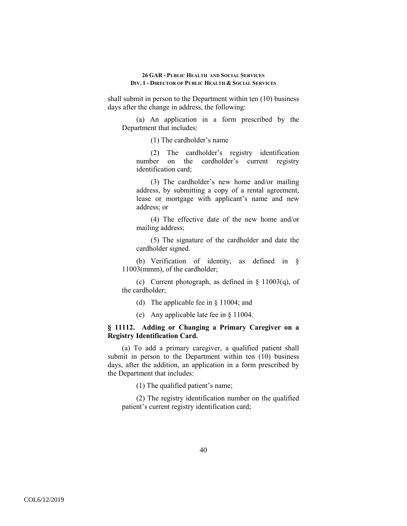shall submit in person to the Department within ten (10) business days after the change in address, the following:

(a) An application in a form prescribed by the Department that includes:

(1) The cardholder's name

(2) The cardholder's registry identification number on the cardholder's current registry identification card;

(3) The cardholder's new home and/or mailing address, by submitting a copy of a rental agreement, lease or mortgage with applicant's name and new address; or

(4) The effective date of the new home and/or mailing address;

(5) The signature of the cardholder and date the cardholder signed.

(b) Verification of identity, as defined in § 11003(mmm), of the cardholder;

(c) Current photograph, as defined in  $\S$  11003(q), of the cardholder;

- (d) The applicable fee in § 11004; and
- (e) Any applicable late fee in § 11004.

# **§ 11112. Adding or Changing a Primary Caregiver on a Registry Identification Card.**

(a) To add a primary caregiver, a qualified patient shall submit in person to the Department within ten (10) business days, after the addition, an application in a form prescribed by the Department that includes:

(1) The qualified patient's name;

(2) The registry identification number on the qualified patient's current registry identification card;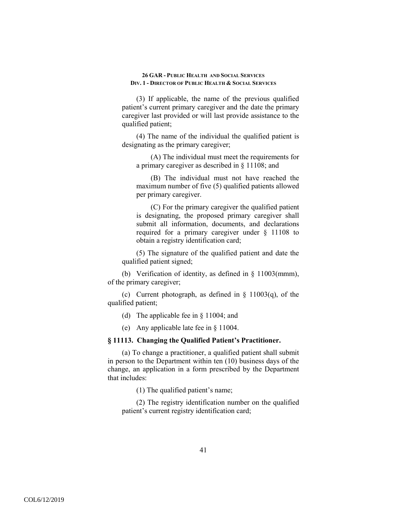(3) If applicable, the name of the previous qualified patient's current primary caregiver and the date the primary caregiver last provided or will last provide assistance to the qualified patient;

(4) The name of the individual the qualified patient is designating as the primary caregiver;

(A) The individual must meet the requirements for a primary caregiver as described in § 11108; and

(B) The individual must not have reached the maximum number of five (5) qualified patients allowed per primary caregiver.

(C) For the primary caregiver the qualified patient is designating, the proposed primary caregiver shall submit all information, documents, and declarations required for a primary caregiver under § 11108 to obtain a registry identification card;

(5) The signature of the qualified patient and date the qualified patient signed;

(b) Verification of identity, as defined in § 11003(mmm), of the primary caregiver;

(c) Current photograph, as defined in  $\S$  11003(q), of the qualified patient;

(d) The applicable fee in § 11004; and

(e) Any applicable late fee in § 11004.

## **§ 11113. Changing the Qualified Patient's Practitioner.**

(a) To change a practitioner, a qualified patient shall submit in person to the Department within ten (10) business days of the change, an application in a form prescribed by the Department that includes:

(1) The qualified patient's name;

(2) The registry identification number on the qualified patient's current registry identification card;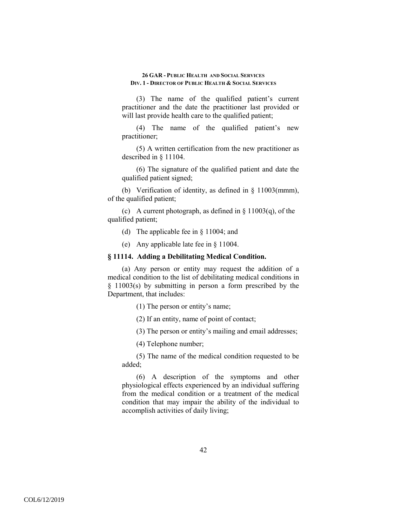(3) The name of the qualified patient's current practitioner and the date the practitioner last provided or will last provide health care to the qualified patient;

(4) The name of the qualified patient's new practitioner;

(5) A written certification from the new practitioner as described in § 11104.

(6) The signature of the qualified patient and date the qualified patient signed;

(b) Verification of identity, as defined in § 11003(mmm), of the qualified patient;

(c) A current photograph, as defined in  $\S$  11003(q), of the qualified patient;

(d) The applicable fee in § 11004; and

(e) Any applicable late fee in § 11004.

## **§ 11114. Adding a Debilitating Medical Condition.**

(a) Any person or entity may request the addition of a medical condition to the list of debilitating medical conditions in § 11003(s) by submitting in person a form prescribed by the Department, that includes:

(1) The person or entity's name;

(2) If an entity, name of point of contact;

(3) The person or entity's mailing and email addresses;

(4) Telephone number;

(5) The name of the medical condition requested to be added;

(6) A description of the symptoms and other physiological effects experienced by an individual suffering from the medical condition or a treatment of the medical condition that may impair the ability of the individual to accomplish activities of daily living;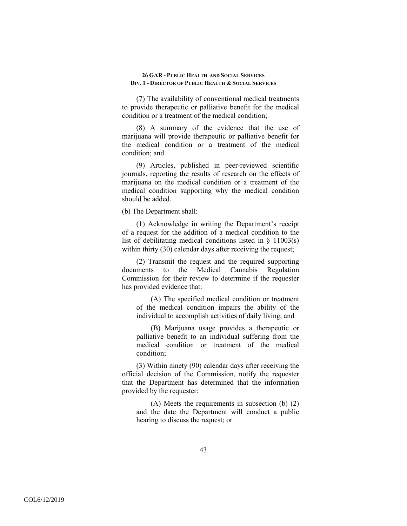(7) The availability of conventional medical treatments to provide therapeutic or palliative benefit for the medical condition or a treatment of the medical condition;

(8) A summary of the evidence that the use of marijuana will provide therapeutic or palliative benefit for the medical condition or a treatment of the medical condition; and

(9) Articles, published in peer-reviewed scientific journals, reporting the results of research on the effects of marijuana on the medical condition or a treatment of the medical condition supporting why the medical condition should be added.

(b) The Department shall:

(1) Acknowledge in writing the Department's receipt of a request for the addition of a medical condition to the list of debilitating medical conditions listed in  $\S$  11003(s) within thirty (30) calendar days after receiving the request;

(2) Transmit the request and the required supporting documents to the Medical Cannabis Regulation Commission for their review to determine if the requester has provided evidence that:

(A) The specified medical condition or treatment of the medical condition impairs the ability of the individual to accomplish activities of daily living, and

(B) Marijuana usage provides a therapeutic or palliative benefit to an individual suffering from the medical condition or treatment of the medical condition;

(3) Within ninety (90) calendar days after receiving the official decision of the Commission, notify the requester that the Department has determined that the information provided by the requester:

(A) Meets the requirements in subsection (b) (2) and the date the Department will conduct a public hearing to discuss the request; or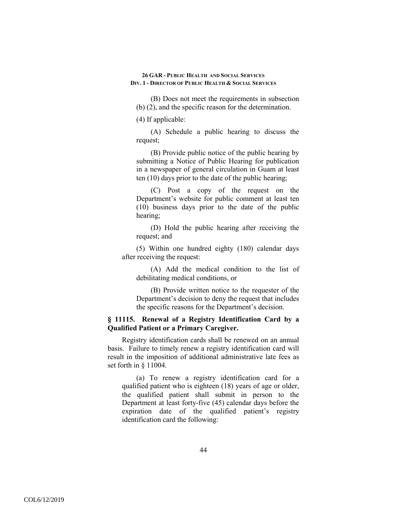(B) Does not meet the requirements in subsection (b) (2), and the specific reason for the determination.

(4) If applicable:

(A) Schedule a public hearing to discuss the request;

(B) Provide public notice of the public hearing by submitting a Notice of Public Hearing for publication in a newspaper of general circulation in Guam at least ten (10) days prior to the date of the public hearing;

(C) Post a copy of the request on the Department's website for public comment at least ten (10) business days prior to the date of the public hearing;

(D) Hold the public hearing after receiving the request; and

(5) Within one hundred eighty (180) calendar days after receiving the request:

(A) Add the medical condition to the list of debilitating medical conditions, or

(B) Provide written notice to the requester of the Department's decision to deny the request that includes the specific reasons for the Department's decision.

# **§ 11115. Renewal of a Registry Identification Card by a Qualified Patient or a Primary Caregiver.**

Registry identification cards shall be renewed on an annual basis. Failure to timely renew a registry identification card will result in the imposition of additional administrative late fees as set forth in § 11004.

(a) To renew a registry identification card for a qualified patient who is eighteen (18) years of age or older, the qualified patient shall submit in person to the Department at least forty-five (45) calendar days before the expiration date of the qualified patient's registry identification card the following: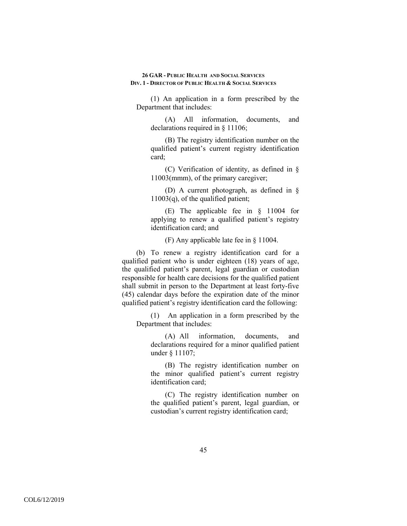(1) An application in a form prescribed by the Department that includes:

(A) All information, documents, and declarations required in § 11106;

(B) The registry identification number on the qualified patient's current registry identification card;

(C) Verification of identity, as defined in § 11003(mmm), of the primary caregiver;

(D) A current photograph, as defined in § 11003(q), of the qualified patient;

(E) The applicable fee in § 11004 for applying to renew a qualified patient's registry identification card; and

(F) Any applicable late fee in § 11004.

(b) To renew a registry identification card for a qualified patient who is under eighteen (18) years of age, the qualified patient's parent, legal guardian or custodian responsible for health care decisions for the qualified patient shall submit in person to the Department at least forty-five (45) calendar days before the expiration date of the minor qualified patient's registry identification card the following:

(1) An application in a form prescribed by the Department that includes:

(A) All information, documents, and declarations required for a minor qualified patient under § 11107;

(B) The registry identification number on the minor qualified patient's current registry identification card;

(C) The registry identification number on the qualified patient's parent, legal guardian, or custodian's current registry identification card;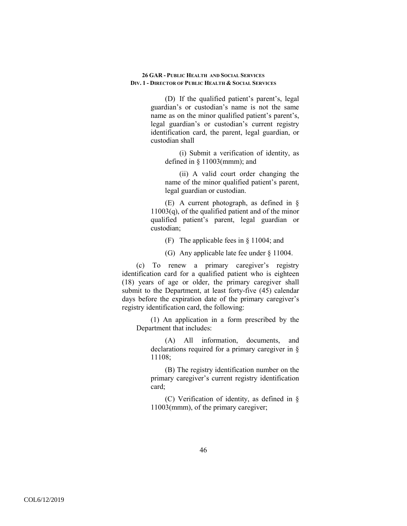(D) If the qualified patient's parent's, legal guardian's or custodian's name is not the same name as on the minor qualified patient's parent's, legal guardian's or custodian's current registry identification card, the parent, legal guardian, or custodian shall

(i) Submit a verification of identity, as defined in § 11003(mmm); and

(ii) A valid court order changing the name of the minor qualified patient's parent, legal guardian or custodian.

(E) A current photograph, as defined in §  $11003(q)$ , of the qualified patient and of the minor qualified patient's parent, legal guardian or custodian;

(F) The applicable fees in § 11004; and

(G) Any applicable late fee under § 11004.

(c) To renew a primary caregiver's registry identification card for a qualified patient who is eighteen (18) years of age or older, the primary caregiver shall submit to the Department, at least forty-five (45) calendar days before the expiration date of the primary caregiver's registry identification card, the following:

(1) An application in a form prescribed by the Department that includes:

(A) All information, documents, and declarations required for a primary caregiver in § 11108;

(B) The registry identification number on the primary caregiver's current registry identification card;

(C) Verification of identity, as defined in § 11003(mmm), of the primary caregiver;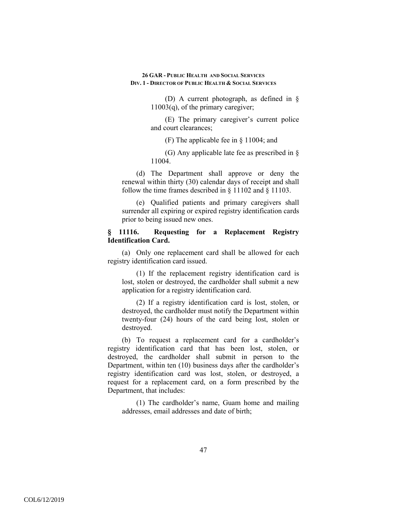(D) A current photograph, as defined in § 11003(q), of the primary caregiver;

(E) The primary caregiver's current police and court clearances;

(F) The applicable fee in § 11004; and

(G) Any applicable late fee as prescribed in § 11004.

(d) The Department shall approve or deny the renewal within thirty (30) calendar days of receipt and shall follow the time frames described in § 11102 and § 11103.

(e) Qualified patients and primary caregivers shall surrender all expiring or expired registry identification cards prior to being issued new ones.

# **§ 11116. Requesting for a Replacement Registry Identification Card.**

(a) Only one replacement card shall be allowed for each registry identification card issued.

(1) If the replacement registry identification card is lost, stolen or destroyed, the cardholder shall submit a new application for a registry identification card.

(2) If a registry identification card is lost, stolen, or destroyed, the cardholder must notify the Department within twenty-four (24) hours of the card being lost, stolen or destroyed.

(b) To request a replacement card for a cardholder's registry identification card that has been lost, stolen, or destroyed, the cardholder shall submit in person to the Department, within ten (10) business days after the cardholder's registry identification card was lost, stolen, or destroyed, a request for a replacement card, on a form prescribed by the Department, that includes:

(1) The cardholder's name, Guam home and mailing addresses, email addresses and date of birth;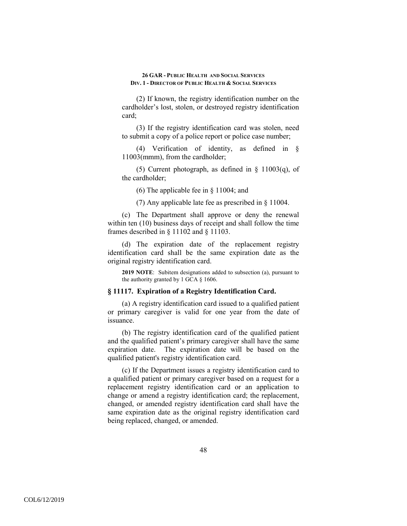(2) If known, the registry identification number on the cardholder's lost, stolen, or destroyed registry identification card;

(3) If the registry identification card was stolen, need to submit a copy of a police report or police case number;

(4) Verification of identity, as defined in § 11003(mmm), from the cardholder;

(5) Current photograph, as defined in  $\S$  11003(q), of the cardholder;

(6) The applicable fee in § 11004; and

(7) Any applicable late fee as prescribed in § 11004.

(c) The Department shall approve or deny the renewal within ten (10) business days of receipt and shall follow the time frames described in § 11102 and § 11103.

(d) The expiration date of the replacement registry identification card shall be the same expiration date as the original registry identification card.

**2019 NOTE**: Subitem designations added to subsection (a), pursuant to the authority granted by 1 GCA § 1606.

# **§ 11117. Expiration of a Registry Identification Card.**

(a) A registry identification card issued to a qualified patient or primary caregiver is valid for one year from the date of issuance.

(b) The registry identification card of the qualified patient and the qualified patient's primary caregiver shall have the same expiration date. The expiration date will be based on the qualified patient's registry identification card.

(c) If the Department issues a registry identification card to a qualified patient or primary caregiver based on a request for a replacement registry identification card or an application to change or amend a registry identification card; the replacement, changed, or amended registry identification card shall have the same expiration date as the original registry identification card being replaced, changed, or amended.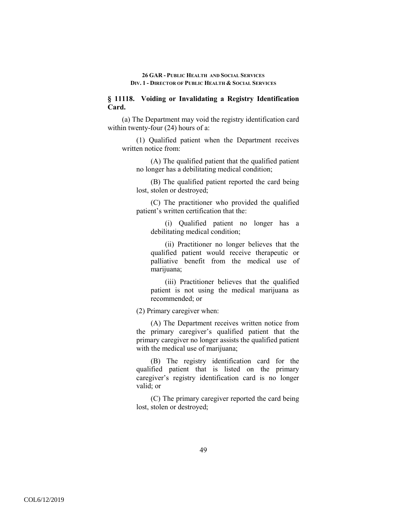# **§ 11118. Voiding or Invalidating a Registry Identification Card.**

(a) The Department may void the registry identification card within twenty-four (24) hours of a:

(1) Qualified patient when the Department receives written notice from:

(A) The qualified patient that the qualified patient no longer has a debilitating medical condition;

(B) The qualified patient reported the card being lost, stolen or destroyed;

(C) The practitioner who provided the qualified patient's written certification that the:

(i) Qualified patient no longer has a debilitating medical condition;

(ii) Practitioner no longer believes that the qualified patient would receive therapeutic or palliative benefit from the medical use of marijuana;

(iii) Practitioner believes that the qualified patient is not using the medical marijuana as recommended; or

(2) Primary caregiver when:

(A) The Department receives written notice from the primary caregiver's qualified patient that the primary caregiver no longer assists the qualified patient with the medical use of marijuana;

(B) The registry identification card for the qualified patient that is listed on the primary caregiver's registry identification card is no longer valid; or

(C) The primary caregiver reported the card being lost, stolen or destroyed;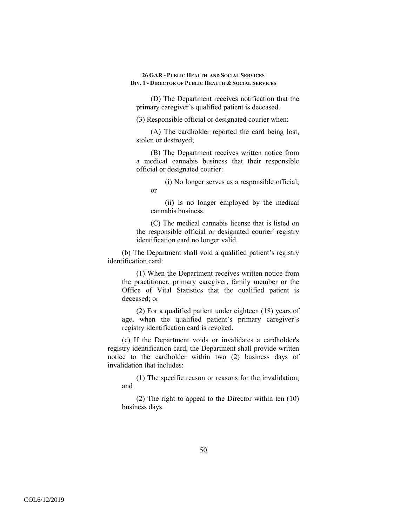(D) The Department receives notification that the primary caregiver's qualified patient is deceased.

(3) Responsible official or designated courier when:

(A) The cardholder reported the card being lost, stolen or destroyed;

(B) The Department receives written notice from a medical cannabis business that their responsible official or designated courier:

(i) No longer serves as a responsible official; or

(ii) Is no longer employed by the medical cannabis business.

(C) The medical cannabis license that is listed on the responsible official or designated courier' registry identification card no longer valid.

(b) The Department shall void a qualified patient's registry identification card:

(1) When the Department receives written notice from the practitioner, primary caregiver, family member or the Office of Vital Statistics that the qualified patient is deceased; or

(2) For a qualified patient under eighteen (18) years of age, when the qualified patient's primary caregiver's registry identification card is revoked.

(c) If the Department voids or invalidates a cardholder's registry identification card, the Department shall provide written notice to the cardholder within two (2) business days of invalidation that includes:

(1) The specific reason or reasons for the invalidation; and

(2) The right to appeal to the Director within ten (10) business days.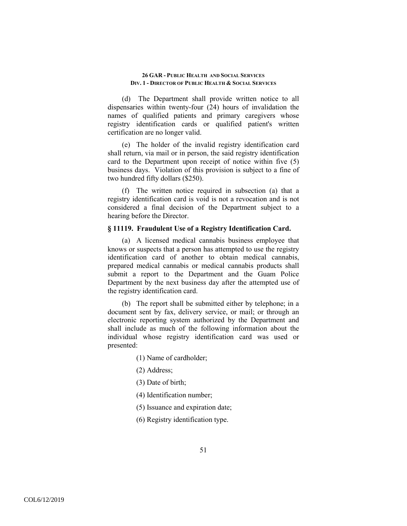(d) The Department shall provide written notice to all dispensaries within twenty-four (24) hours of invalidation the names of qualified patients and primary caregivers whose registry identification cards or qualified patient's written certification are no longer valid.

(e) The holder of the invalid registry identification card shall return, via mail or in person, the said registry identification card to the Department upon receipt of notice within five (5) business days. Violation of this provision is subject to a fine of two hundred fifty dollars (\$250).

(f) The written notice required in subsection (a) that a registry identification card is void is not a revocation and is not considered a final decision of the Department subject to a hearing before the Director.

## **§ 11119. Fraudulent Use of a Registry Identification Card.**

(a) A licensed medical cannabis business employee that knows or suspects that a person has attempted to use the registry identification card of another to obtain medical cannabis, prepared medical cannabis or medical cannabis products shall submit a report to the Department and the Guam Police Department by the next business day after the attempted use of the registry identification card.

(b) The report shall be submitted either by telephone; in a document sent by fax, delivery service, or mail; or through an electronic reporting system authorized by the Department and shall include as much of the following information about the individual whose registry identification card was used or presented:

(1) Name of cardholder;

- (2) Address;
- (3) Date of birth;
- (4) Identification number;
- (5) Issuance and expiration date;
- (6) Registry identification type.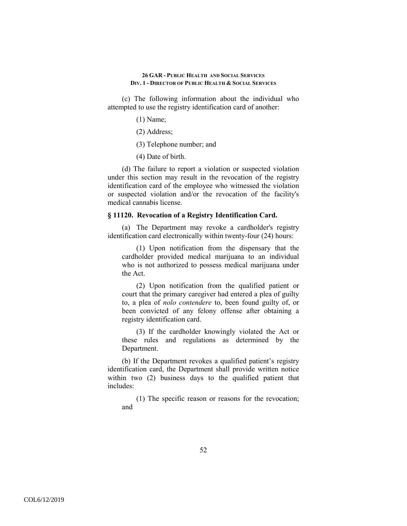(c) The following information about the individual who attempted to use the registry identification card of another:

- (1) Name;
- (2) Address;
- (3) Telephone number; and
- (4) Date of birth.

(d) The failure to report a violation or suspected violation under this section may result in the revocation of the registry identification card of the employee who witnessed the violation or suspected violation and/or the revocation of the facility's medical cannabis license.

## **§ 11120. Revocation of a Registry Identification Card.**

(a) The Department may revoke a cardholder's registry identification card electronically within twenty-four (24) hours:

(1) Upon notification from the dispensary that the cardholder provided medical marijuana to an individual who is not authorized to possess medical marijuana under the Act.

(2) Upon notification from the qualified patient or court that the primary caregiver had entered a plea of guilty to, a plea of *nolo contendere* to, been found guilty of, or been convicted of any felony offense after obtaining a registry identification card.

(3) If the cardholder knowingly violated the Act or these rules and regulations as determined by the Department.

(b) If the Department revokes a qualified patient's registry identification card, the Department shall provide written notice within two (2) business days to the qualified patient that includes:

(1) The specific reason or reasons for the revocation; and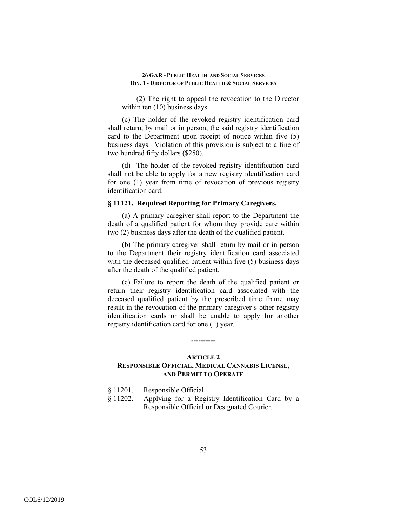(2) The right to appeal the revocation to the Director within ten  $(10)$  business days.

(c) The holder of the revoked registry identification card shall return, by mail or in person, the said registry identification card to the Department upon receipt of notice within five (5) business days. Violation of this provision is subject to a fine of two hundred fifty dollars (\$250).

(d) The holder of the revoked registry identification card shall not be able to apply for a new registry identification card for one (1) year from time of revocation of previous registry identification card.

## **§ 11121. Required Reporting for Primary Caregivers.**

(a) A primary caregiver shall report to the Department the death of a qualified patient for whom they provide care within two (2) business days after the death of the qualified patient.

(b) The primary caregiver shall return by mail or in person to the Department their registry identification card associated with the deceased qualified patient within five **(**5) business days after the death of the qualified patient.

(c) Failure to report the death of the qualified patient or return their registry identification card associated with the deceased qualified patient by the prescribed time frame may result in the revocation of the primary caregiver's other registry identification cards or shall be unable to apply for another registry identification card for one (1) year.

# ----------

# **ARTICLE 2 RESPONSIBLE OFFICIAL, MEDICAL CANNABIS LICENSE, AND PERMIT TO OPERATE**

§ 11202. Applying for a Registry Identification Card by a Responsible Official or Designated Courier.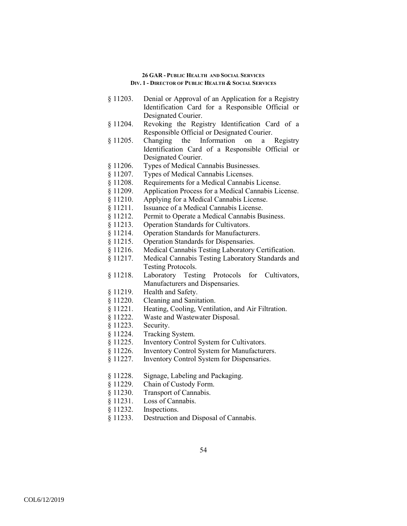- § 11203. Denial or Approval of an Application for a Registry Identification Card for a Responsible Official or Designated Courier.
- § 11204. Revoking the Registry Identification Card of a Responsible Official or Designated Courier.
- § 11205. Changing the Information on a Registry Identification Card of a Responsible Official or Designated Courier.
- § 11206. Types of Medical Cannabis Businesses.
- § 11207. Types of Medical Cannabis Licenses.
- § 11208. Requirements for a Medical Cannabis License.
- § 11209. Application Process for a Medical Cannabis License.
- § 11210. Applying for a Medical Cannabis License.
- § 11211. Issuance of a Medical Cannabis License.
- § 11212. Permit to Operate a Medical Cannabis Business.
- § 11213. Operation Standards for Cultivators.
- § 11214. Operation Standards for Manufacturers.
- § 11215. Operation Standards for Dispensaries.
- § 11216. Medical Cannabis Testing Laboratory Certification.
- § 11217. Medical Cannabis Testing Laboratory Standards and Testing Protocols.
- § 11218. Laboratory Testing Protocols for Cultivators, Manufacturers and Dispensaries.
- § 11219. Health and Safety.
- § 11220. Cleaning and Sanitation.
- § 11221. Heating, Cooling, Ventilation, and Air Filtration.
- § 11222. Waste and Wastewater Disposal.
- § 11223. Security.
- § 11224. Tracking System.
- § 11225. Inventory Control System for Cultivators.
- § 11226. Inventory Control System for Manufacturers.
- § 11227. Inventory Control System for Dispensaries.
- § 11228. Signage, Labeling and Packaging.
- § 11229. Chain of Custody Form.
- § 11230. Transport of Cannabis.
- § 11231. Loss of Cannabis.
- § 11232. Inspections.
- § 11233. Destruction and Disposal of Cannabis.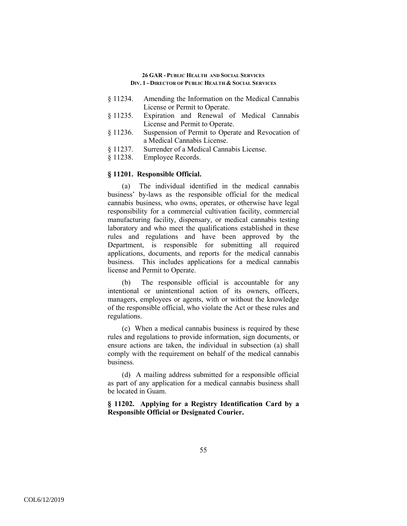- § 11234. Amending the Information on the Medical Cannabis License or Permit to Operate.
- § 11235. Expiration and Renewal of Medical Cannabis License and Permit to Operate.
- § 11236. Suspension of Permit to Operate and Revocation of a Medical Cannabis License.
- § 11237. Surrender of a Medical Cannabis License.
- § 11238. Employee Records.

## **§ 11201. Responsible Official.**

(a) The individual identified in the medical cannabis business' by-laws as the responsible official for the medical cannabis business, who owns, operates, or otherwise have legal responsibility for a commercial cultivation facility, commercial manufacturing facility, dispensary, or medical cannabis testing laboratory and who meet the qualifications established in these rules and regulations and have been approved by the Department, is responsible for submitting all required applications, documents, and reports for the medical cannabis business. This includes applications for a medical cannabis license and Permit to Operate.

(b) The responsible official is accountable for any intentional or unintentional action of its owners, officers, managers, employees or agents, with or without the knowledge of the responsible official, who violate the Act or these rules and regulations.

(c) When a medical cannabis business is required by these rules and regulations to provide information, sign documents, or ensure actions are taken, the individual in subsection (a) shall comply with the requirement on behalf of the medical cannabis business.

(d) A mailing address submitted for a responsible official as part of any application for a medical cannabis business shall be located in Guam.

**§ 11202. Applying for a Registry Identification Card by a Responsible Official or Designated Courier.**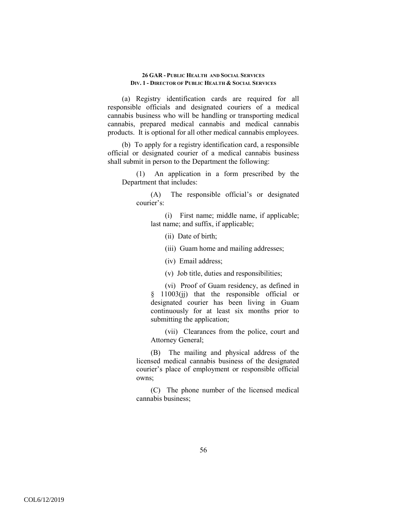(a) Registry identification cards are required for all responsible officials and designated couriers of a medical cannabis business who will be handling or transporting medical cannabis, prepared medical cannabis and medical cannabis products. It is optional for all other medical cannabis employees.

(b) To apply for a registry identification card, a responsible official or designated courier of a medical cannabis business shall submit in person to the Department the following:

(1) An application in a form prescribed by the Department that includes:

(A) The responsible official's or designated courier's:

(i) First name; middle name, if applicable; last name; and suffix, if applicable;

(ii) Date of birth;

(iii) Guam home and mailing addresses;

(iv) Email address;

(v) Job title, duties and responsibilities;

(vi) Proof of Guam residency, as defined in § 11003(jj) that the responsible official or designated courier has been living in Guam continuously for at least six months prior to submitting the application;

(vii) Clearances from the police, court and Attorney General;

(B) The mailing and physical address of the licensed medical cannabis business of the designated courier's place of employment or responsible official owns;

(C) The phone number of the licensed medical cannabis business;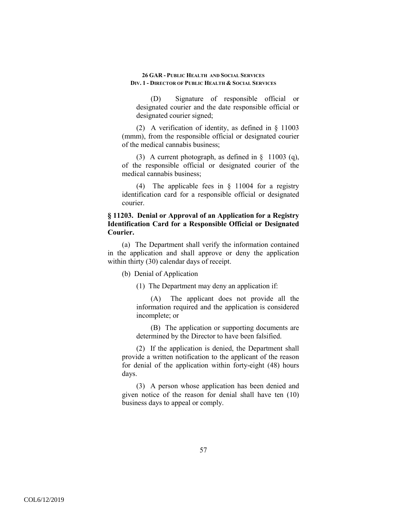(D) Signature of responsible official or designated courier and the date responsible official or designated courier signed;

(2) A verification of identity, as defined in § 11003 (mmm), from the responsible official or designated courier of the medical cannabis business;

(3) A current photograph, as defined in § 11003 (q), of the responsible official or designated courier of the medical cannabis business;

(4) The applicable fees in § 11004 for a registry identification card for a responsible official or designated courier.

# **§ 11203. Denial or Approval of an Application for a Registry Identification Card for a Responsible Official or Designated Courier.**

(a) The Department shall verify the information contained in the application and shall approve or deny the application within thirty (30) calendar days of receipt.

(b) Denial of Application

(1) The Department may deny an application if:

(A) The applicant does not provide all the information required and the application is considered incomplete; or

(B) The application or supporting documents are determined by the Director to have been falsified.

(2) If the application is denied, the Department shall provide a written notification to the applicant of the reason for denial of the application within forty-eight (48) hours days.

(3) A person whose application has been denied and given notice of the reason for denial shall have ten (10) business days to appeal or comply.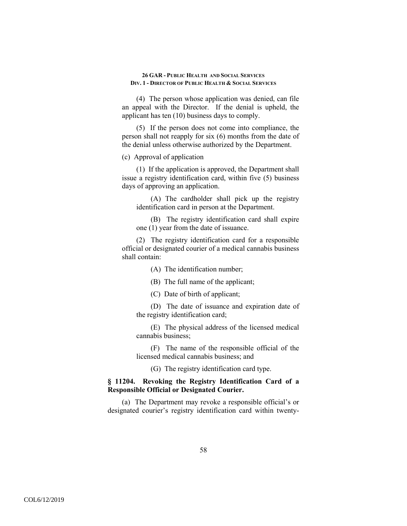(4) The person whose application was denied, can file an appeal with the Director. If the denial is upheld, the applicant has ten (10) business days to comply.

(5) If the person does not come into compliance, the person shall not reapply for six (6) months from the date of the denial unless otherwise authorized by the Department.

(c) Approval of application

(1) If the application is approved, the Department shall issue a registry identification card, within five (5) business days of approving an application.

(A) The cardholder shall pick up the registry identification card in person at the Department.

(B) The registry identification card shall expire one (1) year from the date of issuance.

(2) The registry identification card for a responsible official or designated courier of a medical cannabis business shall contain:

(A) The identification number;

(B) The full name of the applicant;

(C) Date of birth of applicant;

(D) The date of issuance and expiration date of the registry identification card;

(E) The physical address of the licensed medical cannabis business;

(F) The name of the responsible official of the licensed medical cannabis business; and

(G) The registry identification card type.

# **§ 11204. Revoking the Registry Identification Card of a Responsible Official or Designated Courier.**

(a) The Department may revoke a responsible official's or designated courier's registry identification card within twenty-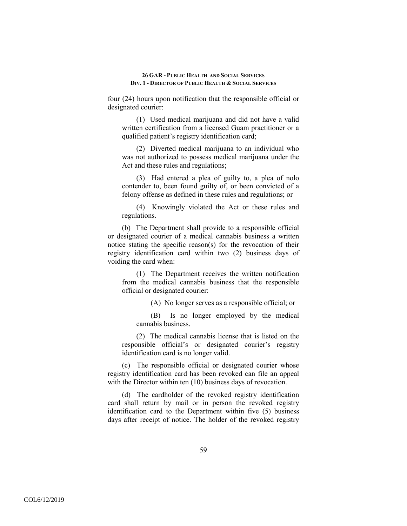four (24) hours upon notification that the responsible official or designated courier:

(1) Used medical marijuana and did not have a valid written certification from a licensed Guam practitioner or a qualified patient's registry identification card;

(2) Diverted medical marijuana to an individual who was not authorized to possess medical marijuana under the Act and these rules and regulations;

(3) Had entered a plea of guilty to, a plea of nolo contender to, been found guilty of, or been convicted of a felony offense as defined in these rules and regulations; or

(4) Knowingly violated the Act or these rules and regulations.

(b) The Department shall provide to a responsible official or designated courier of a medical cannabis business a written notice stating the specific reason(s) for the revocation of their registry identification card within two (2) business days of voiding the card when:

(1) The Department receives the written notification from the medical cannabis business that the responsible official or designated courier:

(A) No longer serves as a responsible official; or

(B) Is no longer employed by the medical cannabis business.

(2) The medical cannabis license that is listed on the responsible official's or designated courier's registry identification card is no longer valid.

(c) The responsible official or designated courier whose registry identification card has been revoked can file an appeal with the Director within ten (10) business days of revocation.

(d) The cardholder of the revoked registry identification card shall return by mail or in person the revoked registry identification card to the Department within five (5) business days after receipt of notice. The holder of the revoked registry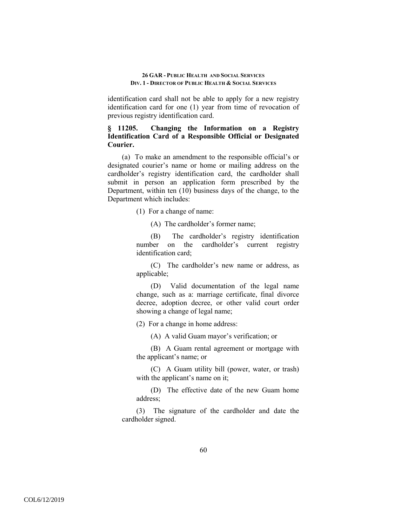identification card shall not be able to apply for a new registry identification card for one (1) year from time of revocation of previous registry identification card.

# **§ 11205. Changing the Information on a Registry Identification Card of a Responsible Official or Designated Courier.**

(a) To make an amendment to the responsible official's or designated courier's name or home or mailing address on the cardholder's registry identification card, the cardholder shall submit in person an application form prescribed by the Department, within ten (10) business days of the change, to the Department which includes:

(1) For a change of name:

(A) The cardholder's former name;

(B) The cardholder's registry identification number on the cardholder's current registry identification card;

(C) The cardholder's new name or address, as applicable;

(D) Valid documentation of the legal name change, such as a: marriage certificate, final divorce decree, adoption decree, or other valid court order showing a change of legal name;

(2) For a change in home address:

(A) A valid Guam mayor's verification; or

(B) A Guam rental agreement or mortgage with the applicant's name; or

(C) A Guam utility bill (power, water, or trash) with the applicant's name on it;

(D) The effective date of the new Guam home address;

(3) The signature of the cardholder and date the cardholder signed.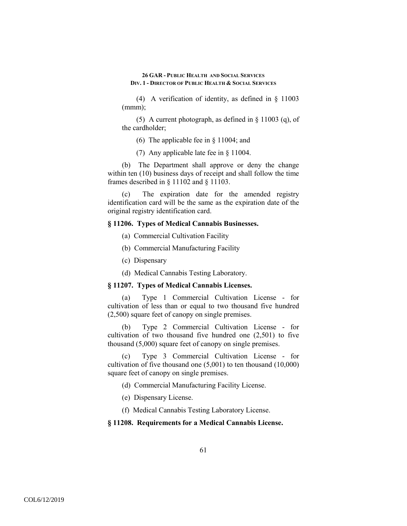(4) A verification of identity, as defined in § 11003 (mmm);

(5) A current photograph, as defined in § 11003 (q), of the cardholder;

(6) The applicable fee in § 11004; and

(7) Any applicable late fee in § 11004.

(b) The Department shall approve or deny the change within ten (10) business days of receipt and shall follow the time frames described in § 11102 and § 11103.

(c) The expiration date for the amended registry identification card will be the same as the expiration date of the original registry identification card.

## **§ 11206. Types of Medical Cannabis Businesses.**

- (a) Commercial Cultivation Facility
- (b) Commercial Manufacturing Facility
- (c) Dispensary
- (d) Medical Cannabis Testing Laboratory.

## **§ 11207. Types of Medical Cannabis Licenses.**

(a) Type 1 Commercial Cultivation License - for cultivation of less than or equal to two thousand five hundred (2,500) square feet of canopy on single premises.

(b) Type 2 Commercial Cultivation License - for cultivation of two thousand five hundred one (2,501) to five thousand (5,000) square feet of canopy on single premises.

(c) Type 3 Commercial Cultivation License - for cultivation of five thousand one (5,001) to ten thousand (10,000) square feet of canopy on single premises.

- (d) Commercial Manufacturing Facility License.
- (e) Dispensary License.
- (f) Medical Cannabis Testing Laboratory License.

#### **§ 11208. Requirements for a Medical Cannabis License.**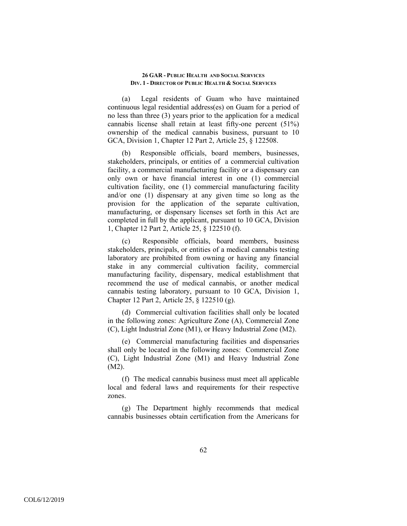(a) Legal residents of Guam who have maintained continuous legal residential address(es) on Guam for a period of no less than three (3) years prior to the application for a medical cannabis license shall retain at least fifty-one percent (51%) ownership of the medical cannabis business, pursuant to 10 GCA, Division 1, Chapter 12 Part 2, Article 25, § 122508.

(b) Responsible officials, board members, businesses, stakeholders, principals, or entities of a commercial cultivation facility, a commercial manufacturing facility or a dispensary can only own or have financial interest in one (1) commercial cultivation facility, one (1) commercial manufacturing facility and/or one (1) dispensary at any given time so long as the provision for the application of the separate cultivation, manufacturing, or dispensary licenses set forth in this Act are completed in full by the applicant, pursuant to 10 GCA, Division 1, Chapter 12 Part 2, Article 25, § 122510 (f).

(c) Responsible officials, board members, business stakeholders, principals, or entities of a medical cannabis testing laboratory are prohibited from owning or having any financial stake in any commercial cultivation facility, commercial manufacturing facility, dispensary, medical establishment that recommend the use of medical cannabis, or another medical cannabis testing laboratory, pursuant to 10 GCA, Division 1, Chapter 12 Part 2, Article 25, § 122510 (g).

(d) Commercial cultivation facilities shall only be located in the following zones: Agriculture Zone (A), Commercial Zone (C), Light Industrial Zone (M1), or Heavy Industrial Zone (M2).

(e) Commercial manufacturing facilities and dispensaries shall only be located in the following zones: Commercial Zone (C), Light Industrial Zone (M1) and Heavy Industrial Zone (M2).

(f) The medical cannabis business must meet all applicable local and federal laws and requirements for their respective zones.

(g) The Department highly recommends that medical cannabis businesses obtain certification from the Americans for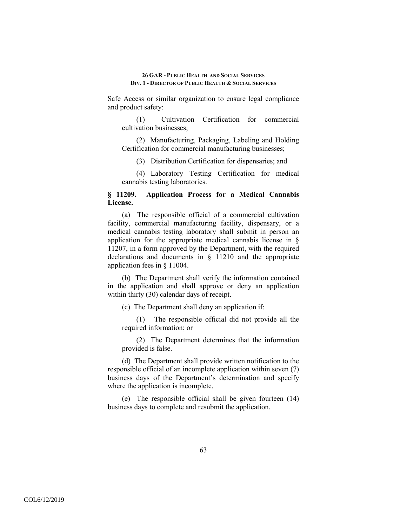Safe Access or similar organization to ensure legal compliance and product safety:

(1) Cultivation Certification for commercial cultivation businesses;

(2) Manufacturing, Packaging, Labeling and Holding Certification for commercial manufacturing businesses;

(3) Distribution Certification for dispensaries; and

(4) Laboratory Testing Certification for medical cannabis testing laboratories.

# **§ 11209. Application Process for a Medical Cannabis License.**

(a) The responsible official of a commercial cultivation facility, commercial manufacturing facility, dispensary, or a medical cannabis testing laboratory shall submit in person an application for the appropriate medical cannabis license in § 11207, in a form approved by the Department, with the required declarations and documents in § 11210 and the appropriate application fees in § 11004.

(b) The Department shall verify the information contained in the application and shall approve or deny an application within thirty (30) calendar days of receipt.

(c) The Department shall deny an application if:

(1) The responsible official did not provide all the required information; or

(2) The Department determines that the information provided is false.

(d) The Department shall provide written notification to the responsible official of an incomplete application within seven (7) business days of the Department's determination and specify where the application is incomplete.

(e) The responsible official shall be given fourteen (14) business days to complete and resubmit the application.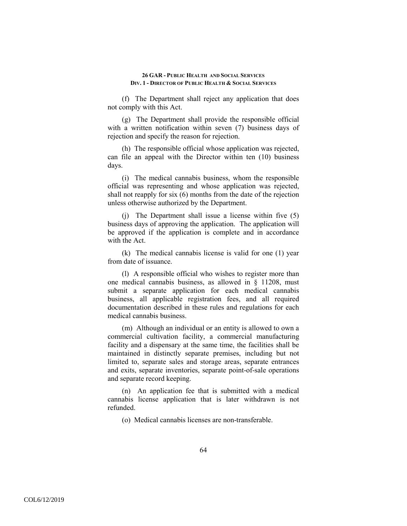(f) The Department shall reject any application that does not comply with this Act.

(g) The Department shall provide the responsible official with a written notification within seven (7) business days of rejection and specify the reason for rejection.

(h) The responsible official whose application was rejected, can file an appeal with the Director within ten (10) business days.

(i) The medical cannabis business, whom the responsible official was representing and whose application was rejected, shall not reapply for six (6) months from the date of the rejection unless otherwise authorized by the Department.

(j) The Department shall issue a license within five (5) business days of approving the application. The application will be approved if the application is complete and in accordance with the Act.

(k) The medical cannabis license is valid for one (1) year from date of issuance.

(l) A responsible official who wishes to register more than one medical cannabis business, as allowed in § 11208, must submit a separate application for each medical cannabis business, all applicable registration fees, and all required documentation described in these rules and regulations for each medical cannabis business.

(m) Although an individual or an entity is allowed to own a commercial cultivation facility, a commercial manufacturing facility and a dispensary at the same time, the facilities shall be maintained in distinctly separate premises, including but not limited to, separate sales and storage areas, separate entrances and exits, separate inventories, separate point-of-sale operations and separate record keeping.

(n) An application fee that is submitted with a medical cannabis license application that is later withdrawn is not refunded.

(o) Medical cannabis licenses are non-transferable.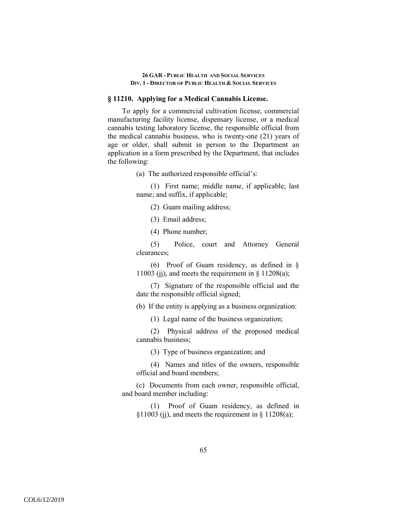## **§ 11210. Applying for a Medical Cannabis License.**

To apply for a commercial cultivation license, commercial manufacturing facility license, dispensary license, or a medical cannabis testing laboratory license, the responsible official from the medical cannabis business, who is twenty-one (21) years of age or older, shall submit in person to the Department an application in a form prescribed by the Department, that includes the following:

(a) The authorized responsible official's:

(1) First name; middle name, if applicable; last name; and suffix, if applicable;

(2) Guam mailing address;

(3) Email address;

(4) Phone number;

(5) Police, court and Attorney General clearances;

(6) Proof of Guam residency, as defined in § 11003 (j), and meets the requirement in  $\S$  11208(a);

(7) Signature of the responsible official and the date the responsible official signed;

(b) If the entity is applying as a business organization:

(1) Legal name of the business organization;

(2) Physical address of the proposed medical cannabis business;

(3) Type of business organization; and

(4) Names and titles of the owners, responsible official and board members;

(c) Documents from each owner, responsible official, and board member including:

(1) Proof of Guam residency, as defined in  $§11003$  (ii), and meets the requirement in  $§11208(a);$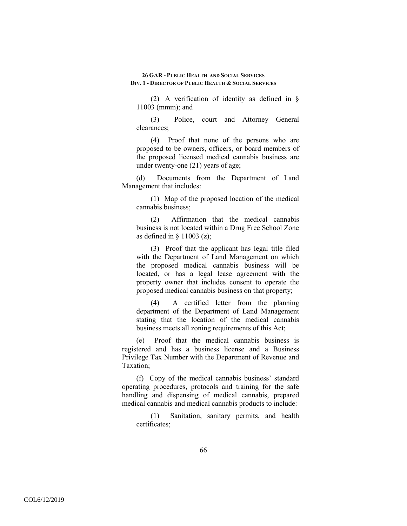(2) A verification of identity as defined in § 11003 (mmm); and

(3) Police, court and Attorney General clearances;

(4) Proof that none of the persons who are proposed to be owners, officers, or board members of the proposed licensed medical cannabis business are under twenty-one (21) years of age;

(d) Documents from the Department of Land Management that includes:

(1) Map of the proposed location of the medical cannabis business;

(2) Affirmation that the medical cannabis business is not located within a Drug Free School Zone as defined in  $\S$  11003 (z);

(3) Proof that the applicant has legal title filed with the Department of Land Management on which the proposed medical cannabis business will be located, or has a legal lease agreement with the property owner that includes consent to operate the proposed medical cannabis business on that property;

(4) A certified letter from the planning department of the Department of Land Management stating that the location of the medical cannabis business meets all zoning requirements of this Act;

(e) Proof that the medical cannabis business is registered and has a business license and a Business Privilege Tax Number with the Department of Revenue and Taxation;

(f) Copy of the medical cannabis business' standard operating procedures, protocols and training for the safe handling and dispensing of medical cannabis, prepared medical cannabis and medical cannabis products to include:

(1) Sanitation, sanitary permits, and health certificates;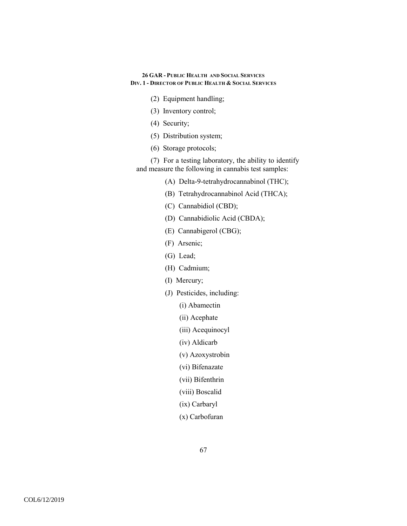- (2) Equipment handling;
- (3) Inventory control;
- (4) Security;
- (5) Distribution system;
- (6) Storage protocols;

(7) For a testing laboratory, the ability to identify and measure the following in cannabis test samples:

- (A) Delta-9-tetrahydrocannabinol (THC);
- (B) Tetrahydrocannabinol Acid (THCA);
- (C) Cannabidiol (CBD);
- (D) Cannabidiolic Acid (CBDA);
- (E) Cannabigerol (CBG);
- (F) Arsenic;
- (G) Lead;
- (H) Cadmium;
- (I) Mercury;
- (J) Pesticides, including:
	- (i) Abamectin
	- (ii) Acephate
	- (iii) Acequinocyl
	- (iv) Aldicarb
	- (v) Azoxystrobin
	- (vi) Bifenazate
	- (vii) Bifenthrin
	- (viii) Boscalid
	- (ix) Carbaryl
	- (x) Carbofuran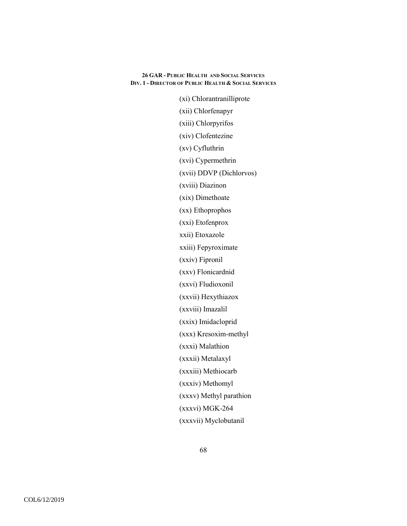(xi) Chlorantranilliprote (xii) Chlorfenapyr (xiii) Chlorpyrifos (xiv) Clofentezine (xv) Cyfluthrin (xvi) Cypermethrin (xvii) DDVP (Dichlorvos) (xviii) Diazinon (xix) Dimethoate (xx) Ethoprophos (xxi) Etofenprox xxii) Etoxazole xxiii) Fepyroximate (xxiv) Fipronil (xxv) Flonicardnid (xxvi) Fludioxonil (xxvii) Hexythiazox (xxviii) Imazalil (xxix) Imidacloprid (xxx) Kresoxim-methyl (xxxi) Malathion (xxxii) Metalaxyl (xxxiii) Methiocarb (xxxiv) Methomyl (xxxv) Methyl parathion (xxxvi) MGK-264 (xxxvii) Myclobutanil

68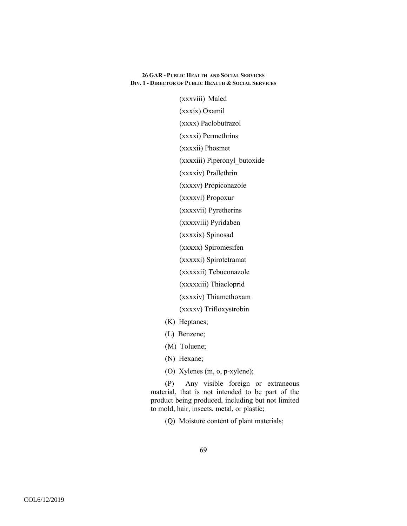(xxxviii) Maled (xxxix) Oxamil (xxxx) Paclobutrazol (xxxxi) Permethrins (xxxxii) Phosmet (xxxxiii) Piperonyl\_butoxide (xxxxiv) Prallethrin (xxxxv) Propiconazole (xxxxvi) Propoxur (xxxxvii) Pyretherins (xxxxviii) Pyridaben (xxxxix) Spinosad (xxxxx) Spiromesifen (xxxxxi) Spirotetramat (xxxxxii) Tebuconazole (xxxxxiii) Thiacloprid (xxxxiv) Thiamethoxam

(xxxxv) Trifloxystrobin

- (K) Heptanes;
- (L) Benzene;
- (M) Toluene;
- (N) Hexane;
- (O) Xylenes (m, o, p-xylene);

(P) Any visible foreign or extraneous material, that is not intended to be part of the product being produced, including but not limited to mold, hair, insects, metal, or plastic;

(Q) Moisture content of plant materials;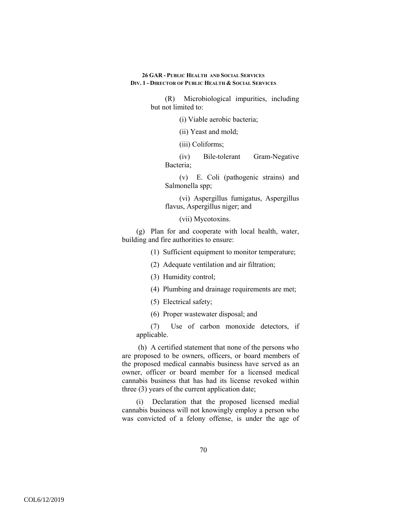> (R) Microbiological impurities, including but not limited to:

> > (i) Viable aerobic bacteria;

(ii) Yeast and mold;

(iii) Coliforms;

(iv) Bile-tolerant Gram-Negative Bacteria;

(v) E. Coli (pathogenic strains) and Salmonella spp;

(vi) Aspergillus fumigatus, Aspergillus flavus, Aspergillus niger; and

(vii) Mycotoxins.

(g) Plan for and cooperate with local health, water, building and fire authorities to ensure:

(1) Sufficient equipment to monitor temperature;

- (2) Adequate ventilation and air filtration;
- (3) Humidity control;
- (4) Plumbing and drainage requirements are met;
- (5) Electrical safety;
- (6) Proper wastewater disposal; and

(7) Use of carbon monoxide detectors, if applicable.

 (h) A certified statement that none of the persons who are proposed to be owners, officers, or board members of the proposed medical cannabis business have served as an owner, officer or board member for a licensed medical cannabis business that has had its license revoked within three (3) years of the current application date;

(i) Declaration that the proposed licensed medial cannabis business will not knowingly employ a person who was convicted of a felony offense, is under the age of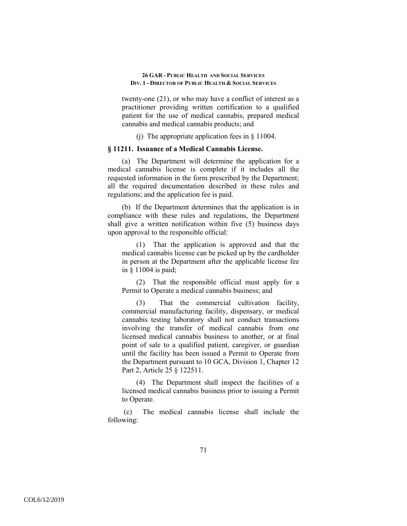twenty-one (21), or who may have a conflict of interest as a practitioner providing written certification to a qualified patient for the use of medical cannabis, prepared medical cannabis and medical cannabis products; and

(i) The appropriate application fees in  $\S$  11004.

## **§ 11211. Issuance of a Medical Cannabis License.**

(a) The Department will determine the application for a medical cannabis license is complete if it includes all the requested information in the form prescribed by the Department; all the required documentation described in these rules and regulations; and the application fee is paid.

(b) If the Department determines that the application is in compliance with these rules and regulations, the Department shall give a written notification within five (5) business days upon approval to the responsible official:

(1) That the application is approved and that the medical cannabis license can be picked up by the cardholder in person at the Department after the applicable license fee in § 11004 is paid;

(2) That the responsible official must apply for a Permit to Operate a medical cannabis business; and

(3) That the commercial cultivation facility, commercial manufacturing facility, dispensary, or medical cannabis testing laboratory shall not conduct transactions involving the transfer of medical cannabis from one licensed medical cannabis business to another, or at final point of sale to a qualified patient, caregiver, or guardian until the facility has been issued a Permit to Operate from the Department pursuant to 10 GCA, Division 1, Chapter 12 Part 2, Article 25 § 122511.

(4) The Department shall inspect the facilities of a licensed medical cannabis business prior to issuing a Permit to Operate.

 (c) The medical cannabis license shall include the following: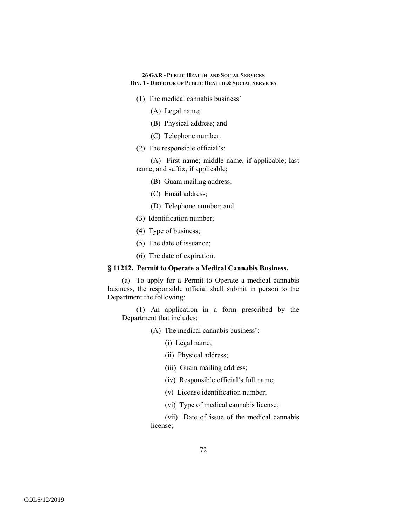- (1) The medical cannabis business'
	- (A) Legal name;
	- (B) Physical address; and
	- (C) Telephone number.
- (2) The responsible official's:

(A) First name; middle name, if applicable; last name; and suffix, if applicable;

- (B) Guam mailing address;
- (C) Email address;
- (D) Telephone number; and
- (3) Identification number;
- (4) Type of business;
- (5) The date of issuance;
- (6) The date of expiration.

#### **§ 11212. Permit to Operate a Medical Cannabis Business.**

(a) To apply for a Permit to Operate a medical cannabis business, the responsible official shall submit in person to the Department the following:

(1) An application in a form prescribed by the Department that includes:

- (A) The medical cannabis business':
	- (i) Legal name;
	- (ii) Physical address;
	- (iii) Guam mailing address;
	- (iv) Responsible official's full name;
	- (v) License identification number;
	- (vi) Type of medical cannabis license;

(vii) Date of issue of the medical cannabis license;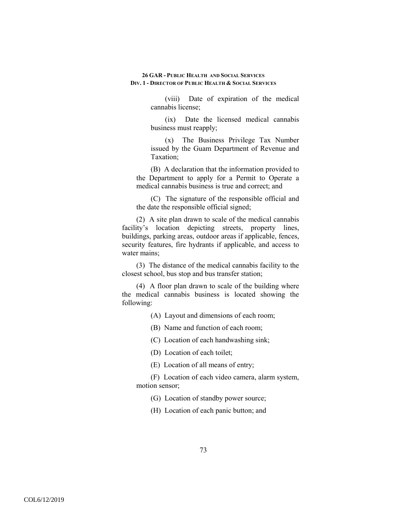(viii) Date of expiration of the medical cannabis license;

(ix) Date the licensed medical cannabis business must reapply;

(x) The Business Privilege Tax Number issued by the Guam Department of Revenue and Taxation;

(B) A declaration that the information provided to the Department to apply for a Permit to Operate a medical cannabis business is true and correct; and

(C) The signature of the responsible official and the date the responsible official signed;

(2) A site plan drawn to scale of the medical cannabis facility's location depicting streets, property lines, buildings, parking areas, outdoor areas if applicable, fences, security features, fire hydrants if applicable, and access to water mains;

(3) The distance of the medical cannabis facility to the closest school, bus stop and bus transfer station;

(4) A floor plan drawn to scale of the building where the medical cannabis business is located showing the following:

(A) Layout and dimensions of each room;

(B) Name and function of each room;

(C) Location of each handwashing sink;

(D) Location of each toilet;

(E) Location of all means of entry;

(F) Location of each video camera, alarm system, motion sensor;

(G) Location of standby power source;

(H) Location of each panic button; and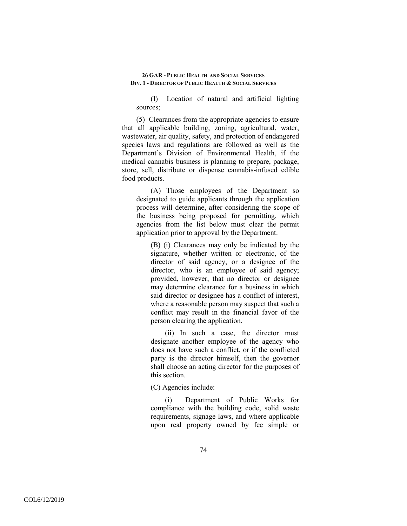(I) Location of natural and artificial lighting sources;

(5) Clearances from the appropriate agencies to ensure that all applicable building, zoning, agricultural, water, wastewater, air quality, safety, and protection of endangered species laws and regulations are followed as well as the Department's Division of Environmental Health, if the medical cannabis business is planning to prepare, package, store, sell, distribute or dispense cannabis-infused edible food products.

(A) Those employees of the Department so designated to guide applicants through the application process will determine, after considering the scope of the business being proposed for permitting, which agencies from the list below must clear the permit application prior to approval by the Department.

(B) (i) Clearances may only be indicated by the signature, whether written or electronic, of the director of said agency, or a designee of the director, who is an employee of said agency; provided, however, that no director or designee may determine clearance for a business in which said director or designee has a conflict of interest, where a reasonable person may suspect that such a conflict may result in the financial favor of the person clearing the application.

(ii) In such a case, the director must designate another employee of the agency who does not have such a conflict, or if the conflicted party is the director himself, then the governor shall choose an acting director for the purposes of this section.

(C) Agencies include:

(i) Department of Public Works for compliance with the building code, solid waste requirements, signage laws, and where applicable upon real property owned by fee simple or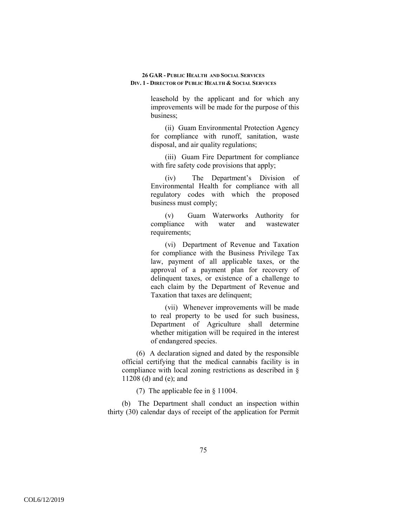> leasehold by the applicant and for which any improvements will be made for the purpose of this business;

> (ii) Guam Environmental Protection Agency for compliance with runoff, sanitation, waste disposal, and air quality regulations;

> (iii) Guam Fire Department for compliance with fire safety code provisions that apply;

> (iv) The Department's Division of Environmental Health for compliance with all regulatory codes with which the proposed business must comply;

> (v) Guam Waterworks Authority for compliance with water and wastewater requirements;

> (vi) Department of Revenue and Taxation for compliance with the Business Privilege Tax law, payment of all applicable taxes, or the approval of a payment plan for recovery of delinquent taxes, or existence of a challenge to each claim by the Department of Revenue and Taxation that taxes are delinquent;

> (vii) Whenever improvements will be made to real property to be used for such business, Department of Agriculture shall determine whether mitigation will be required in the interest of endangered species.

(6) A declaration signed and dated by the responsible official certifying that the medical cannabis facility is in compliance with local zoning restrictions as described in § 11208 (d) and (e); and

(7) The applicable fee in § 11004.

(b) The Department shall conduct an inspection within thirty (30) calendar days of receipt of the application for Permit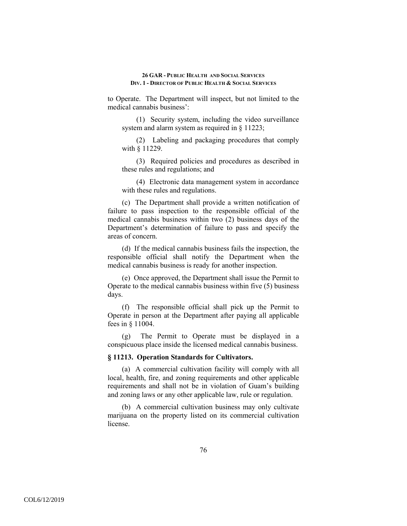to Operate. The Department will inspect, but not limited to the medical cannabis business':

(1) Security system, including the video surveillance system and alarm system as required in § 11223;

(2) Labeling and packaging procedures that comply with § 11229.

(3) Required policies and procedures as described in these rules and regulations; and

(4) Electronic data management system in accordance with these rules and regulations.

(c) The Department shall provide a written notification of failure to pass inspection to the responsible official of the medical cannabis business within two (2) business days of the Department's determination of failure to pass and specify the areas of concern.

(d) If the medical cannabis business fails the inspection, the responsible official shall notify the Department when the medical cannabis business is ready for another inspection.

(e) Once approved, the Department shall issue the Permit to Operate to the medical cannabis business within five (5) business days.

(f) The responsible official shall pick up the Permit to Operate in person at the Department after paying all applicable fees in § 11004.

(g) The Permit to Operate must be displayed in a conspicuous place inside the licensed medical cannabis business.

### **§ 11213. Operation Standards for Cultivators.**

(a) A commercial cultivation facility will comply with all local, health, fire, and zoning requirements and other applicable requirements and shall not be in violation of Guam's building and zoning laws or any other applicable law, rule or regulation.

(b) A commercial cultivation business may only cultivate marijuana on the property listed on its commercial cultivation license.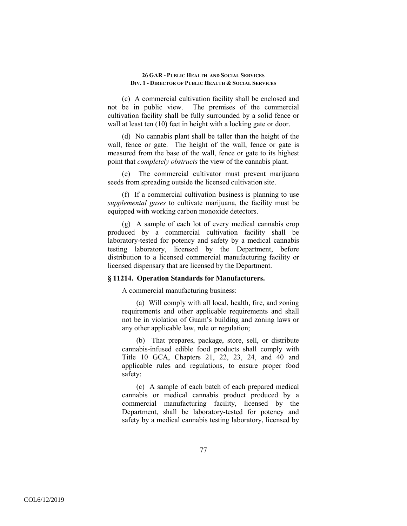(c) A commercial cultivation facility shall be enclosed and not be in public view. The premises of the commercial cultivation facility shall be fully surrounded by a solid fence or wall at least ten  $(10)$  feet in height with a locking gate or door.

(d) No cannabis plant shall be taller than the height of the wall, fence or gate. The height of the wall, fence or gate is measured from the base of the wall, fence or gate to its highest point that *completely obstructs* the view of the cannabis plant.

(e) The commercial cultivator must prevent marijuana seeds from spreading outside the licensed cultivation site.

(f) If a commercial cultivation business is planning to use *supplemental gases* to cultivate marijuana, the facility must be equipped with working carbon monoxide detectors.

(g) A sample of each lot of every medical cannabis crop produced by a commercial cultivation facility shall be laboratory-tested for potency and safety by a medical cannabis testing laboratory, licensed by the Department, before distribution to a licensed commercial manufacturing facility or licensed dispensary that are licensed by the Department.

# **§ 11214. Operation Standards for Manufacturers.**

A commercial manufacturing business:

(a) Will comply with all local, health, fire, and zoning requirements and other applicable requirements and shall not be in violation of Guam's building and zoning laws or any other applicable law, rule or regulation;

(b) That prepares, package, store, sell, or distribute cannabis-infused edible food products shall comply with Title 10 GCA, Chapters 21, 22, 23, 24, and 40 and applicable rules and regulations, to ensure proper food safety;

(c) A sample of each batch of each prepared medical cannabis or medical cannabis product produced by a commercial manufacturing facility, licensed by the Department, shall be laboratory-tested for potency and safety by a medical cannabis testing laboratory, licensed by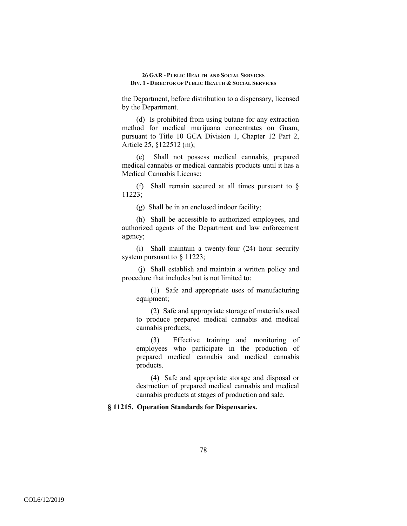the Department, before distribution to a dispensary, licensed by the Department.

(d) Is prohibited from using butane for any extraction method for medical marijuana concentrates on Guam, pursuant to Title 10 GCA Division 1, Chapter 12 Part 2, Article 25, §122512 (m);

(e) Shall not possess medical cannabis, prepared medical cannabis or medical cannabis products until it has a Medical Cannabis License;

(f) Shall remain secured at all times pursuant to § 11223;

(g) Shall be in an enclosed indoor facility;

(h) Shall be accessible to authorized employees, and authorized agents of the Department and law enforcement agency;

(i) Shall maintain a twenty-four (24) hour security system pursuant to § 11223;

 (j) Shall establish and maintain a written policy and procedure that includes but is not limited to:

(1) Safe and appropriate uses of manufacturing equipment;

(2) Safe and appropriate storage of materials used to produce prepared medical cannabis and medical cannabis products;

(3) Effective training and monitoring of employees who participate in the production of prepared medical cannabis and medical cannabis products.

(4) Safe and appropriate storage and disposal or destruction of prepared medical cannabis and medical cannabis products at stages of production and sale.

# **§ 11215. Operation Standards for Dispensaries.**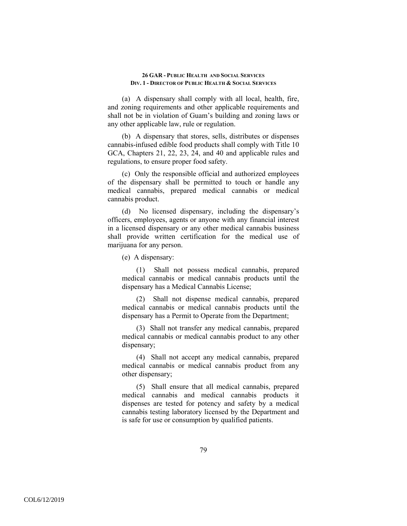(a) A dispensary shall comply with all local, health, fire, and zoning requirements and other applicable requirements and shall not be in violation of Guam's building and zoning laws or any other applicable law, rule or regulation.

(b) A dispensary that stores, sells, distributes or dispenses cannabis-infused edible food products shall comply with Title 10 GCA, Chapters 21, 22, 23, 24, and 40 and applicable rules and regulations, to ensure proper food safety.

(c) Only the responsible official and authorized employees of the dispensary shall be permitted to touch or handle any medical cannabis, prepared medical cannabis or medical cannabis product.

(d) No licensed dispensary, including the dispensary's officers, employees, agents or anyone with any financial interest in a licensed dispensary or any other medical cannabis business shall provide written certification for the medical use of marijuana for any person.

(e) A dispensary:

(1) Shall not possess medical cannabis, prepared medical cannabis or medical cannabis products until the dispensary has a Medical Cannabis License;

(2) Shall not dispense medical cannabis, prepared medical cannabis or medical cannabis products until the dispensary has a Permit to Operate from the Department;

(3) Shall not transfer any medical cannabis, prepared medical cannabis or medical cannabis product to any other dispensary;

(4) Shall not accept any medical cannabis, prepared medical cannabis or medical cannabis product from any other dispensary;

(5) Shall ensure that all medical cannabis, prepared medical cannabis and medical cannabis products it dispenses are tested for potency and safety by a medical cannabis testing laboratory licensed by the Department and is safe for use or consumption by qualified patients.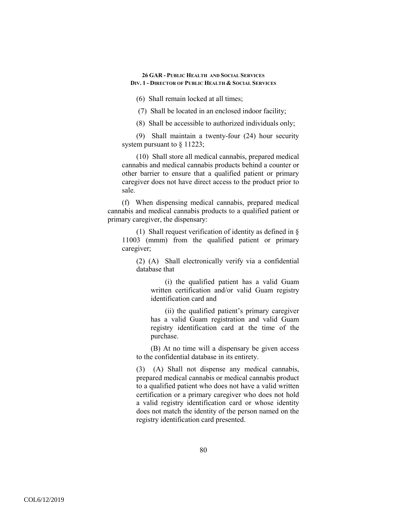(6) Shall remain locked at all times;

(7) Shall be located in an enclosed indoor facility;

(8) Shall be accessible to authorized individuals only;

(9) Shall maintain a twenty-four (24) hour security system pursuant to  $\S$  11223;

(10) Shall store all medical cannabis, prepared medical cannabis and medical cannabis products behind a counter or other barrier to ensure that a qualified patient or primary caregiver does not have direct access to the product prior to sale.

(f) When dispensing medical cannabis, prepared medical cannabis and medical cannabis products to a qualified patient or primary caregiver, the dispensary:

(1) Shall request verification of identity as defined in § 11003 (mmm) from the qualified patient or primary caregiver;

(2) (A) Shall electronically verify via a confidential database that

(i) the qualified patient has a valid Guam written certification and/or valid Guam registry identification card and

(ii) the qualified patient's primary caregiver has a valid Guam registration and valid Guam registry identification card at the time of the purchase.

(B) At no time will a dispensary be given access to the confidential database in its entirety.

(3) (A) Shall not dispense any medical cannabis, prepared medical cannabis or medical cannabis product to a qualified patient who does not have a valid written certification or a primary caregiver who does not hold a valid registry identification card or whose identity does not match the identity of the person named on the registry identification card presented.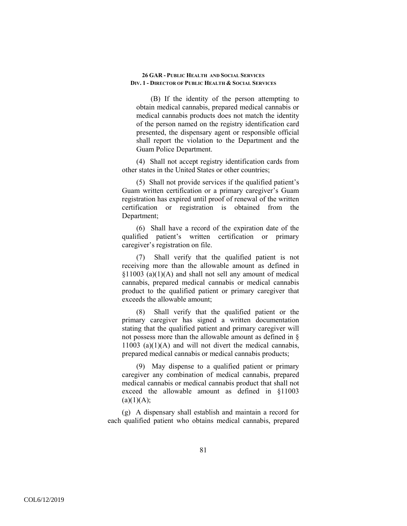(B) If the identity of the person attempting to obtain medical cannabis, prepared medical cannabis or medical cannabis products does not match the identity of the person named on the registry identification card presented, the dispensary agent or responsible official shall report the violation to the Department and the Guam Police Department.

(4) Shall not accept registry identification cards from other states in the United States or other countries;

(5) Shall not provide services if the qualified patient's Guam written certification or a primary caregiver's Guam registration has expired until proof of renewal of the written certification or registration is obtained from the Department;

(6) Shall have a record of the expiration date of the qualified patient's written certification or primary caregiver's registration on file.

(7) Shall verify that the qualified patient is not receiving more than the allowable amount as defined in  $§11003$  (a)(1)(A) and shall not sell any amount of medical cannabis, prepared medical cannabis or medical cannabis product to the qualified patient or primary caregiver that exceeds the allowable amount;

(8) Shall verify that the qualified patient or the primary caregiver has signed a written documentation stating that the qualified patient and primary caregiver will not possess more than the allowable amount as defined in §  $11003$  (a)(1)(A) and will not divert the medical cannabis, prepared medical cannabis or medical cannabis products;

(9) May dispense to a qualified patient or primary caregiver any combination of medical cannabis, prepared medical cannabis or medical cannabis product that shall not exceed the allowable amount as defined in §11003  $(a)(1)(A);$ 

(g) A dispensary shall establish and maintain a record for each qualified patient who obtains medical cannabis, prepared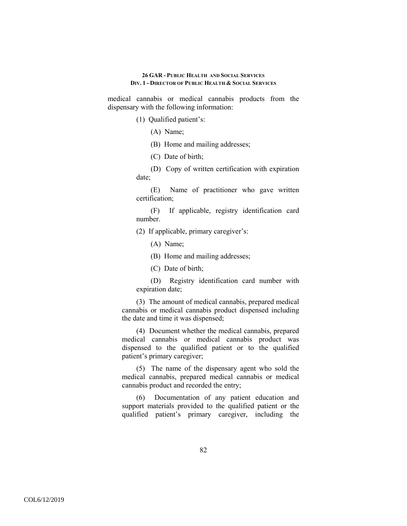medical cannabis or medical cannabis products from the dispensary with the following information:

(1) Qualified patient's:

(A) Name;

(B) Home and mailing addresses;

(C) Date of birth;

(D) Copy of written certification with expiration date;

(E) Name of practitioner who gave written certification;

(F) If applicable, registry identification card number.

(2) If applicable, primary caregiver's:

(A) Name;

(B) Home and mailing addresses;

(C) Date of birth;

(D) Registry identification card number with expiration date;

(3) The amount of medical cannabis, prepared medical cannabis or medical cannabis product dispensed including the date and time it was dispensed;

(4) Document whether the medical cannabis, prepared medical cannabis or medical cannabis product was dispensed to the qualified patient or to the qualified patient's primary caregiver;

(5) The name of the dispensary agent who sold the medical cannabis, prepared medical cannabis or medical cannabis product and recorded the entry;

(6) Documentation of any patient education and support materials provided to the qualified patient or the qualified patient's primary caregiver, including the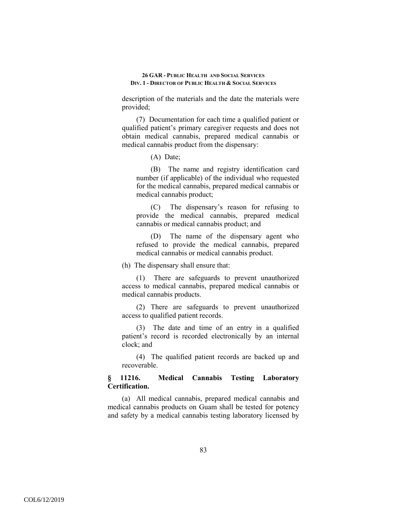description of the materials and the date the materials were provided;

(7) Documentation for each time a qualified patient or qualified patient's primary caregiver requests and does not obtain medical cannabis, prepared medical cannabis or medical cannabis product from the dispensary:

(A) Date;

(B) The name and registry identification card number (if applicable) of the individual who requested for the medical cannabis, prepared medical cannabis or medical cannabis product;

(C) The dispensary's reason for refusing to provide the medical cannabis, prepared medical cannabis or medical cannabis product; and

(D) The name of the dispensary agent who refused to provide the medical cannabis, prepared medical cannabis or medical cannabis product.

(h) The dispensary shall ensure that:

(1) There are safeguards to prevent unauthorized access to medical cannabis, prepared medical cannabis or medical cannabis products.

(2) There are safeguards to prevent unauthorized access to qualified patient records.

(3) The date and time of an entry in a qualified patient's record is recorded electronically by an internal clock; and

(4) The qualified patient records are backed up and recoverable.

# **§ 11216. Medical Cannabis Testing Laboratory Certification.**

(a) All medical cannabis, prepared medical cannabis and medical cannabis products on Guam shall be tested for potency and safety by a medical cannabis testing laboratory licensed by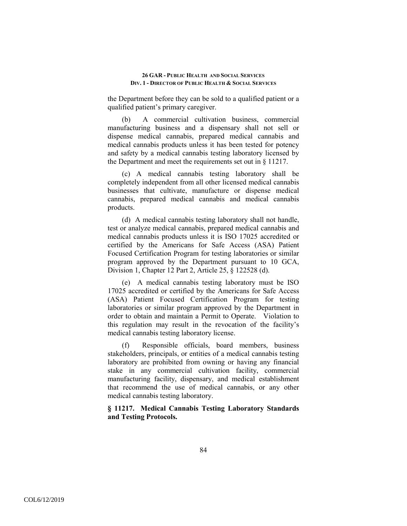the Department before they can be sold to a qualified patient or a qualified patient's primary caregiver.

(b) A commercial cultivation business, commercial manufacturing business and a dispensary shall not sell or dispense medical cannabis, prepared medical cannabis and medical cannabis products unless it has been tested for potency and safety by a medical cannabis testing laboratory licensed by the Department and meet the requirements set out in § 11217.

(c) A medical cannabis testing laboratory shall be completely independent from all other licensed medical cannabis businesses that cultivate, manufacture or dispense medical cannabis, prepared medical cannabis and medical cannabis products.

(d) A medical cannabis testing laboratory shall not handle, test or analyze medical cannabis, prepared medical cannabis and medical cannabis products unless it is ISO 17025 accredited or certified by the Americans for Safe Access (ASA) Patient Focused Certification Program for testing laboratories or similar program approved by the Department pursuant to 10 GCA, Division 1, Chapter 12 Part 2, Article 25, § 122528 (d).

(e) A medical cannabis testing laboratory must be ISO 17025 accredited or certified by the Americans for Safe Access (ASA) Patient Focused Certification Program for testing laboratories or similar program approved by the Department in order to obtain and maintain a Permit to Operate. Violation to this regulation may result in the revocation of the facility's medical cannabis testing laboratory license.

(f) Responsible officials, board members, business stakeholders, principals, or entities of a medical cannabis testing laboratory are prohibited from owning or having any financial stake in any commercial cultivation facility, commercial manufacturing facility, dispensary, and medical establishment that recommend the use of medical cannabis, or any other medical cannabis testing laboratory.

# **§ 11217. Medical Cannabis Testing Laboratory Standards and Testing Protocols.**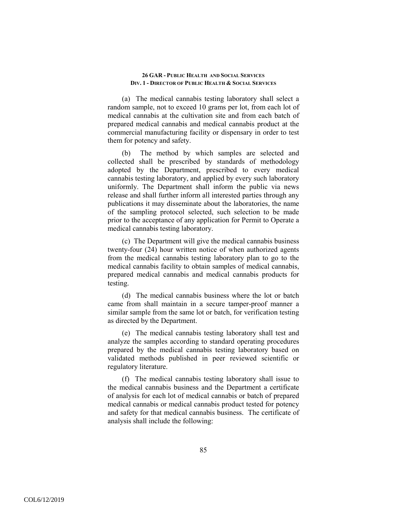(a) The medical cannabis testing laboratory shall select a random sample, not to exceed 10 grams per lot, from each lot of medical cannabis at the cultivation site and from each batch of prepared medical cannabis and medical cannabis product at the commercial manufacturing facility or dispensary in order to test them for potency and safety.

(b) The method by which samples are selected and collected shall be prescribed by standards of methodology adopted by the Department, prescribed to every medical cannabis testing laboratory, and applied by every such laboratory uniformly. The Department shall inform the public via news release and shall further inform all interested parties through any publications it may disseminate about the laboratories, the name of the sampling protocol selected, such selection to be made prior to the acceptance of any application for Permit to Operate a medical cannabis testing laboratory.

(c) The Department will give the medical cannabis business twenty-four (24) hour written notice of when authorized agents from the medical cannabis testing laboratory plan to go to the medical cannabis facility to obtain samples of medical cannabis, prepared medical cannabis and medical cannabis products for testing.

(d) The medical cannabis business where the lot or batch came from shall maintain in a secure tamper-proof manner a similar sample from the same lot or batch, for verification testing as directed by the Department.

(e) The medical cannabis testing laboratory shall test and analyze the samples according to standard operating procedures prepared by the medical cannabis testing laboratory based on validated methods published in peer reviewed scientific or regulatory literature.

(f) The medical cannabis testing laboratory shall issue to the medical cannabis business and the Department a certificate of analysis for each lot of medical cannabis or batch of prepared medical cannabis or medical cannabis product tested for potency and safety for that medical cannabis business. The certificate of analysis shall include the following: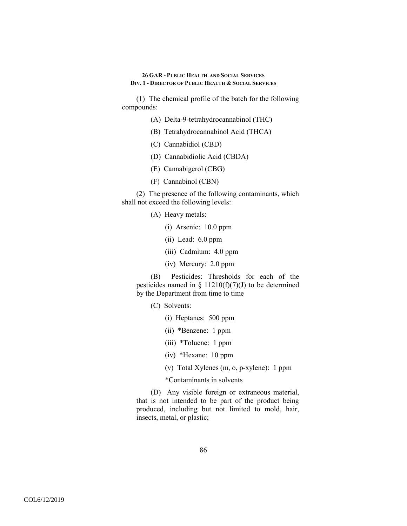(1) The chemical profile of the batch for the following compounds:

- (A) Delta-9-tetrahydrocannabinol (THC)
- (B) Tetrahydrocannabinol Acid (THCA)
- (C) Cannabidiol (CBD)
- (D) Cannabidiolic Acid (CBDA)
- (E) Cannabigerol (CBG)
- (F) Cannabinol (CBN)

(2) The presence of the following contaminants, which shall not exceed the following levels:

- (A) Heavy metals:
	- (i) Arsenic: 10.0 ppm
	- (ii) Lead: 6.0 ppm
	- (iii) Cadmium: 4.0 ppm
	- (iv) Mercury: 2.0 ppm

(B) Pesticides: Thresholds for each of the pesticides named in § 11210(f)(7)(J) to be determined by the Department from time to time

- (C) Solvents:
	- (i) Heptanes: 500 ppm
	- (ii) \*Benzene: 1 ppm
	- (iii) \*Toluene: 1 ppm
	- (iv) \*Hexane: 10 ppm
	- (v) Total Xylenes (m, o, p-xylene): 1 ppm

\*Contaminants in solvents

(D) Any visible foreign or extraneous material, that is not intended to be part of the product being produced, including but not limited to mold, hair, insects, metal, or plastic;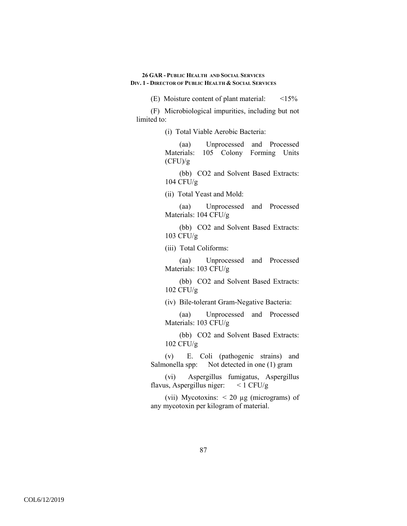(E) Moisture content of plant material: <15%

(F) Microbiological impurities, including but not limited to:

(i) Total Viable Aerobic Bacteria:

(aa) Unprocessed and Processed Materials: 105 Colony Forming Units  $(CFU)/g$ 

(bb) CO2 and Solvent Based Extracts: 104 CFU/g

(ii) Total Yeast and Mold:

(aa) Unprocessed and Processed Materials: 104 CFU/g

(bb) CO2 and Solvent Based Extracts: 103 CFU/g

(iii) Total Coliforms:

(aa) Unprocessed and Processed Materials: 103 CFU/g

(bb) CO2 and Solvent Based Extracts: 102 CFU/g

(iv) Bile-tolerant Gram-Negative Bacteria:

(aa) Unprocessed and Processed Materials: 103 CFU/g

(bb) CO2 and Solvent Based Extracts: 102 CFU/g

(v) E. Coli (pathogenic strains) and Salmonella spp: Not detected in one (1) gram

(vi) Aspergillus fumigatus, Aspergillus flavus, Aspergillus niger:  $\lt$  1 CFU/g

(vii) Mycotoxins:  $\lt 20 \mu$ g (micrograms) of any mycotoxin per kilogram of material.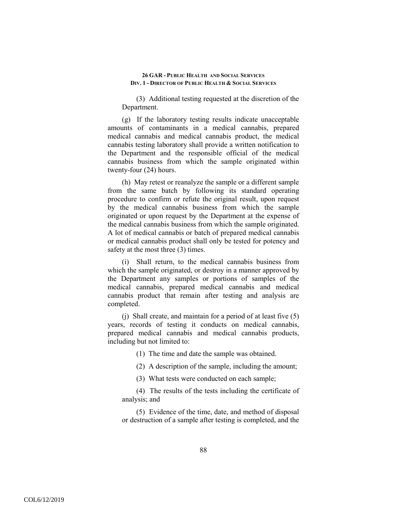(3) Additional testing requested at the discretion of the Department.

(g) If the laboratory testing results indicate unacceptable amounts of contaminants in a medical cannabis, prepared medical cannabis and medical cannabis product, the medical cannabis testing laboratory shall provide a written notification to the Department and the responsible official of the medical cannabis business from which the sample originated within twenty-four (24) hours.

(h) May retest or reanalyze the sample or a different sample from the same batch by following its standard operating procedure to confirm or refute the original result, upon request by the medical cannabis business from which the sample originated or upon request by the Department at the expense of the medical cannabis business from which the sample originated. A lot of medical cannabis or batch of prepared medical cannabis or medical cannabis product shall only be tested for potency and safety at the most three (3) times.

(i) Shall return, to the medical cannabis business from which the sample originated, or destroy in a manner approved by the Department any samples or portions of samples of the medical cannabis, prepared medical cannabis and medical cannabis product that remain after testing and analysis are completed.

(j) Shall create, and maintain for a period of at least five (5) years, records of testing it conducts on medical cannabis, prepared medical cannabis and medical cannabis products, including but not limited to:

(1) The time and date the sample was obtained.

(2) A description of the sample, including the amount;

(3) What tests were conducted on each sample;

(4) The results of the tests including the certificate of analysis; and

(5) Evidence of the time, date, and method of disposal or destruction of a sample after testing is completed, and the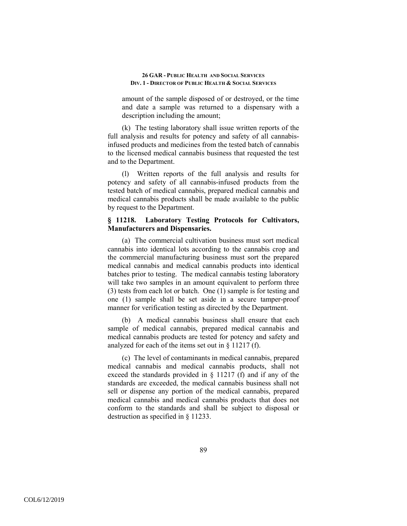amount of the sample disposed of or destroyed, or the time and date a sample was returned to a dispensary with a description including the amount;

(k) The testing laboratory shall issue written reports of the full analysis and results for potency and safety of all cannabisinfused products and medicines from the tested batch of cannabis to the licensed medical cannabis business that requested the test and to the Department.

(l) Written reports of the full analysis and results for potency and safety of all cannabis-infused products from the tested batch of medical cannabis, prepared medical cannabis and medical cannabis products shall be made available to the public by request to the Department.

# **§ 11218. Laboratory Testing Protocols for Cultivators, Manufacturers and Dispensaries.**

(a) The commercial cultivation business must sort medical cannabis into identical lots according to the cannabis crop and the commercial manufacturing business must sort the prepared medical cannabis and medical cannabis products into identical batches prior to testing. The medical cannabis testing laboratory will take two samples in an amount equivalent to perform three (3) tests from each lot or batch. One (1) sample is for testing and one (1) sample shall be set aside in a secure tamper-proof manner for verification testing as directed by the Department.

(b) A medical cannabis business shall ensure that each sample of medical cannabis, prepared medical cannabis and medical cannabis products are tested for potency and safety and analyzed for each of the items set out in § 11217 (f).

(c) The level of contaminants in medical cannabis, prepared medical cannabis and medical cannabis products, shall not exceed the standards provided in § 11217 (f) and if any of the standards are exceeded, the medical cannabis business shall not sell or dispense any portion of the medical cannabis, prepared medical cannabis and medical cannabis products that does not conform to the standards and shall be subject to disposal or destruction as specified in § 11233.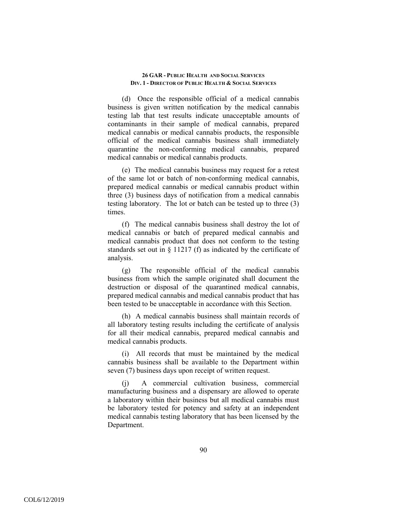(d) Once the responsible official of a medical cannabis business is given written notification by the medical cannabis testing lab that test results indicate unacceptable amounts of contaminants in their sample of medical cannabis, prepared medical cannabis or medical cannabis products, the responsible official of the medical cannabis business shall immediately quarantine the non-conforming medical cannabis, prepared medical cannabis or medical cannabis products.

(e) The medical cannabis business may request for a retest of the same lot or batch of non-conforming medical cannabis, prepared medical cannabis or medical cannabis product within three (3) business days of notification from a medical cannabis testing laboratory. The lot or batch can be tested up to three (3) times.

(f) The medical cannabis business shall destroy the lot of medical cannabis or batch of prepared medical cannabis and medical cannabis product that does not conform to the testing standards set out in § 11217 (f) as indicated by the certificate of analysis.

(g) The responsible official of the medical cannabis business from which the sample originated shall document the destruction or disposal of the quarantined medical cannabis, prepared medical cannabis and medical cannabis product that has been tested to be unacceptable in accordance with this Section.

(h) A medical cannabis business shall maintain records of all laboratory testing results including the certificate of analysis for all their medical cannabis, prepared medical cannabis and medical cannabis products.

(i) All records that must be maintained by the medical cannabis business shall be available to the Department within seven (7) business days upon receipt of written request.

(j) A commercial cultivation business, commercial manufacturing business and a dispensary are allowed to operate a laboratory within their business but all medical cannabis must be laboratory tested for potency and safety at an independent medical cannabis testing laboratory that has been licensed by the Department.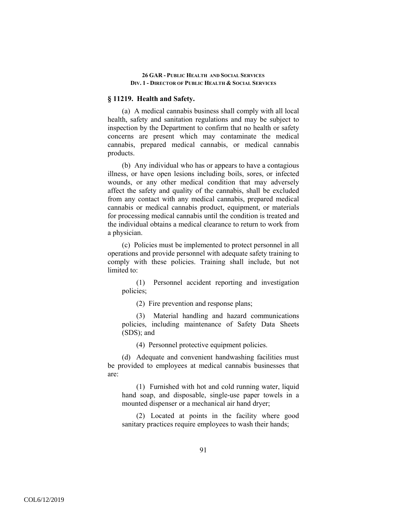# **§ 11219. Health and Safety.**

(a) A medical cannabis business shall comply with all local health, safety and sanitation regulations and may be subject to inspection by the Department to confirm that no health or safety concerns are present which may contaminate the medical cannabis, prepared medical cannabis, or medical cannabis products.

(b) Any individual who has or appears to have a contagious illness, or have open lesions including boils, sores, or infected wounds, or any other medical condition that may adversely affect the safety and quality of the cannabis, shall be excluded from any contact with any medical cannabis, prepared medical cannabis or medical cannabis product, equipment, or materials for processing medical cannabis until the condition is treated and the individual obtains a medical clearance to return to work from a physician.

(c) Policies must be implemented to protect personnel in all operations and provide personnel with adequate safety training to comply with these policies. Training shall include, but not limited to:

(1) Personnel accident reporting and investigation policies;

(2) Fire prevention and response plans;

(3) Material handling and hazard communications policies, including maintenance of Safety Data Sheets (SDS); and

(4) Personnel protective equipment policies.

(d) Adequate and convenient handwashing facilities must be provided to employees at medical cannabis businesses that are:

(1) Furnished with hot and cold running water, liquid hand soap, and disposable, single-use paper towels in a mounted dispenser or a mechanical air hand dryer;

(2) Located at points in the facility where good sanitary practices require employees to wash their hands;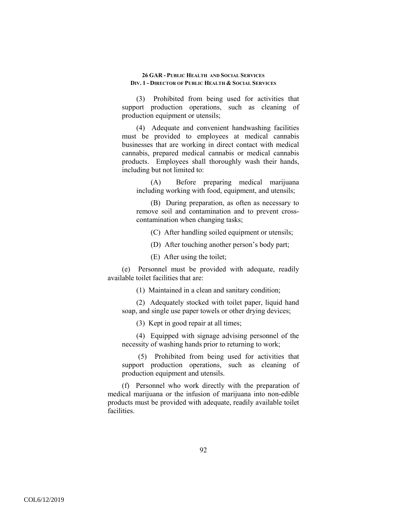(3) Prohibited from being used for activities that support production operations, such as cleaning of production equipment or utensils;

(4) Adequate and convenient handwashing facilities must be provided to employees at medical cannabis businesses that are working in direct contact with medical cannabis, prepared medical cannabis or medical cannabis products. Employees shall thoroughly wash their hands, including but not limited to:

(A) Before preparing medical marijuana including working with food, equipment, and utensils;

(B) During preparation, as often as necessary to remove soil and contamination and to prevent crosscontamination when changing tasks;

(C) After handling soiled equipment or utensils;

(D) After touching another person's body part;

(E) After using the toilet;

(e) Personnel must be provided with adequate, readily available toilet facilities that are:

(1) Maintained in a clean and sanitary condition;

(2) Adequately stocked with toilet paper, liquid hand soap, and single use paper towels or other drying devices;

(3) Kept in good repair at all times;

(4) Equipped with signage advising personnel of the necessity of washing hands prior to returning to work;

 (5) Prohibited from being used for activities that support production operations, such as cleaning of production equipment and utensils.

(f) Personnel who work directly with the preparation of medical marijuana or the infusion of marijuana into non-edible products must be provided with adequate, readily available toilet facilities.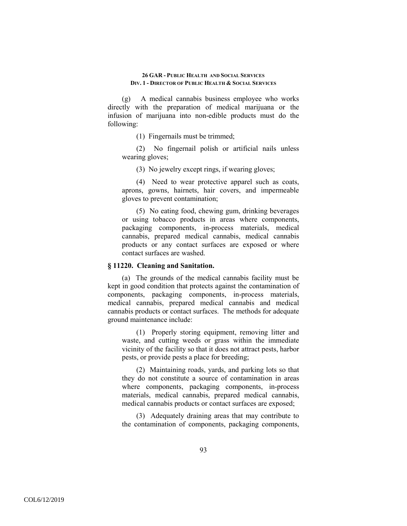(g) A medical cannabis business employee who works directly with the preparation of medical marijuana or the infusion of marijuana into non-edible products must do the following:

(1) Fingernails must be trimmed;

(2) No fingernail polish or artificial nails unless wearing gloves;

(3) No jewelry except rings, if wearing gloves;

(4) Need to wear protective apparel such as coats, aprons, gowns, hairnets, hair covers, and impermeable gloves to prevent contamination;

(5) No eating food, chewing gum, drinking beverages or using tobacco products in areas where components, packaging components, in-process materials, medical cannabis, prepared medical cannabis, medical cannabis products or any contact surfaces are exposed or where contact surfaces are washed.

### **§ 11220. Cleaning and Sanitation.**

(a) The grounds of the medical cannabis facility must be kept in good condition that protects against the contamination of components, packaging components, in-process materials, medical cannabis, prepared medical cannabis and medical cannabis products or contact surfaces. The methods for adequate ground maintenance include:

(1) Properly storing equipment, removing litter and waste, and cutting weeds or grass within the immediate vicinity of the facility so that it does not attract pests, harbor pests, or provide pests a place for breeding;

(2) Maintaining roads, yards, and parking lots so that they do not constitute a source of contamination in areas where components, packaging components, in-process materials, medical cannabis, prepared medical cannabis, medical cannabis products or contact surfaces are exposed;

(3) Adequately draining areas that may contribute to the contamination of components, packaging components,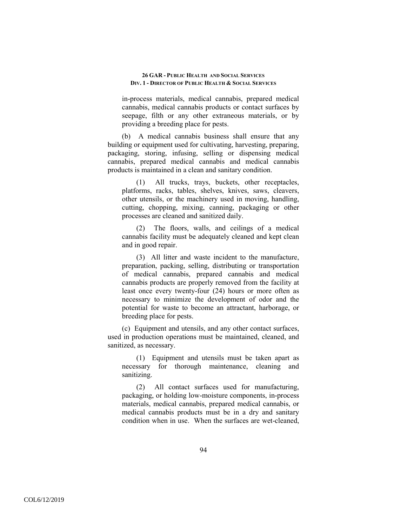in-process materials, medical cannabis, prepared medical cannabis, medical cannabis products or contact surfaces by seepage, filth or any other extraneous materials, or by providing a breeding place for pests.

(b) A medical cannabis business shall ensure that any building or equipment used for cultivating, harvesting, preparing, packaging, storing, infusing, selling or dispensing medical cannabis, prepared medical cannabis and medical cannabis products is maintained in a clean and sanitary condition.

(1) All trucks, trays, buckets, other receptacles, platforms, racks, tables, shelves, knives, saws, cleavers, other utensils, or the machinery used in moving, handling, cutting, chopping, mixing, canning, packaging or other processes are cleaned and sanitized daily.

(2) The floors, walls, and ceilings of a medical cannabis facility must be adequately cleaned and kept clean and in good repair.

(3) All litter and waste incident to the manufacture, preparation, packing, selling, distributing or transportation of medical cannabis, prepared cannabis and medical cannabis products are properly removed from the facility at least once every twenty-four (24) hours or more often as necessary to minimize the development of odor and the potential for waste to become an attractant, harborage, or breeding place for pests.

(c) Equipment and utensils, and any other contact surfaces, used in production operations must be maintained, cleaned, and sanitized, as necessary.

(1) Equipment and utensils must be taken apart as necessary for thorough maintenance, cleaning and sanitizing.

(2) All contact surfaces used for manufacturing, packaging, or holding low-moisture components, in-process materials, medical cannabis, prepared medical cannabis, or medical cannabis products must be in a dry and sanitary condition when in use. When the surfaces are wet-cleaned,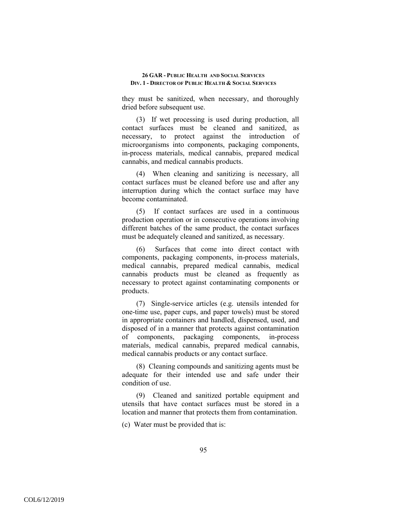they must be sanitized, when necessary, and thoroughly dried before subsequent use.

(3) If wet processing is used during production, all contact surfaces must be cleaned and sanitized, as necessary, to protect against the introduction of microorganisms into components, packaging components, in-process materials, medical cannabis, prepared medical cannabis, and medical cannabis products.

(4) When cleaning and sanitizing is necessary, all contact surfaces must be cleaned before use and after any interruption during which the contact surface may have become contaminated.

(5) If contact surfaces are used in a continuous production operation or in consecutive operations involving different batches of the same product, the contact surfaces must be adequately cleaned and sanitized, as necessary.

Surfaces that come into direct contact with components, packaging components, in-process materials, medical cannabis, prepared medical cannabis, medical cannabis products must be cleaned as frequently as necessary to protect against contaminating components or products.

(7) Single-service articles (e.g. utensils intended for one-time use, paper cups, and paper towels) must be stored in appropriate containers and handled, dispensed, used, and disposed of in a manner that protects against contamination of components, packaging components, in-process materials, medical cannabis, prepared medical cannabis, medical cannabis products or any contact surface.

(8) Cleaning compounds and sanitizing agents must be adequate for their intended use and safe under their condition of use.

(9) Cleaned and sanitized portable equipment and utensils that have contact surfaces must be stored in a location and manner that protects them from contamination.

(c) Water must be provided that is: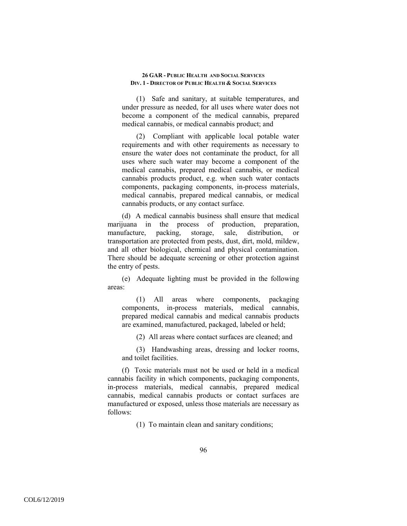(1) Safe and sanitary, at suitable temperatures, and under pressure as needed, for all uses where water does not become a component of the medical cannabis, prepared medical cannabis, or medical cannabis product; and

(2) Compliant with applicable local potable water requirements and with other requirements as necessary to ensure the water does not contaminate the product, for all uses where such water may become a component of the medical cannabis, prepared medical cannabis, or medical cannabis products product, e.g. when such water contacts components, packaging components, in-process materials, medical cannabis, prepared medical cannabis, or medical cannabis products, or any contact surface.

(d) A medical cannabis business shall ensure that medical marijuana in the process of production, preparation, manufacture, packing, storage, sale, distribution, or transportation are protected from pests, dust, dirt, mold, mildew, and all other biological, chemical and physical contamination. There should be adequate screening or other protection against the entry of pests.

(e) Adequate lighting must be provided in the following areas:

(1) All areas where components, packaging components, in-process materials, medical cannabis, prepared medical cannabis and medical cannabis products are examined, manufactured, packaged, labeled or held;

(2) All areas where contact surfaces are cleaned; and

(3) Handwashing areas, dressing and locker rooms, and toilet facilities.

(f) Toxic materials must not be used or held in a medical cannabis facility in which components, packaging components, in-process materials, medical cannabis, prepared medical cannabis, medical cannabis products or contact surfaces are manufactured or exposed, unless those materials are necessary as follows:

(1) To maintain clean and sanitary conditions;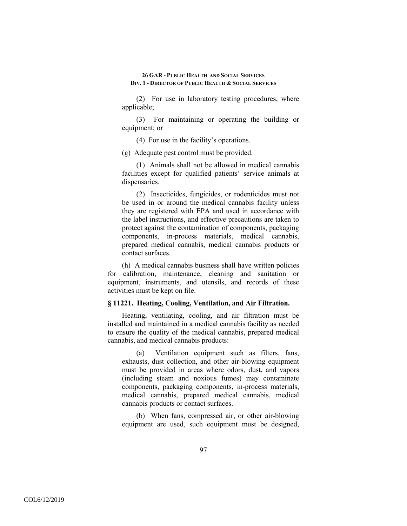(2) For use in laboratory testing procedures, where applicable;

(3) For maintaining or operating the building or equipment; or

(4) For use in the facility's operations.

(g) Adequate pest control must be provided.

(1) Animals shall not be allowed in medical cannabis facilities except for qualified patients' service animals at dispensaries.

(2) Insecticides, fungicides, or rodenticides must not be used in or around the medical cannabis facility unless they are registered with EPA and used in accordance with the label instructions, and effective precautions are taken to protect against the contamination of components, packaging components, in-process materials, medical cannabis, prepared medical cannabis, medical cannabis products or contact surfaces.

(h) A medical cannabis business shall have written policies for calibration, maintenance, cleaning and sanitation or equipment, instruments, and utensils, and records of these activities must be kept on file.

# **§ 11221. Heating, Cooling, Ventilation, and Air Filtration.**

Heating, ventilating, cooling, and air filtration must be installed and maintained in a medical cannabis facility as needed to ensure the quality of the medical cannabis, prepared medical cannabis, and medical cannabis products:

(a) Ventilation equipment such as filters, fans, exhausts, dust collection, and other air-blowing equipment must be provided in areas where odors, dust, and vapors (including steam and noxious fumes) may contaminate components, packaging components, in-process materials, medical cannabis, prepared medical cannabis, medical cannabis products or contact surfaces.

(b) When fans, compressed air, or other air-blowing equipment are used, such equipment must be designed,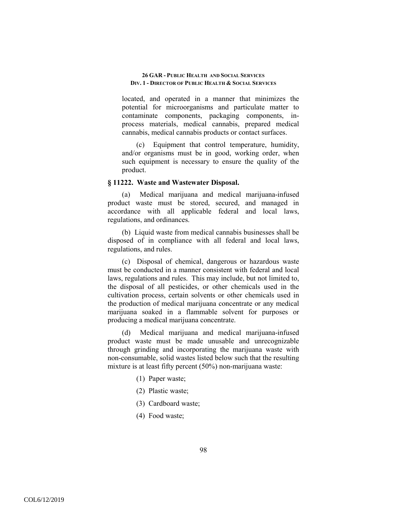located, and operated in a manner that minimizes the potential for microorganisms and particulate matter to contaminate components, packaging components, inprocess materials, medical cannabis, prepared medical cannabis, medical cannabis products or contact surfaces.

(c) Equipment that control temperature, humidity, and/or organisms must be in good, working order, when such equipment is necessary to ensure the quality of the product.

# **§ 11222. Waste and Wastewater Disposal.**

(a) Medical marijuana and medical marijuana-infused product waste must be stored, secured, and managed in accordance with all applicable federal and local laws, regulations, and ordinances.

(b) Liquid waste from medical cannabis businesses shall be disposed of in compliance with all federal and local laws, regulations, and rules.

(c) Disposal of chemical, dangerous or hazardous waste must be conducted in a manner consistent with federal and local laws, regulations and rules. This may include, but not limited to, the disposal of all pesticides, or other chemicals used in the cultivation process, certain solvents or other chemicals used in the production of medical marijuana concentrate or any medical marijuana soaked in a flammable solvent for purposes or producing a medical marijuana concentrate.

(d) Medical marijuana and medical marijuana-infused product waste must be made unusable and unrecognizable through grinding and incorporating the marijuana waste with non-consumable, solid wastes listed below such that the resulting mixture is at least fifty percent (50%) non-marijuana waste:

- (1) Paper waste;
- (2) Plastic waste;
- (3) Cardboard waste;
- (4) Food waste;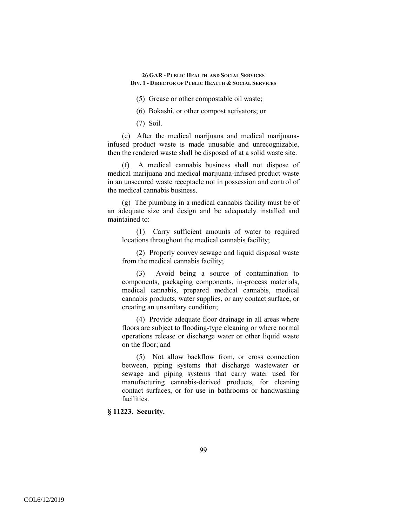(5) Grease or other compostable oil waste;

(6) Bokashi, or other compost activators; or

(7) Soil.

(e) After the medical marijuana and medical marijuanainfused product waste is made unusable and unrecognizable, then the rendered waste shall be disposed of at a solid waste site.

(f) A medical cannabis business shall not dispose of medical marijuana and medical marijuana-infused product waste in an unsecured waste receptacle not in possession and control of the medical cannabis business.

(g) The plumbing in a medical cannabis facility must be of an adequate size and design and be adequately installed and maintained to:

(1) Carry sufficient amounts of water to required locations throughout the medical cannabis facility;

(2) Properly convey sewage and liquid disposal waste from the medical cannabis facility;

(3) Avoid being a source of contamination to components, packaging components, in-process materials, medical cannabis, prepared medical cannabis, medical cannabis products, water supplies, or any contact surface, or creating an unsanitary condition;

(4) Provide adequate floor drainage in all areas where floors are subject to flooding-type cleaning or where normal operations release or discharge water or other liquid waste on the floor; and

(5) Not allow backflow from, or cross connection between, piping systems that discharge wastewater or sewage and piping systems that carry water used for manufacturing cannabis-derived products, for cleaning contact surfaces, or for use in bathrooms or handwashing facilities.

**§ 11223. Security.**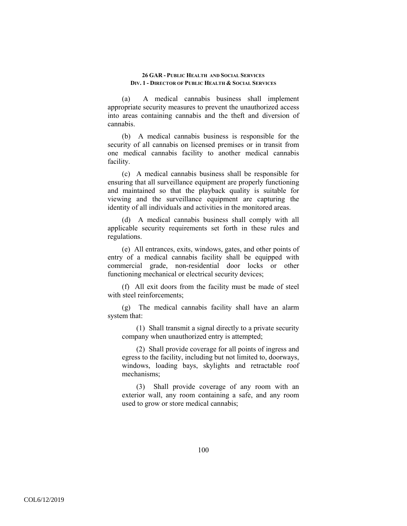(a) A medical cannabis business shall implement appropriate security measures to prevent the unauthorized access into areas containing cannabis and the theft and diversion of cannabis.

(b) A medical cannabis business is responsible for the security of all cannabis on licensed premises or in transit from one medical cannabis facility to another medical cannabis facility.

(c) A medical cannabis business shall be responsible for ensuring that all surveillance equipment are properly functioning and maintained so that the playback quality is suitable for viewing and the surveillance equipment are capturing the identity of all individuals and activities in the monitored areas.

(d) A medical cannabis business shall comply with all applicable security requirements set forth in these rules and regulations.

(e) All entrances, exits, windows, gates, and other points of entry of a medical cannabis facility shall be equipped with commercial grade, non-residential door locks or other functioning mechanical or electrical security devices;

(f) All exit doors from the facility must be made of steel with steel reinforcements;

(g) The medical cannabis facility shall have an alarm system that:

(1) Shall transmit a signal directly to a private security company when unauthorized entry is attempted;

(2) Shall provide coverage for all points of ingress and egress to the facility, including but not limited to, doorways, windows, loading bays, skylights and retractable roof mechanisms;

(3) Shall provide coverage of any room with an exterior wall, any room containing a safe, and any room used to grow or store medical cannabis;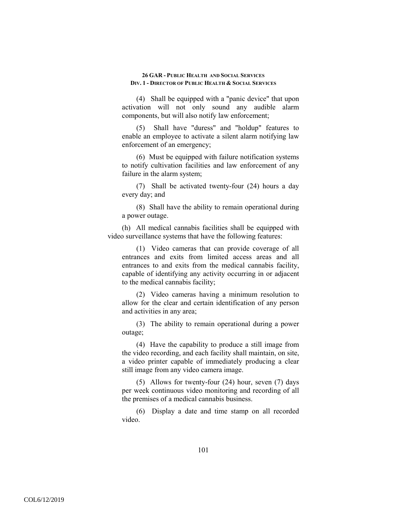(4) Shall be equipped with a "panic device" that upon activation will not only sound any audible alarm components, but will also notify law enforcement;

(5) Shall have "duress" and "holdup" features to enable an employee to activate a silent alarm notifying law enforcement of an emergency;

(6) Must be equipped with failure notification systems to notify cultivation facilities and law enforcement of any failure in the alarm system;

(7) Shall be activated twenty-four (24) hours a day every day; and

(8) Shall have the ability to remain operational during a power outage.

(h) All medical cannabis facilities shall be equipped with video surveillance systems that have the following features:

(1) Video cameras that can provide coverage of all entrances and exits from limited access areas and all entrances to and exits from the medical cannabis facility, capable of identifying any activity occurring in or adjacent to the medical cannabis facility;

(2) Video cameras having a minimum resolution to allow for the clear and certain identification of any person and activities in any area;

(3) The ability to remain operational during a power outage;

(4) Have the capability to produce a still image from the video recording, and each facility shall maintain, on site, a video printer capable of immediately producing a clear still image from any video camera image.

(5) Allows for twenty-four (24) hour, seven (7) days per week continuous video monitoring and recording of all the premises of a medical cannabis business.

(6) Display a date and time stamp on all recorded video.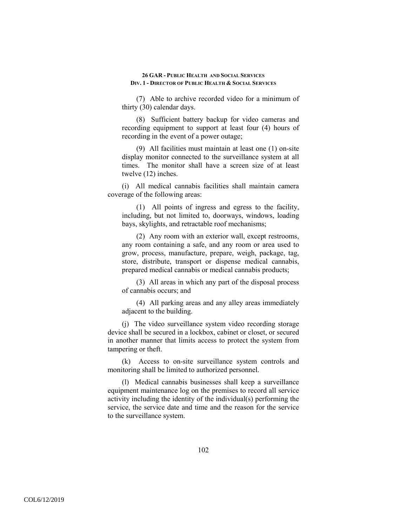(7) Able to archive recorded video for a minimum of thirty (30) calendar days.

(8) Sufficient battery backup for video cameras and recording equipment to support at least four (4) hours of recording in the event of a power outage;

(9) All facilities must maintain at least one (1) on-site display monitor connected to the surveillance system at all times. The monitor shall have a screen size of at least twelve (12) inches.

(i) All medical cannabis facilities shall maintain camera coverage of the following areas:

(1) All points of ingress and egress to the facility, including, but not limited to, doorways, windows, loading bays, skylights, and retractable roof mechanisms;

(2) Any room with an exterior wall, except restrooms, any room containing a safe, and any room or area used to grow, process, manufacture, prepare, weigh, package, tag, store, distribute, transport or dispense medical cannabis, prepared medical cannabis or medical cannabis products;

(3) All areas in which any part of the disposal process of cannabis occurs; and

(4) All parking areas and any alley areas immediately adjacent to the building.

(j) The video surveillance system video recording storage device shall be secured in a lockbox, cabinet or closet, or secured in another manner that limits access to protect the system from tampering or theft.

(k) Access to on-site surveillance system controls and monitoring shall be limited to authorized personnel.

(l) Medical cannabis businesses shall keep a surveillance equipment maintenance log on the premises to record all service activity including the identity of the individual(s) performing the service, the service date and time and the reason for the service to the surveillance system.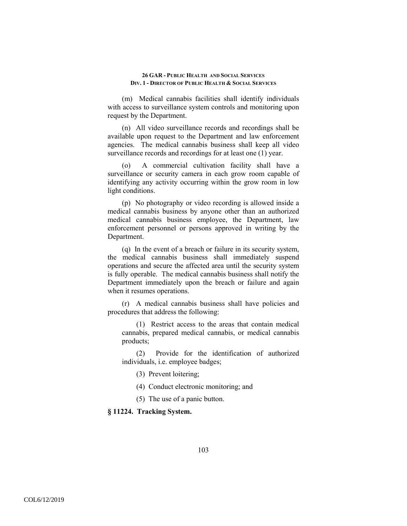(m) Medical cannabis facilities shall identify individuals with access to surveillance system controls and monitoring upon request by the Department.

(n) All video surveillance records and recordings shall be available upon request to the Department and law enforcement agencies. The medical cannabis business shall keep all video surveillance records and recordings for at least one (1) year.

(o) A commercial cultivation facility shall have a surveillance or security camera in each grow room capable of identifying any activity occurring within the grow room in low light conditions.

(p) No photography or video recording is allowed inside a medical cannabis business by anyone other than an authorized medical cannabis business employee, the Department, law enforcement personnel or persons approved in writing by the Department.

(q) In the event of a breach or failure in its security system, the medical cannabis business shall immediately suspend operations and secure the affected area until the security system is fully operable. The medical cannabis business shall notify the Department immediately upon the breach or failure and again when it resumes operations.

(r) A medical cannabis business shall have policies and procedures that address the following:

(1) Restrict access to the areas that contain medical cannabis, prepared medical cannabis, or medical cannabis products;

(2) Provide for the identification of authorized individuals, i.e. employee badges;

(3) Prevent loitering;

(4) Conduct electronic monitoring; and

(5) The use of a panic button.

**§ 11224. Tracking System.**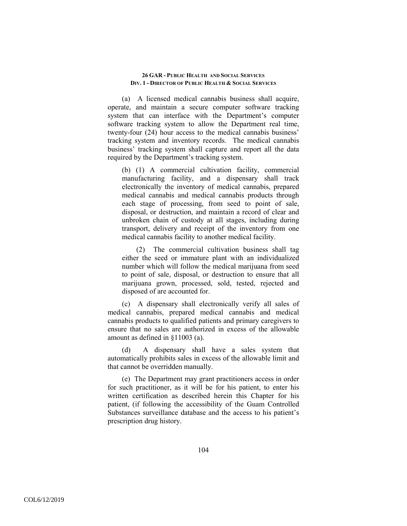(a) A licensed medical cannabis business shall acquire, operate, and maintain a secure computer software tracking system that can interface with the Department's computer software tracking system to allow the Department real time, twenty-four (24) hour access to the medical cannabis business' tracking system and inventory records. The medical cannabis business' tracking system shall capture and report all the data required by the Department's tracking system.

(b) (1) A commercial cultivation facility, commercial manufacturing facility, and a dispensary shall track electronically the inventory of medical cannabis, prepared medical cannabis and medical cannabis products through each stage of processing, from seed to point of sale, disposal, or destruction, and maintain a record of clear and unbroken chain of custody at all stages, including during transport, delivery and receipt of the inventory from one medical cannabis facility to another medical facility.

(2) The commercial cultivation business shall tag either the seed or immature plant with an individualized number which will follow the medical marijuana from seed to point of sale, disposal, or destruction to ensure that all marijuana grown, processed, sold, tested, rejected and disposed of are accounted for.

(c) A dispensary shall electronically verify all sales of medical cannabis, prepared medical cannabis and medical cannabis products to qualified patients and primary caregivers to ensure that no sales are authorized in excess of the allowable amount as defined in §11003 (a).

(d) A dispensary shall have a sales system that automatically prohibits sales in excess of the allowable limit and that cannot be overridden manually.

(e) The Department may grant practitioners access in order for such practitioner, as it will be for his patient, to enter his written certification as described herein this Chapter for his patient, (if following the accessibility of the Guam Controlled Substances surveillance database and the access to his patient's prescription drug history.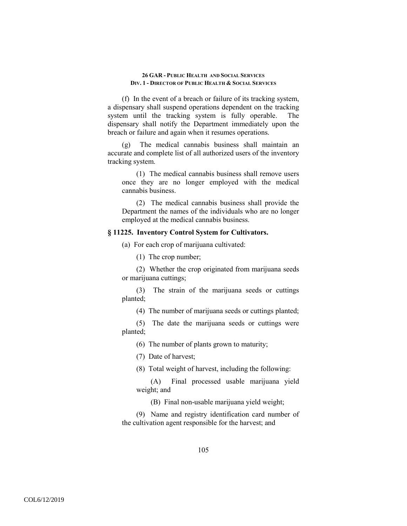(f) In the event of a breach or failure of its tracking system, a dispensary shall suspend operations dependent on the tracking system until the tracking system is fully operable. The dispensary shall notify the Department immediately upon the breach or failure and again when it resumes operations.

(g) The medical cannabis business shall maintain an accurate and complete list of all authorized users of the inventory tracking system.

(1) The medical cannabis business shall remove users once they are no longer employed with the medical cannabis business.

(2) The medical cannabis business shall provide the Department the names of the individuals who are no longer employed at the medical cannabis business.

# **§ 11225. Inventory Control System for Cultivators.**

(a) For each crop of marijuana cultivated:

(1) The crop number;

(2) Whether the crop originated from marijuana seeds or marijuana cuttings;

(3) The strain of the marijuana seeds or cuttings planted;

(4) The number of marijuana seeds or cuttings planted;

(5) The date the marijuana seeds or cuttings were planted;

(6) The number of plants grown to maturity;

(7) Date of harvest;

(8) Total weight of harvest, including the following:

(A) Final processed usable marijuana yield weight; and

(B) Final non-usable marijuana yield weight;

(9) Name and registry identification card number of the cultivation agent responsible for the harvest; and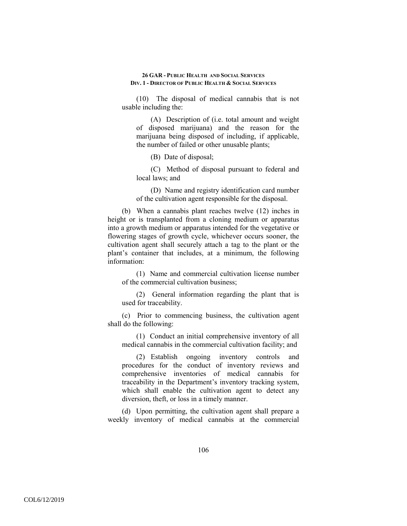(10) The disposal of medical cannabis that is not usable including the:

(A) Description of (i.e. total amount and weight of disposed marijuana) and the reason for the marijuana being disposed of including, if applicable, the number of failed or other unusable plants;

(B) Date of disposal;

(C) Method of disposal pursuant to federal and local laws; and

(D) Name and registry identification card number of the cultivation agent responsible for the disposal.

(b) When a cannabis plant reaches twelve (12) inches in height or is transplanted from a cloning medium or apparatus into a growth medium or apparatus intended for the vegetative or flowering stages of growth cycle, whichever occurs sooner, the cultivation agent shall securely attach a tag to the plant or the plant's container that includes, at a minimum, the following information:

(1) Name and commercial cultivation license number of the commercial cultivation business;

(2) General information regarding the plant that is used for traceability.

(c) Prior to commencing business, the cultivation agent shall do the following:

(1) Conduct an initial comprehensive inventory of all medical cannabis in the commercial cultivation facility; and

(2) Establish ongoing inventory controls and procedures for the conduct of inventory reviews and comprehensive inventories of medical cannabis for traceability in the Department's inventory tracking system, which shall enable the cultivation agent to detect any diversion, theft, or loss in a timely manner.

(d) Upon permitting, the cultivation agent shall prepare a weekly inventory of medical cannabis at the commercial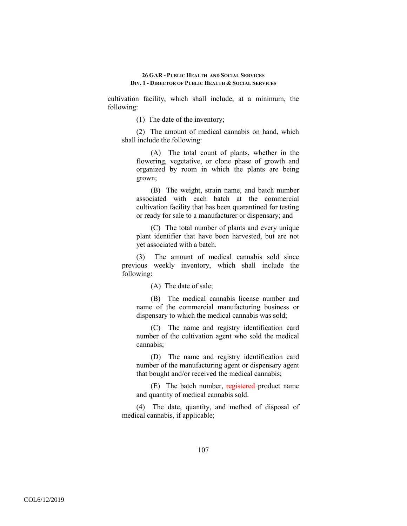cultivation facility, which shall include, at a minimum, the following:

(1) The date of the inventory;

(2) The amount of medical cannabis on hand, which shall include the following:

(A) The total count of plants, whether in the flowering, vegetative, or clone phase of growth and organized by room in which the plants are being grown;

(B) The weight, strain name, and batch number associated with each batch at the commercial cultivation facility that has been quarantined for testing or ready for sale to a manufacturer or dispensary; and

(C) The total number of plants and every unique plant identifier that have been harvested, but are not yet associated with a batch.

(3) The amount of medical cannabis sold since previous weekly inventory, which shall include the following:

(A) The date of sale;

(B) The medical cannabis license number and name of the commercial manufacturing business or dispensary to which the medical cannabis was sold;

(C) The name and registry identification card number of the cultivation agent who sold the medical cannabis;

(D) The name and registry identification card number of the manufacturing agent or dispensary agent that bought and/or received the medical cannabis;

(E) The batch number, registered product name and quantity of medical cannabis sold.

(4) The date, quantity, and method of disposal of medical cannabis, if applicable;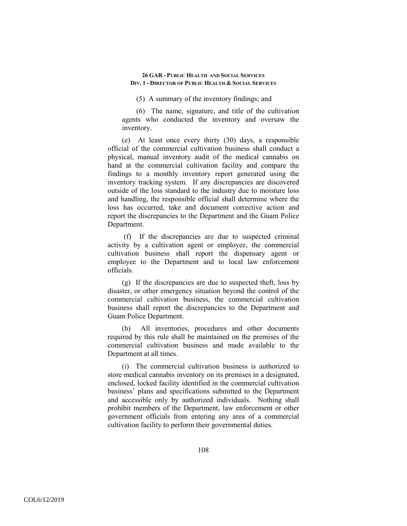(5) A summary of the inventory findings; and

(6) The name, signature, and title of the cultivation agents who conducted the inventory and oversaw the inventory.

(e) At least once every thirty (30) days, a responsible official of the commercial cultivation business shall conduct a physical, manual inventory audit of the medical cannabis on hand at the commercial cultivation facility and compare the findings to a monthly inventory report generated using the inventory tracking system. If any discrepancies are discovered outside of the loss standard to the industry due to moisture loss and handling, the responsible official shall determine where the loss has occurred, take and document corrective action and report the discrepancies to the Department and the Guam Police Department.

 (f) If the discrepancies are due to suspected criminal activity by a cultivation agent or employee, the commercial cultivation business shall report the dispensary agent or employee to the Department and to local law enforcement officials.

(g) If the discrepancies are due to suspected theft, loss by disaster, or other emergency situation beyond the control of the commercial cultivation business, the commercial cultivation business shall report the discrepancies to the Department and Guam Police Department.

(h) All inventories, procedures and other documents required by this rule shall be maintained on the premises of the commercial cultivation business and made available to the Department at all times.

(i) The commercial cultivation business is authorized to store medical cannabis inventory on its premises in a designated, enclosed, locked facility identified in the commercial cultivation business' plans and specifications submitted to the Department and accessible only by authorized individuals. Nothing shall prohibit members of the Department, law enforcement or other government officials from entering any area of a commercial cultivation facility to perform their governmental duties.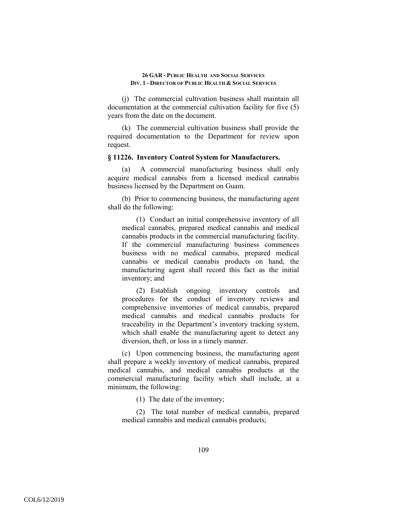(j) The commercial cultivation business shall maintain all documentation at the commercial cultivation facility for five (5) years from the date on the document.

(k) The commercial cultivation business shall provide the required documentation to the Department for review upon request.

### **§ 11226. Inventory Control System for Manufacturers.**

(a) A commercial manufacturing business shall only acquire medical cannabis from a licensed medical cannabis business licensed by the Department on Guam.

(b) Prior to commencing business, the manufacturing agent shall do the following:

(1) Conduct an initial comprehensive inventory of all medical cannabis, prepared medical cannabis and medical cannabis products in the commercial manufacturing facility. If the commercial manufacturing business commences business with no medical cannabis, prepared medical cannabis or medical cannabis products on hand, the manufacturing agent shall record this fact as the initial inventory; and

(2) Establish ongoing inventory controls and procedures for the conduct of inventory reviews and comprehensive inventories of medical cannabis, prepared medical cannabis and medical cannabis products for traceability in the Department's inventory tracking system, which shall enable the manufacturing agent to detect any diversion, theft, or loss in a timely manner.

(c) Upon commencing business, the manufacturing agent shall prepare a weekly inventory of medical cannabis, prepared medical cannabis, and medical cannabis products at the commercial manufacturing facility which shall include, at a minimum, the following:

(1) The date of the inventory;

(2) The total number of medical cannabis, prepared medical cannabis and medical cannabis products;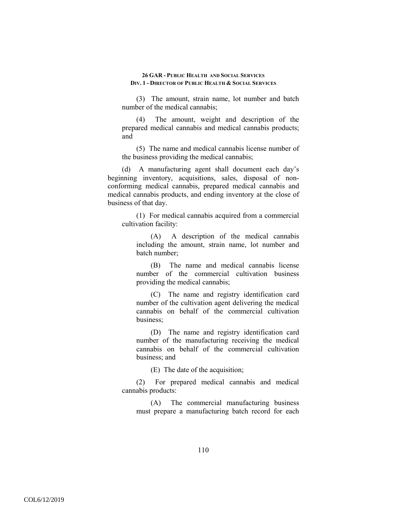(3) The amount, strain name, lot number and batch number of the medical cannabis;

(4) The amount, weight and description of the prepared medical cannabis and medical cannabis products; and

(5) The name and medical cannabis license number of the business providing the medical cannabis;

(d) A manufacturing agent shall document each day's beginning inventory, acquisitions, sales, disposal of nonconforming medical cannabis, prepared medical cannabis and medical cannabis products, and ending inventory at the close of business of that day.

(1) For medical cannabis acquired from a commercial cultivation facility:

(A) A description of the medical cannabis including the amount, strain name, lot number and batch number;

(B) The name and medical cannabis license number of the commercial cultivation business providing the medical cannabis;

(C) The name and registry identification card number of the cultivation agent delivering the medical cannabis on behalf of the commercial cultivation business;

(D) The name and registry identification card number of the manufacturing receiving the medical cannabis on behalf of the commercial cultivation business; and

(E) The date of the acquisition;

(2) For prepared medical cannabis and medical cannabis products:

(A) The commercial manufacturing business must prepare a manufacturing batch record for each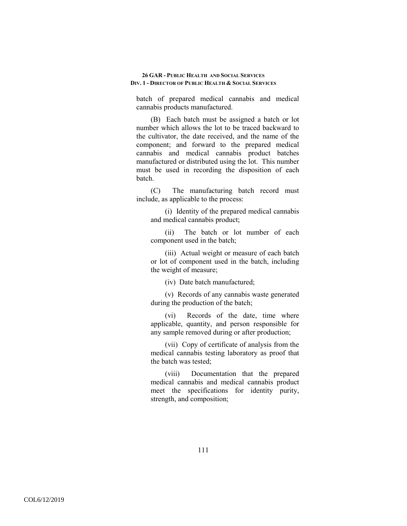batch of prepared medical cannabis and medical cannabis products manufactured.

(B) Each batch must be assigned a batch or lot number which allows the lot to be traced backward to the cultivator, the date received, and the name of the component; and forward to the prepared medical cannabis and medical cannabis product batches manufactured or distributed using the lot. This number must be used in recording the disposition of each batch.

(C) The manufacturing batch record must include, as applicable to the process:

(i) Identity of the prepared medical cannabis and medical cannabis product;

(ii) The batch or lot number of each component used in the batch;

(iii) Actual weight or measure of each batch or lot of component used in the batch, including the weight of measure;

(iv) Date batch manufactured;

(v) Records of any cannabis waste generated during the production of the batch;

(vi) Records of the date, time where applicable, quantity, and person responsible for any sample removed during or after production;

(vii) Copy of certificate of analysis from the medical cannabis testing laboratory as proof that the batch was tested;

(viii) Documentation that the prepared medical cannabis and medical cannabis product meet the specifications for identity purity, strength, and composition;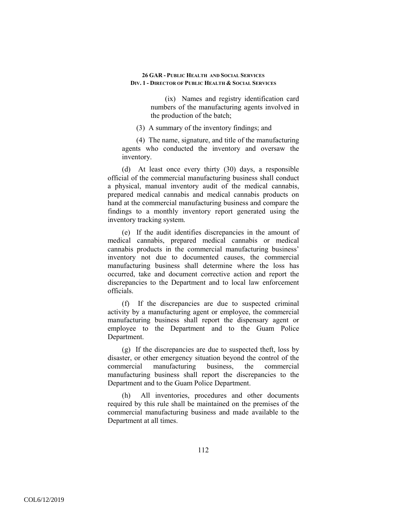(ix) Names and registry identification card numbers of the manufacturing agents involved in the production of the batch;

(3) A summary of the inventory findings; and

(4) The name, signature, and title of the manufacturing agents who conducted the inventory and oversaw the inventory.

(d) At least once every thirty (30) days, a responsible official of the commercial manufacturing business shall conduct a physical, manual inventory audit of the medical cannabis, prepared medical cannabis and medical cannabis products on hand at the commercial manufacturing business and compare the findings to a monthly inventory report generated using the inventory tracking system.

(e) If the audit identifies discrepancies in the amount of medical cannabis, prepared medical cannabis or medical cannabis products in the commercial manufacturing business' inventory not due to documented causes, the commercial manufacturing business shall determine where the loss has occurred, take and document corrective action and report the discrepancies to the Department and to local law enforcement officials.

(f) If the discrepancies are due to suspected criminal activity by a manufacturing agent or employee, the commercial manufacturing business shall report the dispensary agent or employee to the Department and to the Guam Police Department.

(g) If the discrepancies are due to suspected theft, loss by disaster, or other emergency situation beyond the control of the commercial manufacturing business, the commercial manufacturing business shall report the discrepancies to the Department and to the Guam Police Department.

(h) All inventories, procedures and other documents required by this rule shall be maintained on the premises of the commercial manufacturing business and made available to the Department at all times.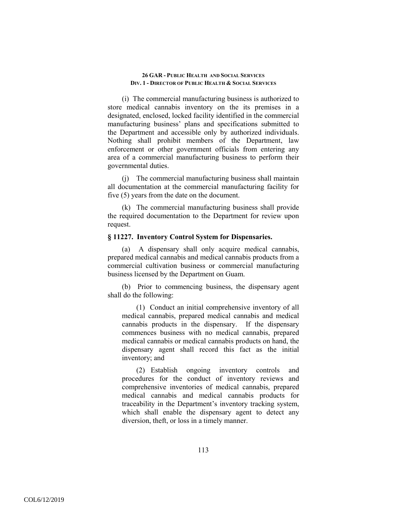(i) The commercial manufacturing business is authorized to store medical cannabis inventory on the its premises in a designated, enclosed, locked facility identified in the commercial manufacturing business' plans and specifications submitted to the Department and accessible only by authorized individuals. Nothing shall prohibit members of the Department, law enforcement or other government officials from entering any area of a commercial manufacturing business to perform their governmental duties.

(j) The commercial manufacturing business shall maintain all documentation at the commercial manufacturing facility for five (5) years from the date on the document.

(k) The commercial manufacturing business shall provide the required documentation to the Department for review upon request.

## **§ 11227. Inventory Control System for Dispensaries.**

(a) A dispensary shall only acquire medical cannabis, prepared medical cannabis and medical cannabis products from a commercial cultivation business or commercial manufacturing business licensed by the Department on Guam.

(b) Prior to commencing business, the dispensary agent shall do the following:

(1) Conduct an initial comprehensive inventory of all medical cannabis, prepared medical cannabis and medical cannabis products in the dispensary. If the dispensary commences business with no medical cannabis, prepared medical cannabis or medical cannabis products on hand, the dispensary agent shall record this fact as the initial inventory; and

(2) Establish ongoing inventory controls and procedures for the conduct of inventory reviews and comprehensive inventories of medical cannabis, prepared medical cannabis and medical cannabis products for traceability in the Department's inventory tracking system, which shall enable the dispensary agent to detect any diversion, theft, or loss in a timely manner.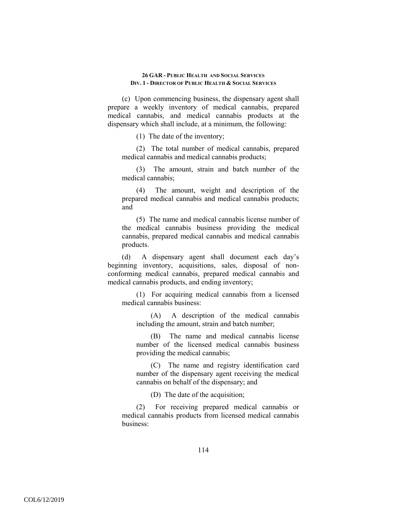(c) Upon commencing business, the dispensary agent shall prepare a weekly inventory of medical cannabis, prepared medical cannabis, and medical cannabis products at the dispensary which shall include, at a minimum, the following:

(1) The date of the inventory;

(2) The total number of medical cannabis, prepared medical cannabis and medical cannabis products;

(3) The amount, strain and batch number of the medical cannabis;

(4) The amount, weight and description of the prepared medical cannabis and medical cannabis products; and

(5) The name and medical cannabis license number of the medical cannabis business providing the medical cannabis, prepared medical cannabis and medical cannabis products.

(d) A dispensary agent shall document each day's beginning inventory, acquisitions, sales, disposal of nonconforming medical cannabis, prepared medical cannabis and medical cannabis products, and ending inventory;

(1) For acquiring medical cannabis from a licensed medical cannabis business:

(A) A description of the medical cannabis including the amount, strain and batch number;

(B) The name and medical cannabis license number of the licensed medical cannabis business providing the medical cannabis;

(C) The name and registry identification card number of the dispensary agent receiving the medical cannabis on behalf of the dispensary; and

(D) The date of the acquisition;

(2) For receiving prepared medical cannabis or medical cannabis products from licensed medical cannabis business: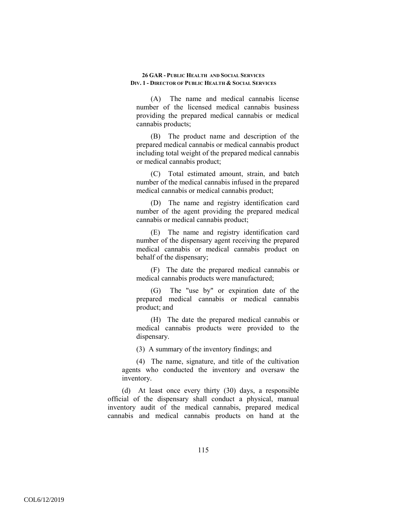(A) The name and medical cannabis license number of the licensed medical cannabis business providing the prepared medical cannabis or medical cannabis products;

(B) The product name and description of the prepared medical cannabis or medical cannabis product including total weight of the prepared medical cannabis or medical cannabis product;

(C) Total estimated amount, strain, and batch number of the medical cannabis infused in the prepared medical cannabis or medical cannabis product;

(D) The name and registry identification card number of the agent providing the prepared medical cannabis or medical cannabis product;

(E) The name and registry identification card number of the dispensary agent receiving the prepared medical cannabis or medical cannabis product on behalf of the dispensary;

(F) The date the prepared medical cannabis or medical cannabis products were manufactured;

(G) The "use by" or expiration date of the prepared medical cannabis or medical cannabis product; and

(H) The date the prepared medical cannabis or medical cannabis products were provided to the dispensary.

(3) A summary of the inventory findings; and

(4) The name, signature, and title of the cultivation agents who conducted the inventory and oversaw the inventory.

(d) At least once every thirty (30) days, a responsible official of the dispensary shall conduct a physical, manual inventory audit of the medical cannabis, prepared medical cannabis and medical cannabis products on hand at the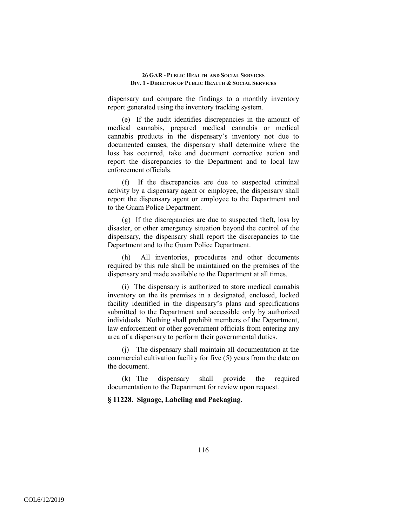dispensary and compare the findings to a monthly inventory report generated using the inventory tracking system.

(e) If the audit identifies discrepancies in the amount of medical cannabis, prepared medical cannabis or medical cannabis products in the dispensary's inventory not due to documented causes, the dispensary shall determine where the loss has occurred, take and document corrective action and report the discrepancies to the Department and to local law enforcement officials.

(f) If the discrepancies are due to suspected criminal activity by a dispensary agent or employee, the dispensary shall report the dispensary agent or employee to the Department and to the Guam Police Department.

(g) If the discrepancies are due to suspected theft, loss by disaster, or other emergency situation beyond the control of the dispensary, the dispensary shall report the discrepancies to the Department and to the Guam Police Department.

(h) All inventories, procedures and other documents required by this rule shall be maintained on the premises of the dispensary and made available to the Department at all times.

(i) The dispensary is authorized to store medical cannabis inventory on the its premises in a designated, enclosed, locked facility identified in the dispensary's plans and specifications submitted to the Department and accessible only by authorized individuals. Nothing shall prohibit members of the Department, law enforcement or other government officials from entering any area of a dispensary to perform their governmental duties.

(j) The dispensary shall maintain all documentation at the commercial cultivation facility for five (5) years from the date on the document.

(k) The dispensary shall provide the required documentation to the Department for review upon request.

## **§ 11228. Signage, Labeling and Packaging.**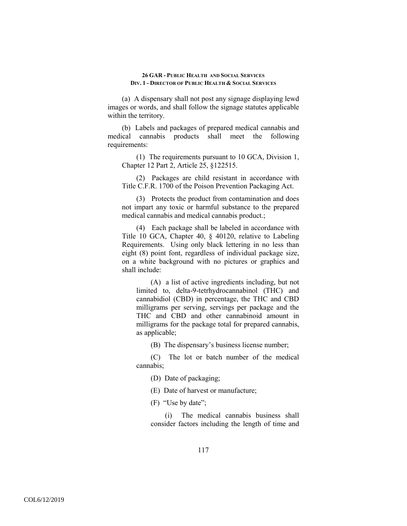(a) A dispensary shall not post any signage displaying lewd images or words, and shall follow the signage statutes applicable within the territory.

(b) Labels and packages of prepared medical cannabis and medical cannabis products shall meet the following requirements:

(1) The requirements pursuant to 10 GCA, Division 1, Chapter 12 Part 2, Article 25, §122515.

(2) Packages are child resistant in accordance with Title C.F.R. 1700 of the Poison Prevention Packaging Act.

(3) Protects the product from contamination and does not impart any toxic or harmful substance to the prepared medical cannabis and medical cannabis product.;

(4) Each package shall be labeled in accordance with Title 10 GCA, Chapter 40, § 40120, relative to Labeling Requirements. Using only black lettering in no less than eight (8) point font, regardless of individual package size, on a white background with no pictures or graphics and shall include:

(A) a list of active ingredients including, but not limited to, delta-9-tetrhydrocannabinol (THC) and cannabidiol (CBD) in percentage, the THC and CBD milligrams per serving, servings per package and the THC and CBD and other cannabinoid amount in milligrams for the package total for prepared cannabis, as applicable;

(B) The dispensary's business license number;

(C) The lot or batch number of the medical cannabis;

(D) Date of packaging;

(E) Date of harvest or manufacture;

(F) "Use by date";

(i) The medical cannabis business shall consider factors including the length of time and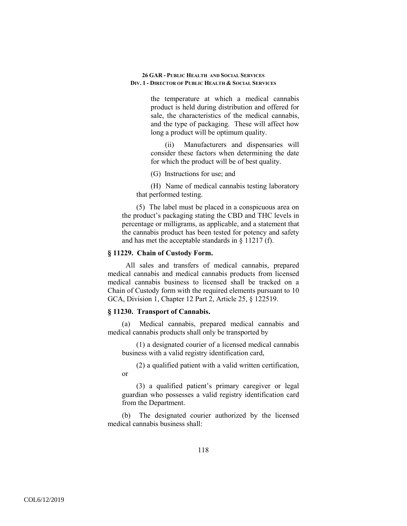the temperature at which a medical cannabis product is held during distribution and offered for sale, the characteristics of the medical cannabis, and the type of packaging. These will affect how long a product will be optimum quality.

(ii) Manufacturers and dispensaries will consider these factors when determining the date for which the product will be of best quality.

(G) Instructions for use; and

(H) Name of medical cannabis testing laboratory that performed testing.

(5) The label must be placed in a conspicuous area on the product's packaging stating the CBD and THC levels in percentage or milligrams, as applicable, and a statement that the cannabis product has been tested for potency and safety and has met the acceptable standards in § 11217 (f).

## **§ 11229. Chain of Custody Form.**

 All sales and transfers of medical cannabis, prepared medical cannabis and medical cannabis products from licensed medical cannabis business to licensed shall be tracked on a Chain of Custody form with the required elements pursuant to 10 GCA, Division 1, Chapter 12 Part 2, Article 25, § 122519.

## **§ 11230. Transport of Cannabis.**

(a) Medical cannabis, prepared medical cannabis and medical cannabis products shall only be transported by

(1) a designated courier of a licensed medical cannabis business with a valid registry identification card,

(2) a qualified patient with a valid written certification, or

(3) a qualified patient's primary caregiver or legal guardian who possesses a valid registry identification card from the Department.

(b) The designated courier authorized by the licensed medical cannabis business shall: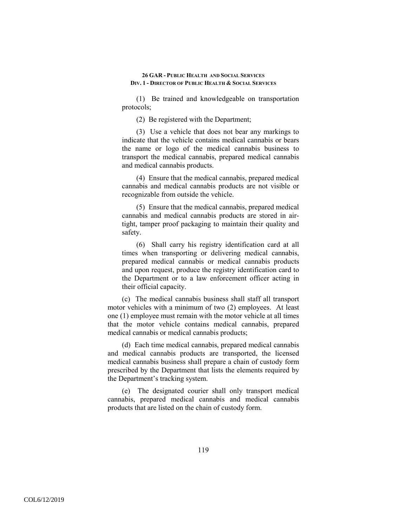(1) Be trained and knowledgeable on transportation protocols;

(2) Be registered with the Department;

(3) Use a vehicle that does not bear any markings to indicate that the vehicle contains medical cannabis or bears the name or logo of the medical cannabis business to transport the medical cannabis, prepared medical cannabis and medical cannabis products.

(4) Ensure that the medical cannabis, prepared medical cannabis and medical cannabis products are not visible or recognizable from outside the vehicle.

(5) Ensure that the medical cannabis, prepared medical cannabis and medical cannabis products are stored in airtight, tamper proof packaging to maintain their quality and safety.

(6) Shall carry his registry identification card at all times when transporting or delivering medical cannabis, prepared medical cannabis or medical cannabis products and upon request, produce the registry identification card to the Department or to a law enforcement officer acting in their official capacity.

(c) The medical cannabis business shall staff all transport motor vehicles with a minimum of two (2) employees. At least one (1) employee must remain with the motor vehicle at all times that the motor vehicle contains medical cannabis, prepared medical cannabis or medical cannabis products;

(d) Each time medical cannabis, prepared medical cannabis and medical cannabis products are transported, the licensed medical cannabis business shall prepare a chain of custody form prescribed by the Department that lists the elements required by the Department's tracking system.

(e) The designated courier shall only transport medical cannabis, prepared medical cannabis and medical cannabis products that are listed on the chain of custody form.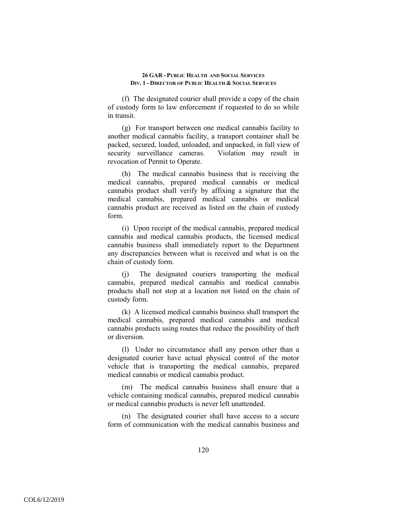(f) The designated courier shall provide a copy of the chain of custody form to law enforcement if requested to do so while in transit.

(g) For transport between one medical cannabis facility to another medical cannabis facility, a transport container shall be packed, secured, loaded, unloaded, and unpacked, in full view of security surveillance cameras. Violation may result in revocation of Permit to Operate.

(h) The medical cannabis business that is receiving the medical cannabis, prepared medical cannabis or medical cannabis product shall verify by affixing a signature that the medical cannabis, prepared medical cannabis or medical cannabis product are received as listed on the chain of custody form.

(i) Upon receipt of the medical cannabis, prepared medical cannabis and medical cannabis products, the licensed medical cannabis business shall immediately report to the Department any discrepancies between what is received and what is on the chain of custody form.

(j) The designated couriers transporting the medical cannabis, prepared medical cannabis and medical cannabis products shall not stop at a location not listed on the chain of custody form.

(k) A licensed medical cannabis business shall transport the medical cannabis, prepared medical cannabis and medical cannabis products using routes that reduce the possibility of theft or diversion.

(l) Under no circumstance shall any person other than a designated courier have actual physical control of the motor vehicle that is transporting the medical cannabis, prepared medical cannabis or medical cannabis product.

(m) The medical cannabis business shall ensure that a vehicle containing medical cannabis, prepared medical cannabis or medical cannabis products is never left unattended.

(n) The designated courier shall have access to a secure form of communication with the medical cannabis business and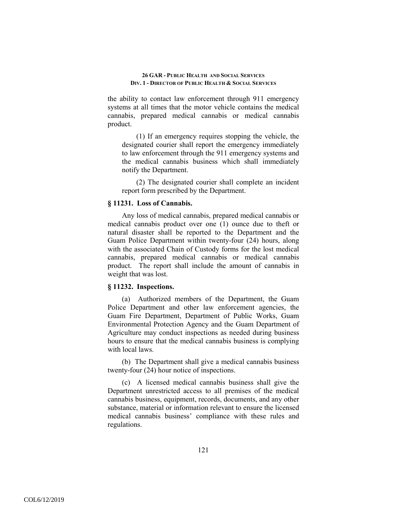the ability to contact law enforcement through 911 emergency systems at all times that the motor vehicle contains the medical cannabis, prepared medical cannabis or medical cannabis product.

(1) If an emergency requires stopping the vehicle, the designated courier shall report the emergency immediately to law enforcement through the 911 emergency systems and the medical cannabis business which shall immediately notify the Department.

(2) The designated courier shall complete an incident report form prescribed by the Department.

## **§ 11231. Loss of Cannabis.**

Any loss of medical cannabis, prepared medical cannabis or medical cannabis product over one (1) ounce due to theft or natural disaster shall be reported to the Department and the Guam Police Department within twenty-four (24) hours, along with the associated Chain of Custody forms for the lost medical cannabis, prepared medical cannabis or medical cannabis product. The report shall include the amount of cannabis in weight that was lost.

# **§ 11232. Inspections.**

(a) Authorized members of the Department, the Guam Police Department and other law enforcement agencies, the Guam Fire Department, Department of Public Works, Guam Environmental Protection Agency and the Guam Department of Agriculture may conduct inspections as needed during business hours to ensure that the medical cannabis business is complying with local laws.

(b) The Department shall give a medical cannabis business twenty-four (24) hour notice of inspections.

(c) A licensed medical cannabis business shall give the Department unrestricted access to all premises of the medical cannabis business, equipment, records, documents, and any other substance, material or information relevant to ensure the licensed medical cannabis business' compliance with these rules and regulations.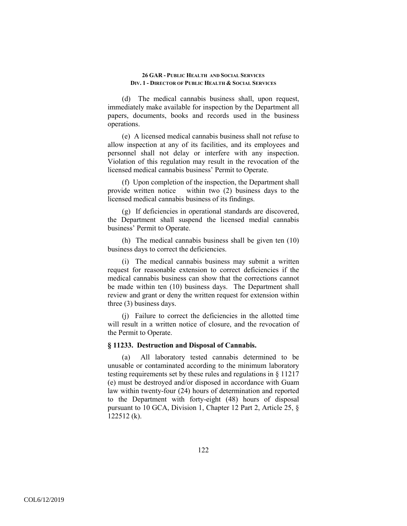(d) The medical cannabis business shall, upon request, immediately make available for inspection by the Department all papers, documents, books and records used in the business operations.

(e) A licensed medical cannabis business shall not refuse to allow inspection at any of its facilities, and its employees and personnel shall not delay or interfere with any inspection. Violation of this regulation may result in the revocation of the licensed medical cannabis business' Permit to Operate.

(f) Upon completion of the inspection, the Department shall provide written notice within two (2) business days to the licensed medical cannabis business of its findings.

(g) If deficiencies in operational standards are discovered, the Department shall suspend the licensed medial cannabis business' Permit to Operate.

(h) The medical cannabis business shall be given ten (10) business days to correct the deficiencies.

(i) The medical cannabis business may submit a written request for reasonable extension to correct deficiencies if the medical cannabis business can show that the corrections cannot be made within ten (10) business days. The Department shall review and grant or deny the written request for extension within three (3) business days.

(j) Failure to correct the deficiencies in the allotted time will result in a written notice of closure, and the revocation of the Permit to Operate.

#### **§ 11233. Destruction and Disposal of Cannabis.**

(a) All laboratory tested cannabis determined to be unusable or contaminated according to the minimum laboratory testing requirements set by these rules and regulations in § 11217 (e) must be destroyed and/or disposed in accordance with Guam law within twenty-four (24) hours of determination and reported to the Department with forty-eight (48) hours of disposal pursuant to 10 GCA, Division 1, Chapter 12 Part 2, Article 25, § 122512 (k).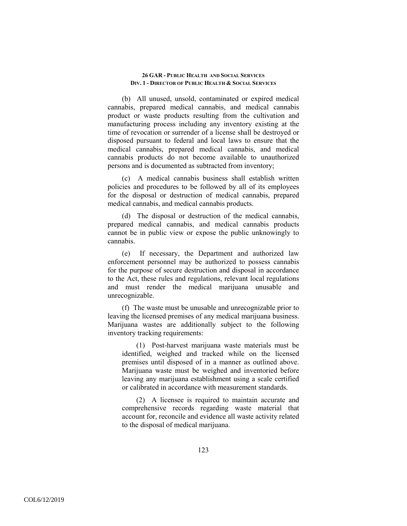(b) All unused, unsold, contaminated or expired medical cannabis, prepared medical cannabis, and medical cannabis product or waste products resulting from the cultivation and manufacturing process including any inventory existing at the time of revocation or surrender of a license shall be destroyed or disposed pursuant to federal and local laws to ensure that the medical cannabis, prepared medical cannabis, and medical cannabis products do not become available to unauthorized persons and is documented as subtracted from inventory;

(c) A medical cannabis business shall establish written policies and procedures to be followed by all of its employees for the disposal or destruction of medical cannabis, prepared medical cannabis, and medical cannabis products.

(d) The disposal or destruction of the medical cannabis, prepared medical cannabis, and medical cannabis products cannot be in public view or expose the public unknowingly to cannabis.

(e) If necessary, the Department and authorized law enforcement personnel may be authorized to possess cannabis for the purpose of secure destruction and disposal in accordance to the Act, these rules and regulations, relevant local regulations and must render the medical marijuana unusable and unrecognizable.

(f) The waste must be unusable and unrecognizable prior to leaving the licensed premises of any medical marijuana business. Marijuana wastes are additionally subject to the following inventory tracking requirements:

(1) Post-harvest marijuana waste materials must be identified, weighed and tracked while on the licensed premises until disposed of in a manner as outlined above. Marijuana waste must be weighed and inventoried before leaving any marijuana establishment using a scale certified or calibrated in accordance with measurement standards.

(2) A licensee is required to maintain accurate and comprehensive records regarding waste material that account for, reconcile and evidence all waste activity related to the disposal of medical marijuana.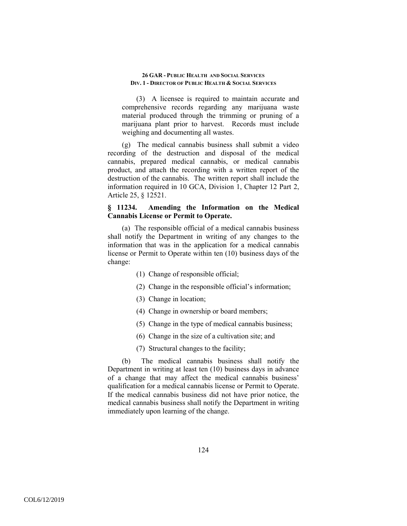(3) A licensee is required to maintain accurate and comprehensive records regarding any marijuana waste material produced through the trimming or pruning of a marijuana plant prior to harvest. Records must include weighing and documenting all wastes.

(g) The medical cannabis business shall submit a video recording of the destruction and disposal of the medical cannabis, prepared medical cannabis, or medical cannabis product, and attach the recording with a written report of the destruction of the cannabis. The written report shall include the information required in 10 GCA, Division 1, Chapter 12 Part 2, Article 25, § 12521.

# **§ 11234. Amending the Information on the Medical Cannabis License or Permit to Operate.**

(a) The responsible official of a medical cannabis business shall notify the Department in writing of any changes to the information that was in the application for a medical cannabis license or Permit to Operate within ten (10) business days of the change:

- (1) Change of responsible official;
- (2) Change in the responsible official's information;
- (3) Change in location;
- (4) Change in ownership or board members;
- (5) Change in the type of medical cannabis business;
- (6) Change in the size of a cultivation site; and
- (7) Structural changes to the facility;

(b) The medical cannabis business shall notify the Department in writing at least ten (10) business days in advance of a change that may affect the medical cannabis business' qualification for a medical cannabis license or Permit to Operate. If the medical cannabis business did not have prior notice, the medical cannabis business shall notify the Department in writing immediately upon learning of the change.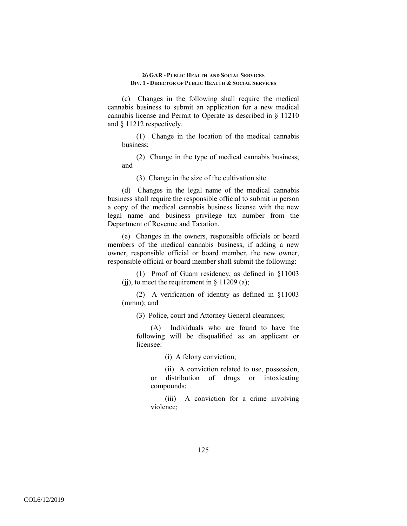(c) Changes in the following shall require the medical cannabis business to submit an application for a new medical cannabis license and Permit to Operate as described in § 11210 and § 11212 respectively.

(1) Change in the location of the medical cannabis business;

(2) Change in the type of medical cannabis business; and

(3) Change in the size of the cultivation site.

(d) Changes in the legal name of the medical cannabis business shall require the responsible official to submit in person a copy of the medical cannabis business license with the new legal name and business privilege tax number from the Department of Revenue and Taxation.

(e) Changes in the owners, responsible officials or board members of the medical cannabis business, if adding a new owner, responsible official or board member, the new owner, responsible official or board member shall submit the following:

(1) Proof of Guam residency, as defined in §11003 (ii), to meet the requirement in  $\S$  11209 (a);

(2) A verification of identity as defined in §11003 (mmm); and

(3) Police, court and Attorney General clearances;

(A) Individuals who are found to have the following will be disqualified as an applicant or licensee:

(i) A felony conviction;

(ii) A conviction related to use, possession, or distribution of drugs or intoxicating compounds;

(iii) A conviction for a crime involving violence;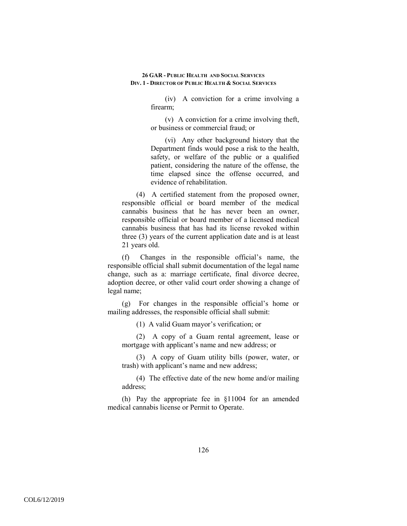(iv) A conviction for a crime involving a firearm;

(v) A conviction for a crime involving theft, or business or commercial fraud; or

(vi) Any other background history that the Department finds would pose a risk to the health, safety, or welfare of the public or a qualified patient, considering the nature of the offense, the time elapsed since the offense occurred, and evidence of rehabilitation.

(4) A certified statement from the proposed owner, responsible official or board member of the medical cannabis business that he has never been an owner, responsible official or board member of a licensed medical cannabis business that has had its license revoked within three (3) years of the current application date and is at least 21 years old.

(f) Changes in the responsible official's name, the responsible official shall submit documentation of the legal name change, such as a: marriage certificate, final divorce decree, adoption decree, or other valid court order showing a change of legal name;

(g) For changes in the responsible official's home or mailing addresses, the responsible official shall submit:

(1) A valid Guam mayor's verification; or

(2) A copy of a Guam rental agreement, lease or mortgage with applicant's name and new address; or

(3) A copy of Guam utility bills (power, water, or trash) with applicant's name and new address;

(4) The effective date of the new home and/or mailing address;

(h) Pay the appropriate fee in §11004 for an amended medical cannabis license or Permit to Operate.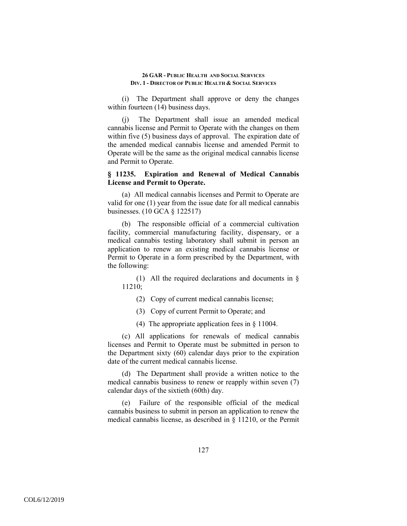(i) The Department shall approve or deny the changes within fourteen (14) business days.

(j) The Department shall issue an amended medical cannabis license and Permit to Operate with the changes on them within five (5) business days of approval. The expiration date of the amended medical cannabis license and amended Permit to Operate will be the same as the original medical cannabis license and Permit to Operate.

# **§ 11235. Expiration and Renewal of Medical Cannabis License and Permit to Operate.**

(a) All medical cannabis licenses and Permit to Operate are valid for one (1) year from the issue date for all medical cannabis businesses. (10 GCA § 122517)

(b) The responsible official of a commercial cultivation facility, commercial manufacturing facility, dispensary, or a medical cannabis testing laboratory shall submit in person an application to renew an existing medical cannabis license or Permit to Operate in a form prescribed by the Department, with the following:

(1) All the required declarations and documents in § 11210;

- (2) Copy of current medical cannabis license;
- (3) Copy of current Permit to Operate; and
- (4) The appropriate application fees in § 11004.

(c) All applications for renewals of medical cannabis licenses and Permit to Operate must be submitted in person to the Department sixty (60) calendar days prior to the expiration date of the current medical cannabis license.

(d) The Department shall provide a written notice to the medical cannabis business to renew or reapply within seven (7) calendar days of the sixtieth (60th) day.

(e) Failure of the responsible official of the medical cannabis business to submit in person an application to renew the medical cannabis license, as described in § 11210, or the Permit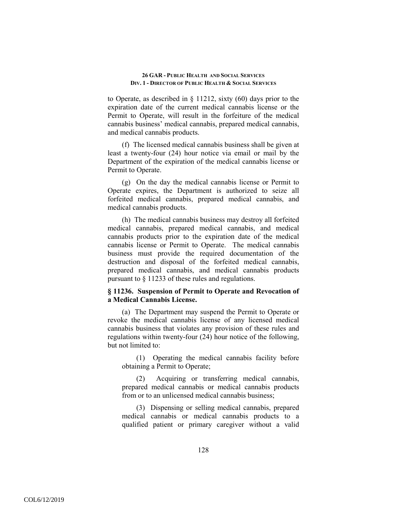to Operate, as described in § 11212, sixty (60) days prior to the expiration date of the current medical cannabis license or the Permit to Operate, will result in the forfeiture of the medical cannabis business' medical cannabis, prepared medical cannabis, and medical cannabis products.

(f) The licensed medical cannabis business shall be given at least a twenty-four (24) hour notice via email or mail by the Department of the expiration of the medical cannabis license or Permit to Operate.

(g) On the day the medical cannabis license or Permit to Operate expires, the Department is authorized to seize all forfeited medical cannabis, prepared medical cannabis, and medical cannabis products.

(h) The medical cannabis business may destroy all forfeited medical cannabis, prepared medical cannabis, and medical cannabis products prior to the expiration date of the medical cannabis license or Permit to Operate. The medical cannabis business must provide the required documentation of the destruction and disposal of the forfeited medical cannabis, prepared medical cannabis, and medical cannabis products pursuant to § 11233 of these rules and regulations.

## **§ 11236. Suspension of Permit to Operate and Revocation of a Medical Cannabis License.**

(a) The Department may suspend the Permit to Operate or revoke the medical cannabis license of any licensed medical cannabis business that violates any provision of these rules and regulations within twenty-four (24) hour notice of the following, but not limited to:

(1) Operating the medical cannabis facility before obtaining a Permit to Operate;

(2) Acquiring or transferring medical cannabis, prepared medical cannabis or medical cannabis products from or to an unlicensed medical cannabis business;

(3) Dispensing or selling medical cannabis, prepared medical cannabis or medical cannabis products to a qualified patient or primary caregiver without a valid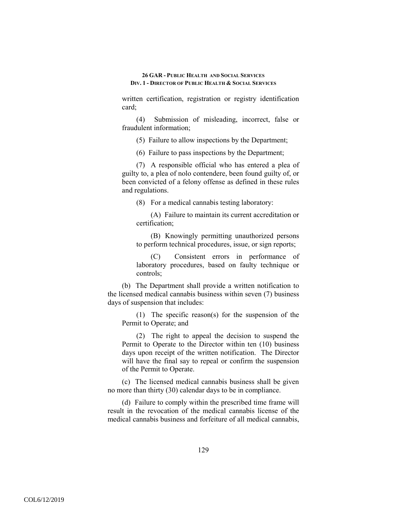written certification, registration or registry identification card;

(4) Submission of misleading, incorrect, false or fraudulent information;

(5) Failure to allow inspections by the Department;

(6) Failure to pass inspections by the Department;

(7) A responsible official who has entered a plea of guilty to, a plea of nolo contendere, been found guilty of, or been convicted of a felony offense as defined in these rules and regulations.

(8) For a medical cannabis testing laboratory:

(A) Failure to maintain its current accreditation or certification;

(B) Knowingly permitting unauthorized persons to perform technical procedures, issue, or sign reports;

(C) Consistent errors in performance of laboratory procedures, based on faulty technique or controls;

(b) The Department shall provide a written notification to the licensed medical cannabis business within seven (7) business days of suspension that includes:

(1) The specific reason(s) for the suspension of the Permit to Operate; and

(2) The right to appeal the decision to suspend the Permit to Operate to the Director within ten (10) business days upon receipt of the written notification. The Director will have the final say to repeal or confirm the suspension of the Permit to Operate.

(c) The licensed medical cannabis business shall be given no more than thirty (30) calendar days to be in compliance.

(d) Failure to comply within the prescribed time frame will result in the revocation of the medical cannabis license of the medical cannabis business and forfeiture of all medical cannabis,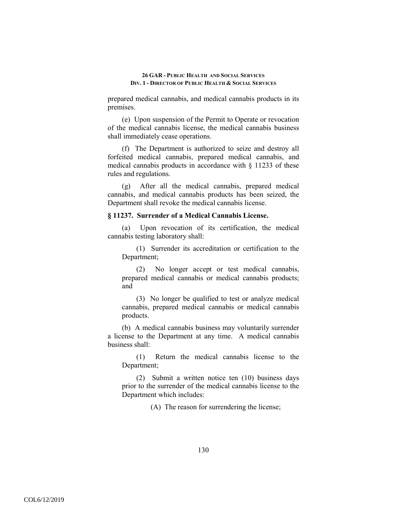prepared medical cannabis, and medical cannabis products in its premises.

(e) Upon suspension of the Permit to Operate or revocation of the medical cannabis license, the medical cannabis business shall immediately cease operations.

(f) The Department is authorized to seize and destroy all forfeited medical cannabis, prepared medical cannabis, and medical cannabis products in accordance with § 11233 of these rules and regulations.

(g) After all the medical cannabis, prepared medical cannabis, and medical cannabis products has been seized, the Department shall revoke the medical cannabis license.

#### **§ 11237. Surrender of a Medical Cannabis License.**

(a) Upon revocation of its certification, the medical cannabis testing laboratory shall:

(1) Surrender its accreditation or certification to the Department;

(2) No longer accept or test medical cannabis, prepared medical cannabis or medical cannabis products; and

(3) No longer be qualified to test or analyze medical cannabis, prepared medical cannabis or medical cannabis products.

(b) A medical cannabis business may voluntarily surrender a license to the Department at any time. A medical cannabis business shall:

(1) Return the medical cannabis license to the Department;

(2) Submit a written notice ten (10) business days prior to the surrender of the medical cannabis license to the Department which includes:

(A) The reason for surrendering the license;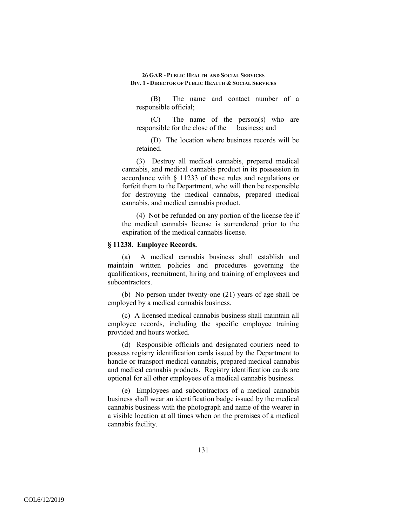(B) The name and contact number of a responsible official;

(C) The name of the person(s) who are responsible for the close of the business; and

(D) The location where business records will be retained.

(3) Destroy all medical cannabis, prepared medical cannabis, and medical cannabis product in its possession in accordance with § 11233 of these rules and regulations or forfeit them to the Department, who will then be responsible for destroying the medical cannabis, prepared medical cannabis, and medical cannabis product.

(4) Not be refunded on any portion of the license fee if the medical cannabis license is surrendered prior to the expiration of the medical cannabis license.

## **§ 11238. Employee Records.**

(a) A medical cannabis business shall establish and maintain written policies and procedures governing the qualifications, recruitment, hiring and training of employees and subcontractors.

(b) No person under twenty-one (21) years of age shall be employed by a medical cannabis business.

(c) A licensed medical cannabis business shall maintain all employee records, including the specific employee training provided and hours worked.

(d) Responsible officials and designated couriers need to possess registry identification cards issued by the Department to handle or transport medical cannabis, prepared medical cannabis and medical cannabis products. Registry identification cards are optional for all other employees of a medical cannabis business.

(e) Employees and subcontractors of a medical cannabis business shall wear an identification badge issued by the medical cannabis business with the photograph and name of the wearer in a visible location at all times when on the premises of a medical cannabis facility.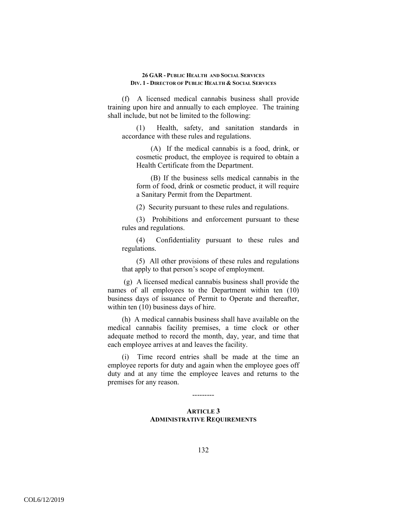(f) A licensed medical cannabis business shall provide training upon hire and annually to each employee. The training shall include, but not be limited to the following:

(1) Health, safety, and sanitation standards in accordance with these rules and regulations.

(A) If the medical cannabis is a food, drink, or cosmetic product, the employee is required to obtain a Health Certificate from the Department.

(B) If the business sells medical cannabis in the form of food, drink or cosmetic product, it will require a Sanitary Permit from the Department.

(2) Security pursuant to these rules and regulations.

(3) Prohibitions and enforcement pursuant to these rules and regulations.

(4) Confidentiality pursuant to these rules and regulations.

(5) All other provisions of these rules and regulations that apply to that person's scope of employment.

 (g) A licensed medical cannabis business shall provide the names of all employees to the Department within ten (10) business days of issuance of Permit to Operate and thereafter, within ten (10) business days of hire.

(h) A medical cannabis business shall have available on the medical cannabis facility premises, a time clock or other adequate method to record the month, day, year, and time that each employee arrives at and leaves the facility.

(i) Time record entries shall be made at the time an employee reports for duty and again when the employee goes off duty and at any time the employee leaves and returns to the premises for any reason.

---------

# **ARTICLE 3 ADMINISTRATIVE REQUIREMENTS**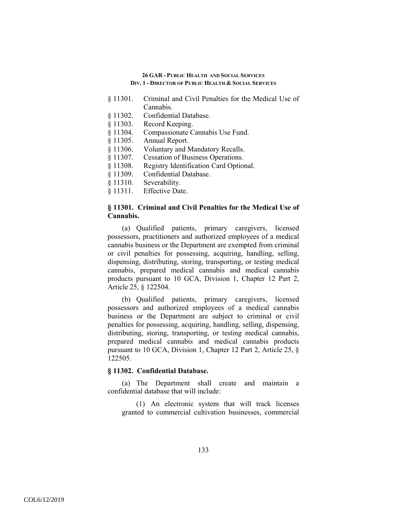- § 11301. Criminal and Civil Penalties for the Medical Use of Cannabis.
- § 11302. Confidential Database.
- § 11303. Record Keeping.
- § 11304. Compassionate Cannabis Use Fund.
- § 11305. Annual Report.
- § 11306. Voluntary and Mandatory Recalls.
- § 11307. Cessation of Business Operations.
- § 11308. Registry Identification Card Optional.
- § 11309. Confidential Database.
- § 11310. Severability.
- § 11311. Effective Date.

# **§ 11301. Criminal and Civil Penalties for the Medical Use of Cannabis.**

(a) Qualified patients, primary caregivers, licensed possessors, practitioners and authorized employees of a medical cannabis business or the Department are exempted from criminal or civil penalties for possessing, acquiring, handling, selling, dispensing, distributing, storing, transporting, or testing medical cannabis, prepared medical cannabis and medical cannabis products pursuant to 10 GCA, Division 1, Chapter 12 Part 2, Article 25, § 122504.

(b) Qualified patients, primary caregivers, licensed possessors and authorized employees of a medical cannabis business or the Department are subject to criminal or civil penalties for possessing, acquiring, handling, selling, dispensing, distributing, storing, transporting, or testing medical cannabis, prepared medical cannabis and medical cannabis products pursuant to 10 GCA, Division 1, Chapter 12 Part 2, Article 25, § 122505.

## **§ 11302. Confidential Database.**

(a) The Department shall create and maintain a confidential database that will include:

(1) An electronic system that will track licenses granted to commercial cultivation businesses, commercial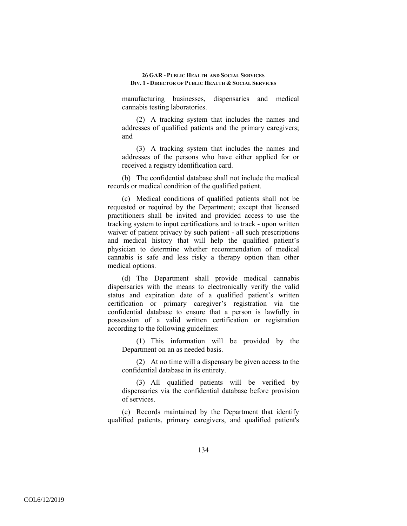manufacturing businesses, dispensaries and medical cannabis testing laboratories.

(2) A tracking system that includes the names and addresses of qualified patients and the primary caregivers; and

(3) A tracking system that includes the names and addresses of the persons who have either applied for or received a registry identification card.

(b) The confidential database shall not include the medical records or medical condition of the qualified patient.

(c) Medical conditions of qualified patients shall not be requested or required by the Department; except that licensed practitioners shall be invited and provided access to use the tracking system to input certifications and to track - upon written waiver of patient privacy by such patient - all such prescriptions and medical history that will help the qualified patient's physician to determine whether recommendation of medical cannabis is safe and less risky a therapy option than other medical options.

(d) The Department shall provide medical cannabis dispensaries with the means to electronically verify the valid status and expiration date of a qualified patient's written certification or primary caregiver's registration via the confidential database to ensure that a person is lawfully in possession of a valid written certification or registration according to the following guidelines:

(1) This information will be provided by the Department on an as needed basis.

(2) At no time will a dispensary be given access to the confidential database in its entirety.

(3) All qualified patients will be verified by dispensaries via the confidential database before provision of services.

(e) Records maintained by the Department that identify qualified patients, primary caregivers, and qualified patient's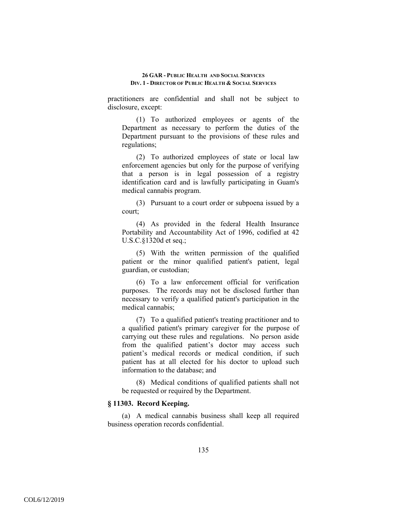practitioners are confidential and shall not be subject to disclosure, except:

(1) To authorized employees or agents of the Department as necessary to perform the duties of the Department pursuant to the provisions of these rules and regulations;

(2) To authorized employees of state or local law enforcement agencies but only for the purpose of verifying that a person is in legal possession of a registry identification card and is lawfully participating in Guam's medical cannabis program.

(3) Pursuant to a court order or subpoena issued by a court;

(4) As provided in the federal Health Insurance Portability and Accountability Act of 1996, codified at 42 U.S.C.§1320d et seq.;

(5) With the written permission of the qualified patient or the minor qualified patient's patient, legal guardian, or custodian;

(6) To a law enforcement official for verification purposes. The records may not be disclosed further than necessary to verify a qualified patient's participation in the medical cannabis;

(7) To a qualified patient's treating practitioner and to a qualified patient's primary caregiver for the purpose of carrying out these rules and regulations. No person aside from the qualified patient's doctor may access such patient's medical records or medical condition, if such patient has at all elected for his doctor to upload such information to the database; and

(8) Medical conditions of qualified patients shall not be requested or required by the Department.

# **§ 11303. Record Keeping.**

(a) A medical cannabis business shall keep all required business operation records confidential.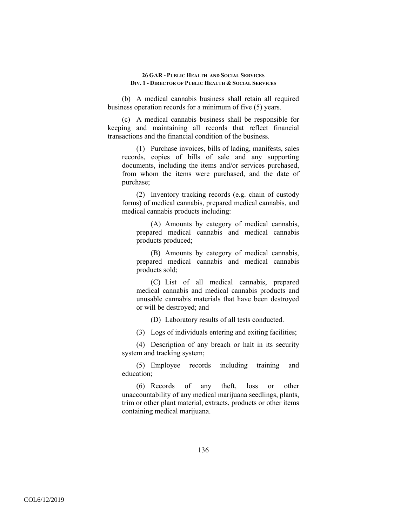(b) A medical cannabis business shall retain all required business operation records for a minimum of five (5) years.

(c) A medical cannabis business shall be responsible for keeping and maintaining all records that reflect financial transactions and the financial condition of the business.

(1) Purchase invoices, bills of lading, manifests, sales records, copies of bills of sale and any supporting documents, including the items and/or services purchased, from whom the items were purchased, and the date of purchase;

(2) Inventory tracking records (e.g. chain of custody forms) of medical cannabis, prepared medical cannabis, and medical cannabis products including:

(A) Amounts by category of medical cannabis, prepared medical cannabis and medical cannabis products produced;

(B) Amounts by category of medical cannabis, prepared medical cannabis and medical cannabis products sold;

(C) List of all medical cannabis, prepared medical cannabis and medical cannabis products and unusable cannabis materials that have been destroyed or will be destroyed; and

(D) Laboratory results of all tests conducted.

(3) Logs of individuals entering and exiting facilities;

(4) Description of any breach or halt in its security system and tracking system;

(5) Employee records including training and education;

(6) Records of any theft, loss or other unaccountability of any medical marijuana seedlings, plants, trim or other plant material, extracts, products or other items containing medical marijuana.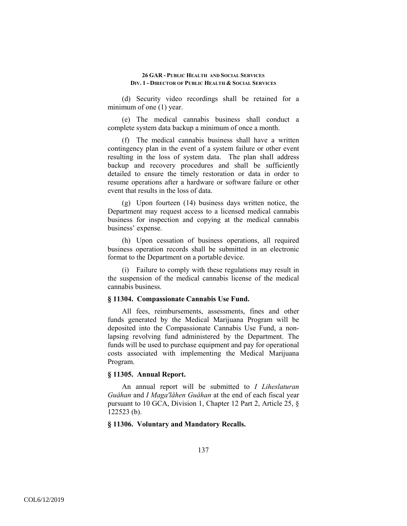(d) Security video recordings shall be retained for a minimum of one (1) year.

(e) The medical cannabis business shall conduct a complete system data backup a minimum of once a month.

(f) The medical cannabis business shall have a written contingency plan in the event of a system failure or other event resulting in the loss of system data. The plan shall address backup and recovery procedures and shall be sufficiently detailed to ensure the timely restoration or data in order to resume operations after a hardware or software failure or other event that results in the loss of data.

(g) Upon fourteen (14) business days written notice, the Department may request access to a licensed medical cannabis business for inspection and copying at the medical cannabis business' expense.

(h) Upon cessation of business operations, all required business operation records shall be submitted in an electronic format to the Department on a portable device.

(i) Failure to comply with these regulations may result in the suspension of the medical cannabis license of the medical cannabis business.

### **§ 11304. Compassionate Cannabis Use Fund.**

All fees, reimbursements, assessments, fines and other funds generated by the Medical Marijuana Program will be deposited into the Compassionate Cannabis Use Fund, a nonlapsing revolving fund administered by the Department. The funds will be used to purchase equipment and pay for operational costs associated with implementing the Medical Marijuana Program.

## **§ 11305. Annual Report.**

An annual report will be submitted to *I Liheslaturan Guåhan* and *I Maga'låhen Guåhan* at the end of each fiscal year pursuant to 10 GCA, Division 1, Chapter 12 Part 2, Article 25, § 122523 (b).

## **§ 11306. Voluntary and Mandatory Recalls.**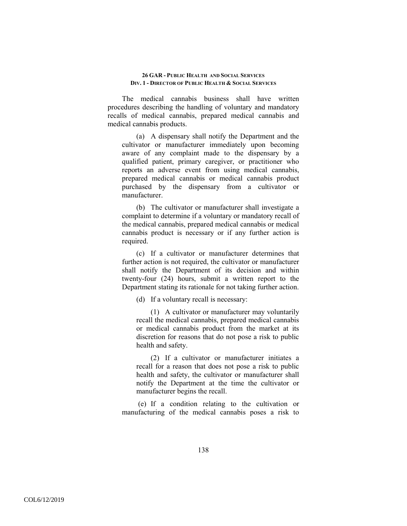The medical cannabis business shall have written procedures describing the handling of voluntary and mandatory recalls of medical cannabis, prepared medical cannabis and medical cannabis products.

(a) A dispensary shall notify the Department and the cultivator or manufacturer immediately upon becoming aware of any complaint made to the dispensary by a qualified patient, primary caregiver, or practitioner who reports an adverse event from using medical cannabis, prepared medical cannabis or medical cannabis product purchased by the dispensary from a cultivator or manufacturer.

(b) The cultivator or manufacturer shall investigate a complaint to determine if a voluntary or mandatory recall of the medical cannabis, prepared medical cannabis or medical cannabis product is necessary or if any further action is required.

(c) If a cultivator or manufacturer determines that further action is not required, the cultivator or manufacturer shall notify the Department of its decision and within twenty-four (24) hours, submit a written report to the Department stating its rationale for not taking further action.

(d) If a voluntary recall is necessary:

(1) A cultivator or manufacturer may voluntarily recall the medical cannabis, prepared medical cannabis or medical cannabis product from the market at its discretion for reasons that do not pose a risk to public health and safety.

(2) If a cultivator or manufacturer initiates a recall for a reason that does not pose a risk to public health and safety, the cultivator or manufacturer shall notify the Department at the time the cultivator or manufacturer begins the recall.

 (e) If a condition relating to the cultivation or manufacturing of the medical cannabis poses a risk to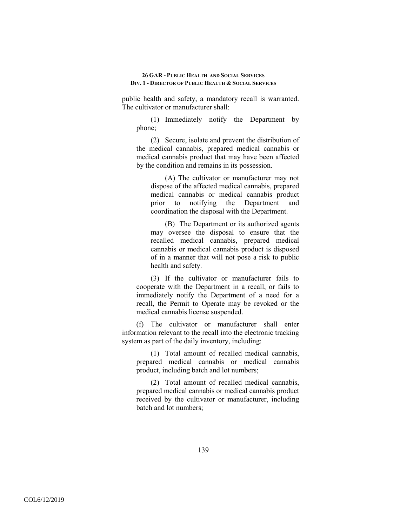public health and safety, a mandatory recall is warranted. The cultivator or manufacturer shall:

(1) Immediately notify the Department by phone;

(2) Secure, isolate and prevent the distribution of the medical cannabis, prepared medical cannabis or medical cannabis product that may have been affected by the condition and remains in its possession.

(A) The cultivator or manufacturer may not dispose of the affected medical cannabis, prepared medical cannabis or medical cannabis product prior to notifying the Department and coordination the disposal with the Department.

(B) The Department or its authorized agents may oversee the disposal to ensure that the recalled medical cannabis, prepared medical cannabis or medical cannabis product is disposed of in a manner that will not pose a risk to public health and safety.

(3) If the cultivator or manufacturer fails to cooperate with the Department in a recall, or fails to immediately notify the Department of a need for a recall, the Permit to Operate may be revoked or the medical cannabis license suspended.

(f) The cultivator or manufacturer shall enter information relevant to the recall into the electronic tracking system as part of the daily inventory, including:

(1) Total amount of recalled medical cannabis, prepared medical cannabis or medical cannabis product, including batch and lot numbers;

(2) Total amount of recalled medical cannabis, prepared medical cannabis or medical cannabis product received by the cultivator or manufacturer, including batch and lot numbers;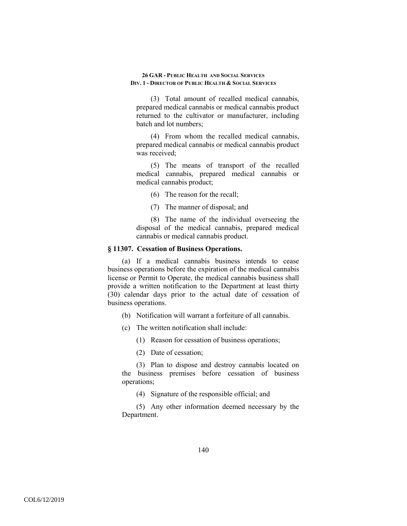(3) Total amount of recalled medical cannabis, prepared medical cannabis or medical cannabis product returned to the cultivator or manufacturer, including batch and lot numbers;

(4) From whom the recalled medical cannabis, prepared medical cannabis or medical cannabis product was received;

(5) The means of transport of the recalled medical cannabis, prepared medical cannabis or medical cannabis product;

(6) The reason for the recall;

(7) The manner of disposal; and

(8) The name of the individual overseeing the disposal of the medical cannabis, prepared medical cannabis or medical cannabis product.

## **§ 11307. Cessation of Business Operations.**

(a) If a medical cannabis business intends to cease business operations before the expiration of the medical cannabis license or Permit to Operate, the medical cannabis business shall provide a written notification to the Department at least thirty (30) calendar days prior to the actual date of cessation of business operations.

(b) Notification will warrant a forfeiture of all cannabis.

- (c) The written notification shall include:
	- (1) Reason for cessation of business operations;
	- (2) Date of cessation;

(3) Plan to dispose and destroy cannabis located on the business premises before cessation of business operations;

(4) Signature of the responsible official; and

(5) Any other information deemed necessary by the Department.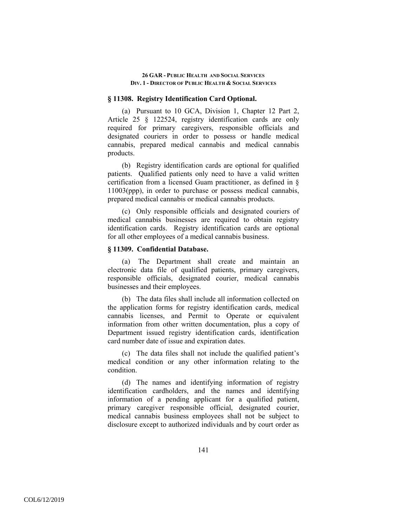### **§ 11308. Registry Identification Card Optional.**

(a) Pursuant to 10 GCA, Division 1, Chapter 12 Part 2, Article 25 § 122524, registry identification cards are only required for primary caregivers, responsible officials and designated couriers in order to possess or handle medical cannabis, prepared medical cannabis and medical cannabis products.

(b) Registry identification cards are optional for qualified patients. Qualified patients only need to have a valid written certification from a licensed Guam practitioner, as defined in § 11003(ppp), in order to purchase or possess medical cannabis, prepared medical cannabis or medical cannabis products.

(c) Only responsible officials and designated couriers of medical cannabis businesses are required to obtain registry identification cards. Registry identification cards are optional for all other employees of a medical cannabis business.

## **§ 11309. Confidential Database.**

(a) The Department shall create and maintain an electronic data file of qualified patients, primary caregivers, responsible officials, designated courier, medical cannabis businesses and their employees.

(b) The data files shall include all information collected on the application forms for registry identification cards, medical cannabis licenses, and Permit to Operate or equivalent information from other written documentation, plus a copy of Department issued registry identification cards, identification card number date of issue and expiration dates.

(c) The data files shall not include the qualified patient's medical condition or any other information relating to the condition.

(d) The names and identifying information of registry identification cardholders, and the names and identifying information of a pending applicant for a qualified patient, primary caregiver responsible official, designated courier, medical cannabis business employees shall not be subject to disclosure except to authorized individuals and by court order as